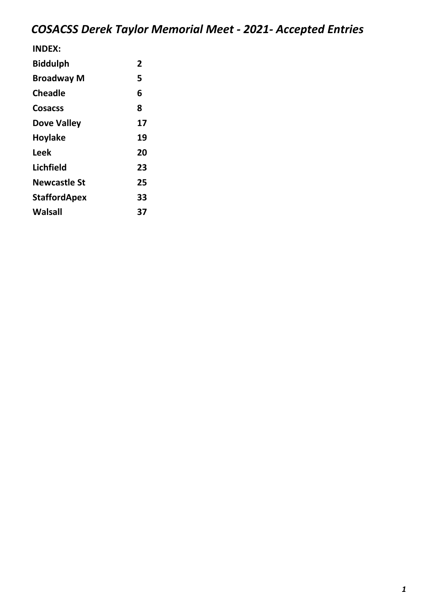| 2  |
|----|
| 5  |
| 6  |
| 8  |
| 17 |
| 19 |
| 20 |
| 23 |
| 25 |
| 33 |
| 37 |
|    |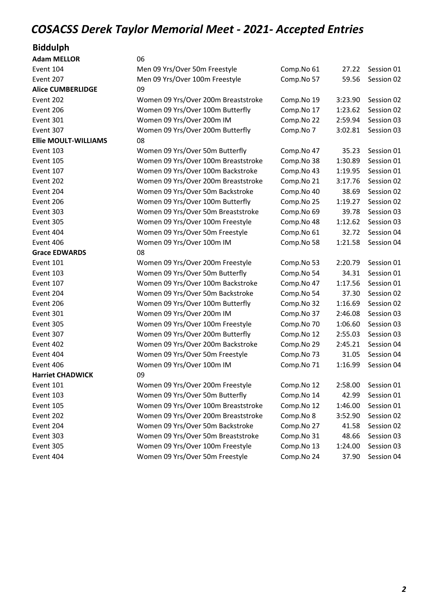#### Biddulph

| <b>Adam MELLOR</b>          | 06                                  |            |         |            |
|-----------------------------|-------------------------------------|------------|---------|------------|
| Event 104                   | Men 09 Yrs/Over 50m Freestyle       | Comp.No 61 | 27.22   | Session 01 |
| Event 207                   | Men 09 Yrs/Over 100m Freestyle      | Comp.No 57 | 59.56   | Session 02 |
| <b>Alice CUMBERLIDGE</b>    | 09                                  |            |         |            |
| Event 202                   | Women 09 Yrs/Over 200m Breaststroke | Comp.No 19 | 3:23.90 | Session 02 |
| Event 206                   | Women 09 Yrs/Over 100m Butterfly    | Comp.No 17 | 1:23.62 | Session 02 |
| Event 301                   | Women 09 Yrs/Over 200m IM           | Comp.No 22 | 2:59.94 | Session 03 |
| Event 307                   | Women 09 Yrs/Over 200m Butterfly    | Comp.No 7  | 3:02.81 | Session 03 |
| <b>Ellie MOULT-WILLIAMS</b> | 08                                  |            |         |            |
| Event 103                   | Women 09 Yrs/Over 50m Butterfly     | Comp.No 47 | 35.23   | Session 01 |
| Event 105                   | Women 09 Yrs/Over 100m Breaststroke | Comp.No 38 | 1:30.89 | Session 01 |
| Event 107                   | Women 09 Yrs/Over 100m Backstroke   | Comp.No 43 | 1:19.95 | Session 01 |
| Event 202                   | Women 09 Yrs/Over 200m Breaststroke | Comp.No 21 | 3:17.76 | Session 02 |
| Event 204                   | Women 09 Yrs/Over 50m Backstroke    | Comp.No 40 | 38.69   | Session 02 |
| Event 206                   | Women 09 Yrs/Over 100m Butterfly    | Comp.No 25 | 1:19.27 | Session 02 |
| Event 303                   | Women 09 Yrs/Over 50m Breaststroke  | Comp.No 69 | 39.78   | Session 03 |
| Event 305                   | Women 09 Yrs/Over 100m Freestyle    | Comp.No 48 | 1:12.62 | Session 03 |
| Event 404                   | Women 09 Yrs/Over 50m Freestyle     | Comp.No 61 | 32.72   | Session 04 |
| Event 406                   | Women 09 Yrs/Over 100m IM           | Comp.No 58 | 1:21.58 | Session 04 |
| <b>Grace EDWARDS</b>        | 08                                  |            |         |            |
| Event 101                   | Women 09 Yrs/Over 200m Freestyle    | Comp.No 53 | 2:20.79 | Session 01 |
| Event 103                   | Women 09 Yrs/Over 50m Butterfly     | Comp.No 54 | 34.31   | Session 01 |
| Event 107                   | Women 09 Yrs/Over 100m Backstroke   | Comp.No 47 | 1:17.56 | Session 01 |
| Event 204                   | Women 09 Yrs/Over 50m Backstroke    | Comp.No 54 | 37.30   | Session 02 |
| Event 206                   | Women 09 Yrs/Over 100m Butterfly    | Comp.No 32 | 1:16.69 | Session 02 |
| Event 301                   | Women 09 Yrs/Over 200m IM           | Comp.No 37 | 2:46.08 | Session 03 |
| Event 305                   | Women 09 Yrs/Over 100m Freestyle    | Comp.No 70 | 1:06.60 | Session 03 |
| Event 307                   | Women 09 Yrs/Over 200m Butterfly    | Comp.No 12 | 2:55.03 | Session 03 |
| Event 402                   | Women 09 Yrs/Over 200m Backstroke   | Comp.No 29 | 2:45.21 | Session 04 |
| Event 404                   | Women 09 Yrs/Over 50m Freestyle     | Comp.No 73 | 31.05   | Session 04 |
| Event 406                   | Women 09 Yrs/Over 100m IM           | Comp.No 71 | 1:16.99 | Session 04 |
| <b>Harriet CHADWICK</b>     | 09                                  |            |         |            |
| Event 101                   | Women 09 Yrs/Over 200m Freestyle    | Comp.No 12 | 2:58.00 | Session 01 |
| Event 103                   | Women 09 Yrs/Over 50m Butterfly     | Comp.No 14 | 42.99   | Session 01 |
| Event 105                   | Women 09 Yrs/Over 100m Breaststroke | Comp.No 12 | 1:46.00 | Session 01 |
| Event 202                   | Women 09 Yrs/Over 200m Breaststroke | Comp.No 8  | 3:52.90 | Session 02 |
| Event 204                   | Women 09 Yrs/Over 50m Backstroke    | Comp.No 27 | 41.58   | Session 02 |
| Event 303                   | Women 09 Yrs/Over 50m Breaststroke  | Comp.No 31 | 48.66   | Session 03 |
| Event 305                   | Women 09 Yrs/Over 100m Freestyle    | Comp.No 13 | 1:24.00 | Session 03 |
| Event 404                   | Women 09 Yrs/Over 50m Freestyle     | Comp.No 24 | 37.90   | Session 04 |
|                             |                                     |            |         |            |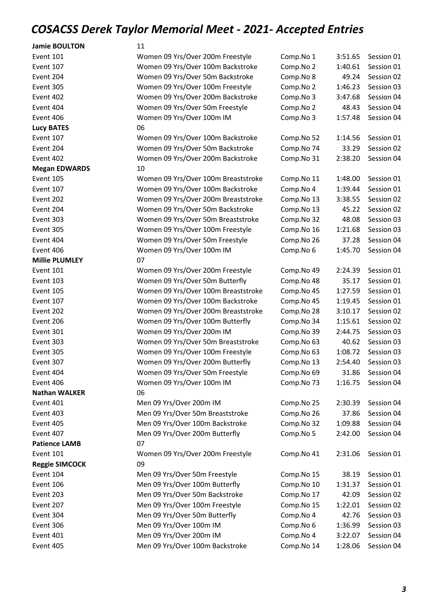| <b>Jamie BOULTON</b>  | 11                                  |            |         |            |
|-----------------------|-------------------------------------|------------|---------|------------|
| Event 101             | Women 09 Yrs/Over 200m Freestyle    | Comp.No 1  | 3:51.65 | Session 01 |
| Event 107             | Women 09 Yrs/Over 100m Backstroke   | Comp.No 2  | 1:40.61 | Session 01 |
| Event 204             | Women 09 Yrs/Over 50m Backstroke    | Comp.No 8  | 49.24   | Session 02 |
| Event 305             | Women 09 Yrs/Over 100m Freestyle    | Comp.No 2  | 1:46.23 | Session 03 |
| Event 402             | Women 09 Yrs/Over 200m Backstroke   | Comp.No 3  | 3:47.68 | Session 04 |
| Event 404             | Women 09 Yrs/Over 50m Freestyle     | Comp.No 2  | 48.43   | Session 04 |
| Event 406             | Women 09 Yrs/Over 100m IM           | Comp.No 3  | 1:57.48 | Session 04 |
| <b>Lucy BATES</b>     | 06                                  |            |         |            |
| Event 107             | Women 09 Yrs/Over 100m Backstroke   | Comp.No 52 | 1:14.56 | Session 01 |
| Event 204             | Women 09 Yrs/Over 50m Backstroke    | Comp.No 74 | 33.29   | Session 02 |
| Event 402             | Women 09 Yrs/Over 200m Backstroke   | Comp.No 31 | 2:38.20 | Session 04 |
| <b>Megan EDWARDS</b>  | 10                                  |            |         |            |
| Event 105             | Women 09 Yrs/Over 100m Breaststroke | Comp.No 11 | 1:48.00 | Session 01 |
| Event 107             | Women 09 Yrs/Over 100m Backstroke   | Comp.No 4  | 1:39.44 | Session 01 |
| Event 202             | Women 09 Yrs/Over 200m Breaststroke | Comp.No 13 | 3:38.55 | Session 02 |
| Event 204             | Women 09 Yrs/Over 50m Backstroke    | Comp.No 13 | 45.22   | Session 02 |
| Event 303             | Women 09 Yrs/Over 50m Breaststroke  | Comp.No 32 | 48.08   | Session 03 |
| Event 305             | Women 09 Yrs/Over 100m Freestyle    | Comp.No 16 | 1:21.68 | Session 03 |
| Event 404             | Women 09 Yrs/Over 50m Freestyle     | Comp.No 26 | 37.28   | Session 04 |
| Event 406             | Women 09 Yrs/Over 100m IM           | Comp.No 6  | 1:45.70 | Session 04 |
| <b>Millie PLUMLEY</b> | 07                                  |            |         |            |
| Event 101             | Women 09 Yrs/Over 200m Freestyle    | Comp.No 49 | 2:24.39 | Session 01 |
| Event 103             | Women 09 Yrs/Over 50m Butterfly     | Comp.No 48 | 35.17   | Session 01 |
| Event 105             | Women 09 Yrs/Over 100m Breaststroke | Comp.No 45 | 1:27.59 | Session 01 |
| Event 107             | Women 09 Yrs/Over 100m Backstroke   | Comp.No 45 | 1:19.45 | Session 01 |
| Event 202             | Women 09 Yrs/Over 200m Breaststroke | Comp.No 28 | 3:10.17 | Session 02 |
| Event 206             | Women 09 Yrs/Over 100m Butterfly    | Comp.No 34 | 1:15.61 | Session 02 |
| Event 301             | Women 09 Yrs/Over 200m IM           | Comp.No 39 | 2:44.75 | Session 03 |
| Event 303             | Women 09 Yrs/Over 50m Breaststroke  | Comp.No 63 | 40.62   | Session 03 |
| Event 305             | Women 09 Yrs/Over 100m Freestyle    | Comp.No 63 | 1:08.72 | Session 03 |
| Event 307             | Women 09 Yrs/Over 200m Butterfly    | Comp.No 13 | 2:54.40 | Session 03 |
| Event 404             | Women 09 Yrs/Over 50m Freestyle     | Comp.No 69 | 31.86   | Session 04 |
| Event 406             | Women 09 Yrs/Over 100m IM           | Comp.No 73 | 1:16.75 | Session 04 |
| <b>Nathan WALKER</b>  | 06                                  |            |         |            |
| Event 401             | Men 09 Yrs/Over 200m IM             | Comp.No 25 | 2:30.39 | Session 04 |
| Event 403             | Men 09 Yrs/Over 50m Breaststroke    | Comp.No 26 | 37.86   | Session 04 |
| Event 405             | Men 09 Yrs/Over 100m Backstroke     | Comp.No 32 | 1:09.88 | Session 04 |
| Event 407             | Men 09 Yrs/Over 200m Butterfly      | Comp.No 5  | 2:42.00 | Session 04 |
| <b>Patience LAMB</b>  | 07                                  |            |         |            |
| Event 101             | Women 09 Yrs/Over 200m Freestyle    | Comp.No 41 | 2:31.06 | Session 01 |
| <b>Reggie SIMCOCK</b> | 09                                  |            |         |            |
| Event 104             | Men 09 Yrs/Over 50m Freestyle       | Comp.No 15 | 38.19   | Session 01 |
| Event 106             | Men 09 Yrs/Over 100m Butterfly      | Comp.No 10 | 1:31.37 | Session 01 |
| Event 203             | Men 09 Yrs/Over 50m Backstroke      | Comp.No 17 | 42.09   | Session 02 |
| Event 207             | Men 09 Yrs/Over 100m Freestyle      | Comp.No 15 | 1:22.01 | Session 02 |
| Event 304             | Men 09 Yrs/Over 50m Butterfly       | Comp.No 4  | 42.76   | Session 03 |
| Event 306             | Men 09 Yrs/Over 100m IM             | Comp.No 6  | 1:36.99 | Session 03 |
| Event 401             | Men 09 Yrs/Over 200m IM             | Comp.No 4  | 3:22.07 | Session 04 |

Event 405 Men 09 Yrs/Over 100m Backstroke Comp.No 14 1:28.06 Session 04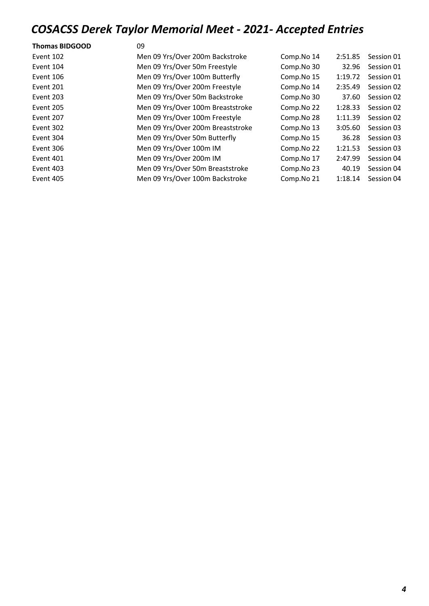| <b>Thomas BIDGOOD</b> | 09                                |            |         |            |
|-----------------------|-----------------------------------|------------|---------|------------|
| Event 102             | Men 09 Yrs/Over 200m Backstroke   | Comp.No 14 | 2:51.85 | Session 01 |
| Event 104             | Men 09 Yrs/Over 50m Freestyle     | Comp.No 30 | 32.96   | Session 01 |
| Event 106             | Men 09 Yrs/Over 100m Butterfly    | Comp.No 15 | 1:19.72 | Session 01 |
| Event 201             | Men 09 Yrs/Over 200m Freestyle    | Comp.No 14 | 2:35.49 | Session 02 |
| Event 203             | Men 09 Yrs/Over 50m Backstroke    | Comp.No 30 | 37.60   | Session 02 |
| Event 205             | Men 09 Yrs/Over 100m Breaststroke | Comp.No 22 | 1:28.33 | Session 02 |
| Event 207             | Men 09 Yrs/Over 100m Freestyle    | Comp.No 28 | 1:11.39 | Session 02 |
| Event 302             | Men 09 Yrs/Over 200m Breaststroke | Comp.No 13 | 3:05.60 | Session 03 |
| Event 304             | Men 09 Yrs/Over 50m Butterfly     | Comp.No 15 | 36.28   | Session 03 |
| Event 306             | Men 09 Yrs/Over 100m IM           | Comp.No 22 | 1:21.53 | Session 03 |
| Event 401             | Men 09 Yrs/Over 200m IM           | Comp.No 17 | 2:47.99 | Session 04 |
| Event 403             | Men 09 Yrs/Over 50m Breaststroke  | Comp.No 23 | 40.19   | Session 04 |
| Event 405             | Men 09 Yrs/Over 100m Backstroke   | Comp.No 21 | 1:18.14 | Session 04 |
|                       |                                   |            |         |            |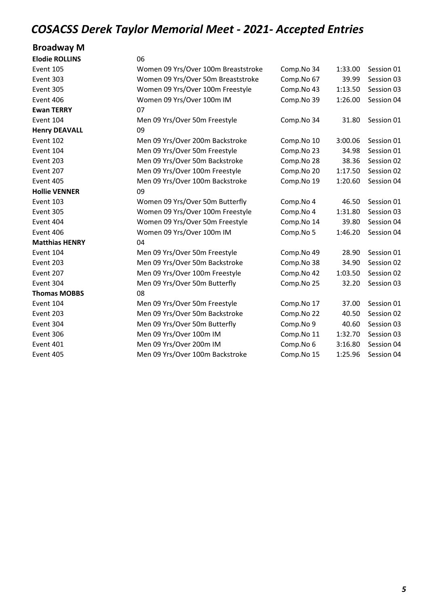#### Broadway M

| <b>Elodie ROLLINS</b> | 06                                  |            |         |            |
|-----------------------|-------------------------------------|------------|---------|------------|
| <b>Event 105</b>      | Women 09 Yrs/Over 100m Breaststroke | Comp.No 34 | 1:33.00 | Session 01 |
| Event 303             | Women 09 Yrs/Over 50m Breaststroke  | Comp.No 67 | 39.99   | Session 03 |
| Event 305             | Women 09 Yrs/Over 100m Freestyle    | Comp.No 43 | 1:13.50 | Session 03 |
| Event 406             | Women 09 Yrs/Over 100m IM           | Comp.No 39 | 1:26.00 | Session 04 |
| <b>Ewan TERRY</b>     | 07                                  |            |         |            |
| Event 104             | Men 09 Yrs/Over 50m Freestyle       | Comp.No 34 | 31.80   | Session 01 |
| <b>Henry DEAVALL</b>  | 09                                  |            |         |            |
| Event 102             | Men 09 Yrs/Over 200m Backstroke     | Comp.No 10 | 3:00.06 | Session 01 |
| Event 104             | Men 09 Yrs/Over 50m Freestyle       | Comp.No 23 | 34.98   | Session 01 |
| Event 203             | Men 09 Yrs/Over 50m Backstroke      | Comp.No 28 | 38.36   | Session 02 |
| Event 207             | Men 09 Yrs/Over 100m Freestyle      | Comp.No 20 | 1:17.50 | Session 02 |
| Event 405             | Men 09 Yrs/Over 100m Backstroke     | Comp.No 19 | 1:20.60 | Session 04 |
| <b>Hollie VENNER</b>  | 09                                  |            |         |            |
| Event 103             | Women 09 Yrs/Over 50m Butterfly     | Comp.No 4  | 46.50   | Session 01 |
| Event 305             | Women 09 Yrs/Over 100m Freestyle    | Comp.No 4  | 1:31.80 | Session 03 |
| Event 404             | Women 09 Yrs/Over 50m Freestyle     | Comp.No 14 | 39.80   | Session 04 |
| Event 406             | Women 09 Yrs/Over 100m IM           | Comp.No 5  | 1:46.20 | Session 04 |
| <b>Matthias HENRY</b> | 04                                  |            |         |            |
| Event 104             | Men 09 Yrs/Over 50m Freestyle       | Comp.No 49 | 28.90   | Session 01 |
| Event 203             | Men 09 Yrs/Over 50m Backstroke      | Comp.No 38 | 34.90   | Session 02 |
| Event 207             | Men 09 Yrs/Over 100m Freestyle      | Comp.No 42 | 1:03.50 | Session 02 |
| Event 304             | Men 09 Yrs/Over 50m Butterfly       | Comp.No 25 | 32.20   | Session 03 |
| <b>Thomas MOBBS</b>   | 08                                  |            |         |            |
| Event 104             | Men 09 Yrs/Over 50m Freestyle       | Comp.No 17 | 37.00   | Session 01 |
| Event 203             | Men 09 Yrs/Over 50m Backstroke      | Comp.No 22 | 40.50   | Session 02 |
| Event 304             | Men 09 Yrs/Over 50m Butterfly       | Comp.No 9  | 40.60   | Session 03 |
| Event 306             | Men 09 Yrs/Over 100m IM             | Comp.No 11 | 1:32.70 | Session 03 |
| Event 401             | Men 09 Yrs/Over 200m IM             | Comp.No 6  | 3:16.80 | Session 04 |
| Event 405             | Men 09 Yrs/Over 100m Backstroke     | Comp.No 15 | 1:25.96 | Session 04 |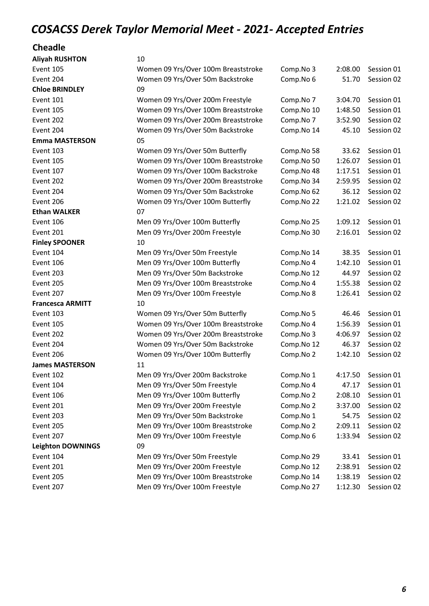#### Cheadle

| <b>Aliyah RUSHTON</b>    | 10                                  |            |         |            |
|--------------------------|-------------------------------------|------------|---------|------------|
| Event 105                | Women 09 Yrs/Over 100m Breaststroke | Comp.No 3  | 2:08.00 | Session 01 |
| Event 204                | Women 09 Yrs/Over 50m Backstroke    | Comp.No 6  | 51.70   | Session 02 |
| <b>Chloe BRINDLEY</b>    | 09                                  |            |         |            |
| Event 101                | Women 09 Yrs/Over 200m Freestyle    | Comp.No 7  | 3:04.70 | Session 01 |
| Event 105                | Women 09 Yrs/Over 100m Breaststroke | Comp.No 10 | 1:48.50 | Session 01 |
| Event 202                | Women 09 Yrs/Over 200m Breaststroke | Comp.No 7  | 3:52.90 | Session 02 |
| Event 204                | Women 09 Yrs/Over 50m Backstroke    | Comp.No 14 | 45.10   | Session 02 |
| <b>Emma MASTERSON</b>    | 05                                  |            |         |            |
| Event 103                | Women 09 Yrs/Over 50m Butterfly     | Comp.No 58 | 33.62   | Session 01 |
| Event 105                | Women 09 Yrs/Over 100m Breaststroke | Comp.No 50 | 1:26.07 | Session 01 |
| Event 107                | Women 09 Yrs/Over 100m Backstroke   | Comp.No 48 | 1:17.51 | Session 01 |
| Event 202                | Women 09 Yrs/Over 200m Breaststroke | Comp.No 34 | 2:59.95 | Session 02 |
| Event 204                | Women 09 Yrs/Over 50m Backstroke    | Comp.No 62 | 36.12   | Session 02 |
| Event 206                | Women 09 Yrs/Over 100m Butterfly    | Comp.No 22 | 1:21.02 | Session 02 |
| <b>Ethan WALKER</b>      | 07                                  |            |         |            |
| Event 106                | Men 09 Yrs/Over 100m Butterfly      | Comp.No 25 | 1:09.12 | Session 01 |
| Event 201                | Men 09 Yrs/Over 200m Freestyle      | Comp.No 30 | 2:16.01 | Session 02 |
| <b>Finley SPOONER</b>    | 10                                  |            |         |            |
| Event 104                | Men 09 Yrs/Over 50m Freestyle       | Comp.No 14 | 38.35   | Session 01 |
| Event 106                | Men 09 Yrs/Over 100m Butterfly      | Comp.No 4  | 1:42.10 | Session 01 |
| Event 203                | Men 09 Yrs/Over 50m Backstroke      | Comp.No 12 | 44.97   | Session 02 |
| Event 205                | Men 09 Yrs/Over 100m Breaststroke   | Comp.No 4  | 1:55.38 | Session 02 |
| Event 207                | Men 09 Yrs/Over 100m Freestyle      | Comp.No 8  | 1:26.41 | Session 02 |
| <b>Francesca ARMITT</b>  | 10                                  |            |         |            |
| Event 103                | Women 09 Yrs/Over 50m Butterfly     | Comp.No 5  | 46.46   | Session 01 |
| Event 105                | Women 09 Yrs/Over 100m Breaststroke | Comp.No 4  | 1:56.39 | Session 01 |
| Event 202                | Women 09 Yrs/Over 200m Breaststroke | Comp.No 3  | 4:06.97 | Session 02 |
| Event 204                | Women 09 Yrs/Over 50m Backstroke    | Comp.No 12 | 46.37   | Session 02 |
| Event 206                | Women 09 Yrs/Over 100m Butterfly    | Comp.No 2  | 1:42.10 | Session 02 |
| <b>James MASTERSON</b>   | 11                                  |            |         |            |
| Event 102                | Men 09 Yrs/Over 200m Backstroke     | Comp.No 1  | 4:17.50 | Session 01 |
| Event 104                | Men 09 Yrs/Over 50m Freestyle       | Comp.No 4  | 47.17   | Session 01 |
| Event 106                | Men 09 Yrs/Over 100m Butterfly      | Comp.No 2  | 2:08.10 | Session 01 |
| Event 201                | Men 09 Yrs/Over 200m Freestyle      | Comp.No 2  | 3:37.00 | Session 02 |
| Event 203                | Men 09 Yrs/Over 50m Backstroke      | Comp.No 1  | 54.75   | Session 02 |
| Event 205                | Men 09 Yrs/Over 100m Breaststroke   | Comp.No 2  | 2:09.11 | Session 02 |
| Event 207                | Men 09 Yrs/Over 100m Freestyle      | Comp.No 6  | 1:33.94 | Session 02 |
| <b>Leighton DOWNINGS</b> | 09                                  |            |         |            |
| Event 104                | Men 09 Yrs/Over 50m Freestyle       | Comp.No 29 | 33.41   | Session 01 |
| Event 201                | Men 09 Yrs/Over 200m Freestyle      | Comp.No 12 | 2:38.91 | Session 02 |
| Event 205                | Men 09 Yrs/Over 100m Breaststroke   | Comp.No 14 | 1:38.19 | Session 02 |
| Event 207                | Men 09 Yrs/Over 100m Freestyle      | Comp.No 27 | 1:12.30 | Session 02 |
|                          |                                     |            |         |            |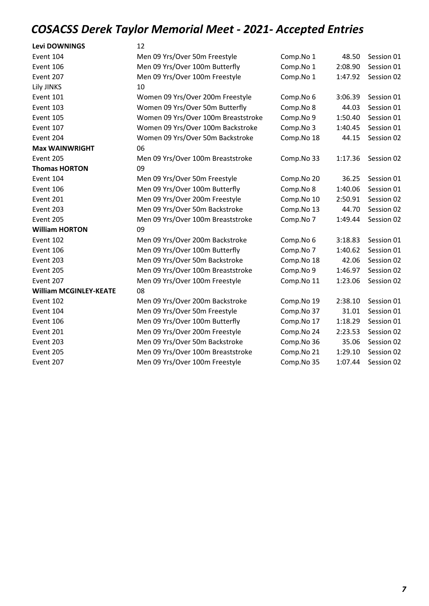| <b>Levi DOWNINGS</b>          | 12                                  |            |         |            |
|-------------------------------|-------------------------------------|------------|---------|------------|
| Event 104                     | Men 09 Yrs/Over 50m Freestyle       | Comp.No 1  | 48.50   | Session 01 |
| Event 106                     | Men 09 Yrs/Over 100m Butterfly      | Comp.No 1  | 2:08.90 | Session 01 |
| Event 207                     | Men 09 Yrs/Over 100m Freestyle      | Comp.No 1  | 1:47.92 | Session 02 |
| Lily JINKS                    | 10                                  |            |         |            |
| Event 101                     | Women 09 Yrs/Over 200m Freestyle    | Comp.No 6  | 3:06.39 | Session 01 |
| Event 103                     | Women 09 Yrs/Over 50m Butterfly     | Comp.No 8  | 44.03   | Session 01 |
| Event 105                     | Women 09 Yrs/Over 100m Breaststroke | Comp.No 9  | 1:50.40 | Session 01 |
| Event 107                     | Women 09 Yrs/Over 100m Backstroke   | Comp.No 3  | 1:40.45 | Session 01 |
| Event 204                     | Women 09 Yrs/Over 50m Backstroke    | Comp.No 18 | 44.15   | Session 02 |
| <b>Max WAINWRIGHT</b>         | 06                                  |            |         |            |
| Event 205                     | Men 09 Yrs/Over 100m Breaststroke   | Comp.No 33 | 1:17.36 | Session 02 |
| <b>Thomas HORTON</b>          | 09                                  |            |         |            |
| Event 104                     | Men 09 Yrs/Over 50m Freestyle       | Comp.No 20 | 36.25   | Session 01 |
| Event 106                     | Men 09 Yrs/Over 100m Butterfly      | Comp.No 8  | 1:40.06 | Session 01 |
| Event 201                     | Men 09 Yrs/Over 200m Freestyle      | Comp.No 10 | 2:50.91 | Session 02 |
| Event 203                     | Men 09 Yrs/Over 50m Backstroke      | Comp.No 13 | 44.70   | Session 02 |
| Event 205                     | Men 09 Yrs/Over 100m Breaststroke   | Comp.No 7  | 1:49.44 | Session 02 |
| <b>William HORTON</b>         | 09                                  |            |         |            |
| Event 102                     | Men 09 Yrs/Over 200m Backstroke     | Comp.No 6  | 3:18.83 | Session 01 |
| Event 106                     | Men 09 Yrs/Over 100m Butterfly      | Comp.No 7  | 1:40.62 | Session 01 |
| Event 203                     | Men 09 Yrs/Over 50m Backstroke      | Comp.No 18 | 42.06   | Session 02 |
| Event 205                     | Men 09 Yrs/Over 100m Breaststroke   | Comp.No 9  | 1:46.97 | Session 02 |
| Event 207                     | Men 09 Yrs/Over 100m Freestyle      | Comp.No 11 | 1:23.06 | Session 02 |
| <b>William MCGINLEY-KEATE</b> | 08                                  |            |         |            |
| Event 102                     | Men 09 Yrs/Over 200m Backstroke     | Comp.No 19 | 2:38.10 | Session 01 |
| Event 104                     | Men 09 Yrs/Over 50m Freestyle       | Comp.No 37 | 31.01   | Session 01 |
| Event 106                     | Men 09 Yrs/Over 100m Butterfly      | Comp.No 17 | 1:18.29 | Session 01 |
| Event 201                     | Men 09 Yrs/Over 200m Freestyle      | Comp.No 24 | 2:23.53 | Session 02 |
| Event 203                     | Men 09 Yrs/Over 50m Backstroke      | Comp.No 36 | 35.06   | Session 02 |
| Event 205                     | Men 09 Yrs/Over 100m Breaststroke   | Comp.No 21 | 1:29.10 | Session 02 |
| Event 207                     | Men 09 Yrs/Over 100m Freestyle      | Comp.No 35 | 1:07.44 | Session 02 |
|                               |                                     |            |         |            |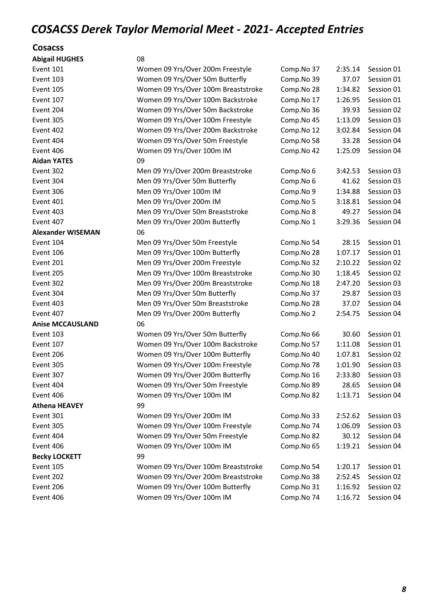#### **Cosacss**

| <b>Abigail HUGHES</b>    | 08                                  |            |         |            |
|--------------------------|-------------------------------------|------------|---------|------------|
| Event 101                | Women 09 Yrs/Over 200m Freestyle    | Comp.No 37 | 2:35.14 | Session 01 |
| Event 103                | Women 09 Yrs/Over 50m Butterfly     | Comp.No 39 | 37.07   | Session 01 |
| Event 105                | Women 09 Yrs/Over 100m Breaststroke | Comp.No 28 | 1:34.82 | Session 01 |
| Event 107                | Women 09 Yrs/Over 100m Backstroke   | Comp.No 17 | 1:26.95 | Session 01 |
| Event 204                | Women 09 Yrs/Over 50m Backstroke    | Comp.No 36 | 39.93   | Session 02 |
| Event 305                | Women 09 Yrs/Over 100m Freestyle    | Comp.No 45 | 1:13.09 | Session 03 |
| Event 402                | Women 09 Yrs/Over 200m Backstroke   | Comp.No 12 | 3:02.84 | Session 04 |
| Event 404                | Women 09 Yrs/Over 50m Freestyle     | Comp.No 58 | 33.28   | Session 04 |
| Event 406                | Women 09 Yrs/Over 100m IM           | Comp.No 42 | 1:25.09 | Session 04 |
| <b>Aidan YATES</b>       | 09                                  |            |         |            |
| Event 302                | Men 09 Yrs/Over 200m Breaststroke   | Comp.No 6  | 3:42.53 | Session 03 |
| Event 304                | Men 09 Yrs/Over 50m Butterfly       | Comp.No 6  | 41.62   | Session 03 |
| Event 306                | Men 09 Yrs/Over 100m IM             | Comp.No 9  | 1:34.88 | Session 03 |
| Event 401                | Men 09 Yrs/Over 200m IM             | Comp.No 5  | 3:18.81 | Session 04 |
| Event 403                | Men 09 Yrs/Over 50m Breaststroke    | Comp.No 8  | 49.27   | Session 04 |
| Event 407                | Men 09 Yrs/Over 200m Butterfly      | Comp.No 1  | 3:29.36 | Session 04 |
| <b>Alexander WISEMAN</b> | 06                                  |            |         |            |
| Event 104                | Men 09 Yrs/Over 50m Freestyle       | Comp.No 54 | 28.15   | Session 01 |
| Event 106                | Men 09 Yrs/Over 100m Butterfly      | Comp.No 28 | 1:07.17 | Session 01 |
| Event 201                | Men 09 Yrs/Over 200m Freestyle      | Comp.No 32 | 2:10.22 | Session 02 |
| Event 205                | Men 09 Yrs/Over 100m Breaststroke   | Comp.No 30 | 1:18.45 | Session 02 |
| Event 302                | Men 09 Yrs/Over 200m Breaststroke   | Comp.No 18 | 2:47.20 | Session 03 |
| Event 304                | Men 09 Yrs/Over 50m Butterfly       | Comp.No 37 | 29.87   | Session 03 |
| Event 403                | Men 09 Yrs/Over 50m Breaststroke    | Comp.No 28 | 37.07   | Session 04 |
| Event 407                | Men 09 Yrs/Over 200m Butterfly      | Comp.No 2  | 2:54.75 | Session 04 |
| <b>Anise MCCAUSLAND</b>  | 06                                  |            |         |            |
| Event 103                | Women 09 Yrs/Over 50m Butterfly     | Comp.No 66 | 30.60   | Session 01 |
| Event 107                | Women 09 Yrs/Over 100m Backstroke   | Comp.No 57 | 1:11.08 | Session 01 |
| Event 206                | Women 09 Yrs/Over 100m Butterfly    | Comp.No 40 | 1:07.81 | Session 02 |
| Event 305                | Women 09 Yrs/Over 100m Freestyle    | Comp.No 78 | 1:01.90 | Session 03 |
| Event 307                | Women 09 Yrs/Over 200m Butterfly    | Comp.No 16 | 2:33.80 | Session 03 |
| Event 404                | Women 09 Yrs/Over 50m Freestyle     | Comp.No 89 | 28.65   | Session 04 |
| Event 406                | Women 09 Yrs/Over 100m IM           | Comp.No 82 | 1:13.71 | Session 04 |
| <b>Athena HEAVEY</b>     | 99                                  |            |         |            |
| Event 301                | Women 09 Yrs/Over 200m IM           | Comp.No 33 | 2:52.62 | Session 03 |
| Event 305                | Women 09 Yrs/Over 100m Freestyle    | Comp.No 74 | 1:06.09 | Session 03 |
| Event 404                | Women 09 Yrs/Over 50m Freestyle     | Comp.No 82 | 30.12   | Session 04 |
| Event 406                | Women 09 Yrs/Over 100m IM           | Comp.No 65 | 1:19.21 | Session 04 |
| <b>Becky LOCKETT</b>     | 99                                  |            |         |            |
| Event 105                | Women 09 Yrs/Over 100m Breaststroke | Comp.No 54 | 1:20.17 | Session 01 |
| Event 202                | Women 09 Yrs/Over 200m Breaststroke | Comp.No 38 | 2:52.45 | Session 02 |
| Event 206                | Women 09 Yrs/Over 100m Butterfly    | Comp.No 31 | 1:16.92 | Session 02 |
| Event 406                | Women 09 Yrs/Over 100m IM           | Comp.No 74 | 1:16.72 | Session 04 |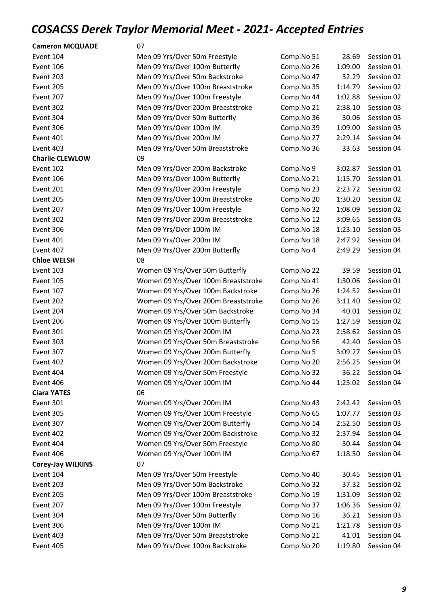| <b>Cameron MCQUADE</b>   | 07                                  |            |         |            |
|--------------------------|-------------------------------------|------------|---------|------------|
| Event 104                | Men 09 Yrs/Over 50m Freestyle       | Comp.No 51 | 28.69   | Session 01 |
| Event 106                | Men 09 Yrs/Over 100m Butterfly      | Comp.No 26 | 1:09.00 | Session 01 |
| Event 203                | Men 09 Yrs/Over 50m Backstroke      | Comp.No 47 | 32.29   | Session 02 |
| Event 205                | Men 09 Yrs/Over 100m Breaststroke   | Comp.No 35 | 1:14.79 | Session 02 |
| Event 207                | Men 09 Yrs/Over 100m Freestyle      | Comp.No 44 | 1:02.88 | Session 02 |
| Event 302                | Men 09 Yrs/Over 200m Breaststroke   | Comp.No 21 | 2:38.10 | Session 03 |
| Event 304                | Men 09 Yrs/Over 50m Butterfly       | Comp.No 36 | 30.06   | Session 03 |
| Event 306                | Men 09 Yrs/Over 100m IM             | Comp.No 39 | 1:09.00 | Session 03 |
| Event 401                | Men 09 Yrs/Over 200m IM             | Comp.No 27 | 2:29.14 | Session 04 |
| Event 403                | Men 09 Yrs/Over 50m Breaststroke    | Comp.No 36 | 33.63   | Session 04 |
| <b>Charlie CLEWLOW</b>   | 09                                  |            |         |            |
| Event 102                | Men 09 Yrs/Over 200m Backstroke     | Comp.No 9  | 3:02.87 | Session 01 |
| Event 106                | Men 09 Yrs/Over 100m Butterfly      | Comp.No 21 | 1:15.70 | Session 01 |
| Event 201                | Men 09 Yrs/Over 200m Freestyle      | Comp.No 23 | 2:23.72 | Session 02 |
| Event 205                | Men 09 Yrs/Over 100m Breaststroke   | Comp.No 20 | 1:30.20 | Session 02 |
| Event 207                | Men 09 Yrs/Over 100m Freestyle      | Comp.No 32 | 1:08.09 | Session 02 |
| Event 302                | Men 09 Yrs/Over 200m Breaststroke   | Comp.No 12 | 3:09.65 | Session 03 |
| Event 306                | Men 09 Yrs/Over 100m IM             | Comp.No 18 | 1:23.10 | Session 03 |
| Event 401                | Men 09 Yrs/Over 200m IM             | Comp.No 18 | 2:47.92 | Session 04 |
| Event 407                | Men 09 Yrs/Over 200m Butterfly      | Comp.No 4  | 2:49.29 | Session 04 |
| <b>Chloe WELSH</b>       | 08                                  |            |         |            |
| Event 103                | Women 09 Yrs/Over 50m Butterfly     | Comp.No 22 | 39.59   | Session 01 |
| Event 105                | Women 09 Yrs/Over 100m Breaststroke | Comp.No 41 | 1:30.06 | Session 01 |
| Event 107                | Women 09 Yrs/Over 100m Backstroke   | Comp.No 26 | 1:24.52 | Session 01 |
| Event 202                | Women 09 Yrs/Over 200m Breaststroke | Comp.No 26 | 3:11.40 | Session 02 |
| Event 204                | Women 09 Yrs/Over 50m Backstroke    | Comp.No 34 | 40.01   | Session 02 |
| Event 206                | Women 09 Yrs/Over 100m Butterfly    | Comp.No 15 | 1:27.59 | Session 02 |
| Event 301                | Women 09 Yrs/Over 200m IM           | Comp.No 23 | 2:58.62 | Session 03 |
| Event 303                | Women 09 Yrs/Over 50m Breaststroke  | Comp.No 56 | 42.40   | Session 03 |
| Event 307                | Women 09 Yrs/Over 200m Butterfly    | Comp.No 5  | 3:09.27 | Session 03 |
| Event 402                | Women 09 Yrs/Over 200m Backstroke   | Comp.No 20 | 2:56.25 | Session 04 |
| Event 404                | Women 09 Yrs/Over 50m Freestyle     | Comp.No 32 | 36.22   | Session 04 |
| Event 406                | Women 09 Yrs/Over 100m IM           | Comp.No 44 | 1:25.02 | Session 04 |
| <b>Ciara YATES</b>       | 06                                  |            |         |            |
| Event 301                | Women 09 Yrs/Over 200m IM           | Comp.No 43 | 2:42.42 | Session 03 |
| Event 305                | Women 09 Yrs/Over 100m Freestyle    | Comp.No 65 | 1:07.77 | Session 03 |
| Event 307                | Women 09 Yrs/Over 200m Butterfly    | Comp.No 14 | 2:52.50 | Session 03 |
| Event 402                | Women 09 Yrs/Over 200m Backstroke   | Comp.No 32 | 2:37.94 | Session 04 |
| Event 404                | Women 09 Yrs/Over 50m Freestyle     | Comp.No 80 | 30.44   | Session 04 |
| Event 406                | Women 09 Yrs/Over 100m IM           | Comp.No 67 | 1:18.50 | Session 04 |
| <b>Corey-Jay WILKINS</b> | 07                                  |            |         |            |
| Event 104                | Men 09 Yrs/Over 50m Freestyle       | Comp.No 40 | 30.45   | Session 01 |
| Event 203                | Men 09 Yrs/Over 50m Backstroke      | Comp.No 32 | 37.32   | Session 02 |
| Event 205                | Men 09 Yrs/Over 100m Breaststroke   | Comp.No 19 | 1:31.09 | Session 02 |
| Event 207                | Men 09 Yrs/Over 100m Freestyle      | Comp.No 37 | 1:06.36 | Session 02 |
| Event 304                | Men 09 Yrs/Over 50m Butterfly       | Comp.No 16 | 36.21   | Session 03 |
| Event 306                | Men 09 Yrs/Over 100m IM             | Comp.No 21 | 1:21.78 | Session 03 |
| Event 403                | Men 09 Yrs/Over 50m Breaststroke    | Comp.No 21 | 41.01   | Session 04 |
| Event 405                | Men 09 Yrs/Over 100m Backstroke     | Comp.No 20 | 1:19.80 | Session 04 |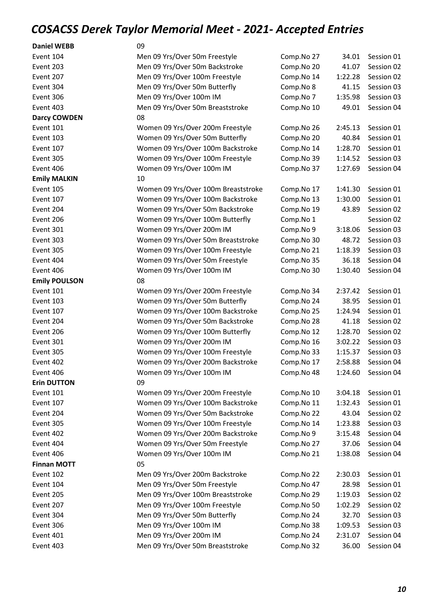| <b>Daniel WEBB</b>   | 09                                  |            |         |            |
|----------------------|-------------------------------------|------------|---------|------------|
| Event 104            | Men 09 Yrs/Over 50m Freestyle       | Comp.No 27 | 34.01   | Session 01 |
| Event 203            | Men 09 Yrs/Over 50m Backstroke      | Comp.No 20 | 41.07   | Session 02 |
| Event 207            | Men 09 Yrs/Over 100m Freestyle      | Comp.No 14 | 1:22.28 | Session 02 |
| Event 304            | Men 09 Yrs/Over 50m Butterfly       | Comp.No 8  | 41.15   | Session 03 |
| Event 306            | Men 09 Yrs/Over 100m IM             | Comp.No 7  | 1:35.98 | Session 03 |
| Event 403            | Men 09 Yrs/Over 50m Breaststroke    | Comp.No 10 | 49.01   | Session 04 |
| <b>Darcy COWDEN</b>  | 08                                  |            |         |            |
| Event 101            | Women 09 Yrs/Over 200m Freestyle    | Comp.No 26 | 2:45.13 | Session 01 |
| Event 103            | Women 09 Yrs/Over 50m Butterfly     | Comp.No 20 | 40.84   | Session 01 |
| Event 107            | Women 09 Yrs/Over 100m Backstroke   | Comp.No 14 | 1:28.70 | Session 01 |
| Event 305            | Women 09 Yrs/Over 100m Freestyle    | Comp.No 39 | 1:14.52 | Session 03 |
| Event 406            | Women 09 Yrs/Over 100m IM           | Comp.No 37 | 1:27.69 | Session 04 |
| <b>Emily MALKIN</b>  | 10                                  |            |         |            |
| Event 105            | Women 09 Yrs/Over 100m Breaststroke | Comp.No 17 | 1:41.30 | Session 01 |
| Event 107            | Women 09 Yrs/Over 100m Backstroke   | Comp.No 13 | 1:30.00 | Session 01 |
| Event 204            | Women 09 Yrs/Over 50m Backstroke    | Comp.No 19 | 43.89   | Session 02 |
| Event 206            | Women 09 Yrs/Over 100m Butterfly    | Comp.No 1  |         | Session 02 |
| Event 301            | Women 09 Yrs/Over 200m IM           | Comp.No 9  | 3:18.06 | Session 03 |
| Event 303            | Women 09 Yrs/Over 50m Breaststroke  | Comp.No 30 | 48.72   | Session 03 |
| Event 305            | Women 09 Yrs/Over 100m Freestyle    | Comp.No 21 | 1:18.39 | Session 03 |
| Event 404            | Women 09 Yrs/Over 50m Freestyle     | Comp.No 35 | 36.18   | Session 04 |
| Event 406            | Women 09 Yrs/Over 100m IM           | Comp.No 30 | 1:30.40 | Session 04 |
| <b>Emily POULSON</b> | 08                                  |            |         |            |
| Event 101            | Women 09 Yrs/Over 200m Freestyle    | Comp.No 34 | 2:37.42 | Session 01 |
| Event 103            | Women 09 Yrs/Over 50m Butterfly     | Comp.No 24 | 38.95   | Session 01 |
| Event 107            | Women 09 Yrs/Over 100m Backstroke   | Comp.No 25 | 1:24.94 | Session 01 |
| Event 204            | Women 09 Yrs/Over 50m Backstroke    | Comp.No 28 | 41.18   | Session 02 |
| Event 206            | Women 09 Yrs/Over 100m Butterfly    | Comp.No 12 | 1:28.70 | Session 02 |
| Event 301            | Women 09 Yrs/Over 200m IM           | Comp.No 16 | 3:02.22 | Session 03 |
| Event 305            | Women 09 Yrs/Over 100m Freestyle    | Comp.No 33 | 1:15.37 | Session 03 |
| Event 402            | Women 09 Yrs/Over 200m Backstroke   | Comp.No 17 | 2:58.88 | Session 04 |
| Event 406            | Women 09 Yrs/Over 100m IM           | Comp.No 48 | 1:24.60 | Session 04 |
| <b>Erin DUTTON</b>   | 09                                  |            |         |            |
| Event 101            | Women 09 Yrs/Over 200m Freestyle    | Comp.No 10 | 3:04.18 | Session 01 |
| Event 107            | Women 09 Yrs/Over 100m Backstroke   | Comp.No 11 | 1:32.43 | Session 01 |
| Event 204            | Women 09 Yrs/Over 50m Backstroke    | Comp.No 22 | 43.04   | Session 02 |
| Event 305            | Women 09 Yrs/Over 100m Freestyle    | Comp.No 14 | 1:23.88 | Session 03 |
| Event 402            | Women 09 Yrs/Over 200m Backstroke   | Comp.No 9  | 3:15.48 | Session 04 |
| Event 404            | Women 09 Yrs/Over 50m Freestyle     | Comp.No 27 | 37.06   | Session 04 |
| Event 406            | Women 09 Yrs/Over 100m IM           | Comp.No 21 | 1:38.08 | Session 04 |
| <b>Finnan MOTT</b>   | 05                                  |            |         |            |
| Event 102            | Men 09 Yrs/Over 200m Backstroke     | Comp.No 22 | 2:30.03 | Session 01 |
| Event 104            | Men 09 Yrs/Over 50m Freestyle       | Comp.No 47 | 28.98   | Session 01 |
|                      |                                     |            |         |            |
| Event 205            | Men 09 Yrs/Over 100m Breaststroke   | Comp.No 29 | 1:19.03 | Session 02 |
| Event 207            | Men 09 Yrs/Over 100m Freestyle      | Comp.No 50 | 1:02.29 | Session 02 |
| Event 304            | Men 09 Yrs/Over 50m Butterfly       | Comp.No 24 | 32.70   | Session 03 |
| Event 306            | Men 09 Yrs/Over 100m IM             | Comp.No 38 | 1:09.53 | Session 03 |
| Event 401            | Men 09 Yrs/Over 200m IM             | Comp.No 24 | 2:31.07 | Session 04 |
| Event 403            | Men 09 Yrs/Over 50m Breaststroke    | Comp.No 32 | 36.00   | Session 04 |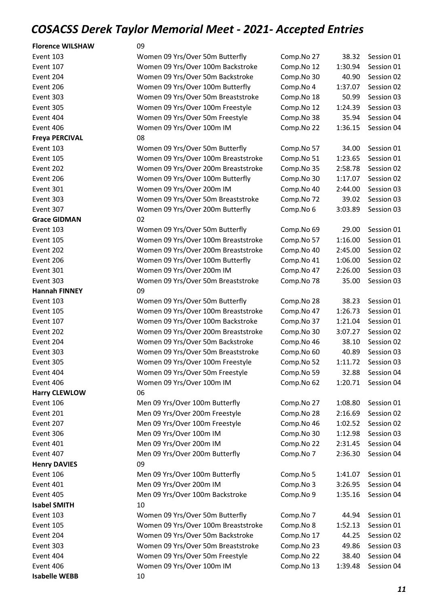| <b>Florence WILSHAW</b> | 09                                  |            |         |            |
|-------------------------|-------------------------------------|------------|---------|------------|
| Event 103               | Women 09 Yrs/Over 50m Butterfly     | Comp.No 27 | 38.32   | Session 01 |
| Event 107               | Women 09 Yrs/Over 100m Backstroke   | Comp.No 12 | 1:30.94 | Session 01 |
| Event 204               | Women 09 Yrs/Over 50m Backstroke    | Comp.No 30 | 40.90   | Session 02 |
| Event 206               | Women 09 Yrs/Over 100m Butterfly    | Comp.No 4  | 1:37.07 | Session 02 |
| Event 303               | Women 09 Yrs/Over 50m Breaststroke  | Comp.No 18 | 50.99   | Session 03 |
| Event 305               | Women 09 Yrs/Over 100m Freestyle    | Comp.No 12 | 1:24.39 | Session 03 |
| Event 404               | Women 09 Yrs/Over 50m Freestyle     | Comp.No 38 | 35.94   | Session 04 |
| Event 406               | Women 09 Yrs/Over 100m IM           | Comp.No 22 | 1:36.15 | Session 04 |
| <b>Freya PERCIVAL</b>   | 08                                  |            |         |            |
| Event 103               | Women 09 Yrs/Over 50m Butterfly     | Comp.No 57 | 34.00   | Session 01 |
| Event 105               | Women 09 Yrs/Over 100m Breaststroke | Comp.No 51 | 1:23.65 | Session 01 |
| Event 202               | Women 09 Yrs/Over 200m Breaststroke | Comp.No 35 | 2:58.78 | Session 02 |
| Event 206               | Women 09 Yrs/Over 100m Butterfly    | Comp.No 30 | 1:17.07 | Session 02 |
| Event 301               | Women 09 Yrs/Over 200m IM           | Comp.No 40 | 2:44.00 | Session 03 |
| Event 303               | Women 09 Yrs/Over 50m Breaststroke  | Comp.No 72 | 39.02   | Session 03 |
| Event 307               | Women 09 Yrs/Over 200m Butterfly    | Comp.No 6  | 3:03.89 | Session 03 |
| <b>Grace GIDMAN</b>     | 02                                  |            |         |            |
| Event 103               | Women 09 Yrs/Over 50m Butterfly     | Comp.No 69 | 29.00   | Session 01 |
| Event 105               | Women 09 Yrs/Over 100m Breaststroke | Comp.No 57 | 1:16.00 | Session 01 |
| Event 202               | Women 09 Yrs/Over 200m Breaststroke | Comp.No 40 | 2:45.00 | Session 02 |
| Event 206               | Women 09 Yrs/Over 100m Butterfly    | Comp.No 41 | 1:06.00 | Session 02 |
| Event 301               | Women 09 Yrs/Over 200m IM           | Comp.No 47 | 2:26.00 | Session 03 |
| Event 303               | Women 09 Yrs/Over 50m Breaststroke  | Comp.No 78 | 35.00   | Session 03 |
| <b>Hannah FINNEY</b>    | 09                                  |            |         |            |
| Event 103               | Women 09 Yrs/Over 50m Butterfly     | Comp.No 28 | 38.23   | Session 01 |
| Event 105               | Women 09 Yrs/Over 100m Breaststroke | Comp.No 47 | 1:26.73 | Session 01 |
| Event 107               | Women 09 Yrs/Over 100m Backstroke   | Comp.No 37 |         | Session 01 |
|                         | Women 09 Yrs/Over 200m Breaststroke |            | 1:21.04 |            |
| Event 202               |                                     | Comp.No 30 | 3:07.27 | Session 02 |
| Event 204               | Women 09 Yrs/Over 50m Backstroke    | Comp.No 46 | 38.10   | Session 02 |
| Event 303               | Women 09 Yrs/Over 50m Breaststroke  | Comp.No 60 | 40.89   | Session 03 |
| Event 305               | Women 09 Yrs/Over 100m Freestyle    | Comp.No 52 | 1:11.72 | Session 03 |
| Event 404               | Women 09 Yrs/Over 50m Freestyle     | Comp.No 59 | 32.88   | Session 04 |
| Event 406               | Women 09 Yrs/Over 100m IM           | Comp.No 62 | 1:20.71 | Session 04 |
| <b>Harry CLEWLOW</b>    | 06                                  |            |         |            |
| Event 106               | Men 09 Yrs/Over 100m Butterfly      | Comp.No 27 | 1:08.80 | Session 01 |
| Event 201               | Men 09 Yrs/Over 200m Freestyle      | Comp.No 28 | 2:16.69 | Session 02 |
| Event 207               | Men 09 Yrs/Over 100m Freestyle      | Comp.No 46 | 1:02.52 | Session 02 |
| Event 306               | Men 09 Yrs/Over 100m IM             | Comp.No 30 | 1:12.98 | Session 03 |
| Event 401               | Men 09 Yrs/Over 200m IM             | Comp.No 22 | 2:31.45 | Session 04 |
| Event 407               | Men 09 Yrs/Over 200m Butterfly      | Comp.No 7  | 2:36.30 | Session 04 |
| <b>Henry DAVIES</b>     | 09                                  |            |         |            |
| Event 106               | Men 09 Yrs/Over 100m Butterfly      | Comp.No 5  | 1:41.07 | Session 01 |
| Event 401               | Men 09 Yrs/Over 200m IM             | Comp.No 3  | 3:26.95 | Session 04 |
| Event 405               | Men 09 Yrs/Over 100m Backstroke     | Comp.No 9  | 1:35.16 | Session 04 |
| <b>Isabel SMITH</b>     | 10                                  |            |         |            |
| Event 103               | Women 09 Yrs/Over 50m Butterfly     | Comp.No 7  | 44.94   | Session 01 |
| Event 105               | Women 09 Yrs/Over 100m Breaststroke | Comp.No 8  | 1:52.13 | Session 01 |
| Event 204               | Women 09 Yrs/Over 50m Backstroke    | Comp.No 17 | 44.25   | Session 02 |
| Event 303               | Women 09 Yrs/Over 50m Breaststroke  | Comp.No 23 | 49.86   | Session 03 |
| Event 404               | Women 09 Yrs/Over 50m Freestyle     | Comp.No 22 | 38.40   | Session 04 |
| Event 406               | Women 09 Yrs/Over 100m IM           | Comp.No 13 | 1:39.48 | Session 04 |
| <b>Isabelle WEBB</b>    | 10                                  |            |         |            |

*11*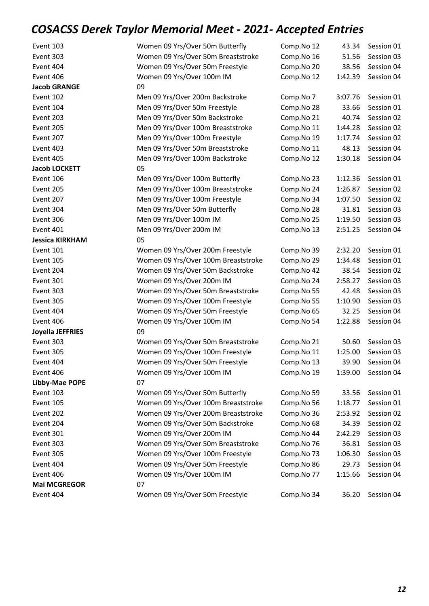| Event 103              | Women 09 Yrs/Over 50m Butterfly     | Comp.No 12 | 43.34   | Session 01       |
|------------------------|-------------------------------------|------------|---------|------------------|
| Event 303              | Women 09 Yrs/Over 50m Breaststroke  | Comp.No 16 | 51.56   | Session 03       |
| Event 404              | Women 09 Yrs/Over 50m Freestyle     | Comp.No 20 | 38.56   | Session 04       |
| Event 406              | Women 09 Yrs/Over 100m IM           | Comp.No 12 | 1:42.39 | Session 04       |
| <b>Jacob GRANGE</b>    | 09                                  |            |         |                  |
| Event 102              | Men 09 Yrs/Over 200m Backstroke     | Comp.No 7  | 3:07.76 | Session 01       |
| Event 104              | Men 09 Yrs/Over 50m Freestyle       | Comp.No 28 | 33.66   | Session 01       |
| Event 203              | Men 09 Yrs/Over 50m Backstroke      | Comp.No 21 | 40.74   | Session 02       |
| Event 205              | Men 09 Yrs/Over 100m Breaststroke   | Comp.No 11 | 1:44.28 | Session 02       |
| Event 207              | Men 09 Yrs/Over 100m Freestyle      | Comp.No 19 | 1:17.74 | Session 02       |
| Event 403              | Men 09 Yrs/Over 50m Breaststroke    | Comp.No 11 | 48.13   | Session 04       |
| Event 405              | Men 09 Yrs/Over 100m Backstroke     | Comp.No 12 | 1:30.18 | Session 04       |
| <b>Jacob LOCKETT</b>   | 05                                  |            |         |                  |
| Event 106              | Men 09 Yrs/Over 100m Butterfly      | Comp.No 23 | 1:12.36 | Session 01       |
| Event 205              | Men 09 Yrs/Over 100m Breaststroke   | Comp.No 24 | 1:26.87 | Session 02       |
| Event 207              | Men 09 Yrs/Over 100m Freestyle      | Comp.No 34 | 1:07.50 | Session 02       |
| Event 304              | Men 09 Yrs/Over 50m Butterfly       | Comp.No 28 | 31.81   | Session 03       |
| Event 306              | Men 09 Yrs/Over 100m IM             | Comp.No 25 | 1:19.50 | Session 03       |
| Event 401              | Men 09 Yrs/Over 200m IM             | Comp.No 13 | 2:51.25 | Session 04       |
| <b>Jessica KIRKHAM</b> | 05                                  |            |         |                  |
| Event 101              | Women 09 Yrs/Over 200m Freestyle    | Comp.No 39 | 2:32.20 | Session 01       |
| Event 105              | Women 09 Yrs/Over 100m Breaststroke | Comp.No 29 | 1:34.48 | Session 01       |
| Event 204              | Women 09 Yrs/Over 50m Backstroke    | Comp.No 42 | 38.54   | Session 02       |
| Event 301              | Women 09 Yrs/Over 200m IM           | Comp.No 24 | 2:58.27 | Session 03       |
| Event 303              | Women 09 Yrs/Over 50m Breaststroke  | Comp.No 55 | 42.48   | Session 03       |
| Event 305              | Women 09 Yrs/Over 100m Freestyle    | Comp.No 55 | 1:10.90 | Session 03       |
| Event 404              | Women 09 Yrs/Over 50m Freestyle     | Comp.No 65 | 32.25   | Session 04       |
| Event 406              | Women 09 Yrs/Over 100m IM           | Comp.No 54 | 1:22.88 | Session 04       |
| Joyella JEFFRIES       | 09                                  |            |         |                  |
| Event 303              | Women 09 Yrs/Over 50m Breaststroke  | Comp.No 21 | 50.60   | Session 03       |
| Event 305              | Women 09 Yrs/Over 100m Freestyle    | Comp.No 11 | 1:25.00 | Session 03       |
| Event 404              | Women 09 Yrs/Over 50m Freestyle     | Comp.No 13 |         | 39.90 Session 04 |
| Event 406              | Women 09 Yrs/Over 100m IM           | Comp.No 19 | 1:39.00 | Session 04       |
| Libby-Mae POPE         | 07                                  |            |         |                  |
| Event 103              | Women 09 Yrs/Over 50m Butterfly     | Comp.No 59 | 33.56   | Session 01       |
| Event 105              | Women 09 Yrs/Over 100m Breaststroke | Comp.No 56 | 1:18.77 | Session 01       |
| Event 202              | Women 09 Yrs/Over 200m Breaststroke | Comp.No 36 | 2:53.92 | Session 02       |
| Event 204              | Women 09 Yrs/Over 50m Backstroke    | Comp.No 68 | 34.39   | Session 02       |
| Event 301              | Women 09 Yrs/Over 200m IM           | Comp.No 44 | 2:42.29 | Session 03       |
| Event 303              | Women 09 Yrs/Over 50m Breaststroke  | Comp.No 76 | 36.81   | Session 03       |
| Event 305              | Women 09 Yrs/Over 100m Freestyle    | Comp.No 73 | 1:06.30 | Session 03       |
| Event 404              | Women 09 Yrs/Over 50m Freestyle     | Comp.No 86 | 29.73   | Session 04       |
| Event 406              | Women 09 Yrs/Over 100m IM           | Comp.No 77 | 1:15.66 | Session 04       |
| <b>Mai MCGREGOR</b>    | 07                                  |            |         |                  |
| Event 404              | Women 09 Yrs/Over 50m Freestyle     | Comp.No 34 | 36.20   | Session 04       |
|                        |                                     |            |         |                  |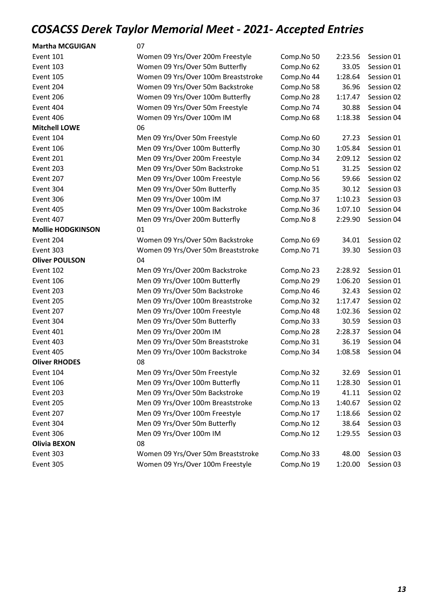| <b>Martha MCGUIGAN</b>   | 07                                  |            |         |            |
|--------------------------|-------------------------------------|------------|---------|------------|
| Event 101                | Women 09 Yrs/Over 200m Freestyle    | Comp.No 50 | 2:23.56 | Session 01 |
| Event 103                | Women 09 Yrs/Over 50m Butterfly     | Comp.No 62 | 33.05   | Session 01 |
| Event 105                | Women 09 Yrs/Over 100m Breaststroke | Comp.No 44 | 1:28.64 | Session 01 |
| Event 204                | Women 09 Yrs/Over 50m Backstroke    | Comp.No 58 | 36.96   | Session 02 |
| Event 206                | Women 09 Yrs/Over 100m Butterfly    | Comp.No 28 | 1:17.47 | Session 02 |
| Event 404                | Women 09 Yrs/Over 50m Freestyle     | Comp.No 74 | 30.88   | Session 04 |
| Event 406                | Women 09 Yrs/Over 100m IM           | Comp.No 68 | 1:18.38 | Session 04 |
| <b>Mitchell LOWE</b>     | 06                                  |            |         |            |
| Event 104                | Men 09 Yrs/Over 50m Freestyle       | Comp.No 60 | 27.23   | Session 01 |
| Event 106                | Men 09 Yrs/Over 100m Butterfly      | Comp.No 30 | 1:05.84 | Session 01 |
| Event 201                | Men 09 Yrs/Over 200m Freestyle      | Comp.No 34 | 2:09.12 | Session 02 |
| Event 203                | Men 09 Yrs/Over 50m Backstroke      | Comp.No 51 | 31.25   | Session 02 |
| Event 207                | Men 09 Yrs/Over 100m Freestyle      | Comp.No 56 | 59.66   | Session 02 |
| Event 304                | Men 09 Yrs/Over 50m Butterfly       | Comp.No 35 | 30.12   | Session 03 |
| Event 306                | Men 09 Yrs/Over 100m IM             | Comp.No 37 | 1:10.23 | Session 03 |
| Event 405                | Men 09 Yrs/Over 100m Backstroke     | Comp.No 36 | 1:07.10 | Session 04 |
| Event 407                | Men 09 Yrs/Over 200m Butterfly      | Comp.No 8  | 2:29.90 | Session 04 |
| <b>Mollie HODGKINSON</b> | 01                                  |            |         |            |
| Event 204                | Women 09 Yrs/Over 50m Backstroke    | Comp.No 69 | 34.01   | Session 02 |
| Event 303                | Women 09 Yrs/Over 50m Breaststroke  | Comp.No 71 | 39.30   | Session 03 |
| <b>Oliver POULSON</b>    | 04                                  |            |         |            |
| Event 102                | Men 09 Yrs/Over 200m Backstroke     | Comp.No 23 | 2:28.92 | Session 01 |
| Event 106                | Men 09 Yrs/Over 100m Butterfly      | Comp.No 29 | 1:06.20 | Session 01 |
| Event 203                | Men 09 Yrs/Over 50m Backstroke      | Comp.No 46 | 32.43   | Session 02 |
| Event 205                | Men 09 Yrs/Over 100m Breaststroke   | Comp.No 32 | 1:17.47 | Session 02 |
| Event 207                | Men 09 Yrs/Over 100m Freestyle      | Comp.No 48 | 1:02.36 | Session 02 |
| Event 304                | Men 09 Yrs/Over 50m Butterfly       | Comp.No 33 | 30.59   | Session 03 |
| Event 401                | Men 09 Yrs/Over 200m IM             | Comp.No 28 | 2:28.37 | Session 04 |
| Event 403                | Men 09 Yrs/Over 50m Breaststroke    | Comp.No 31 | 36.19   | Session 04 |
| Event 405                | Men 09 Yrs/Over 100m Backstroke     | Comp.No 34 | 1:08.58 | Session 04 |
| <b>Oliver RHODES</b>     | 08                                  |            |         |            |
| Event 104                | Men 09 Yrs/Over 50m Freestyle       | Comp.No 32 | 32.69   | Session 01 |
| Event 106                | Men 09 Yrs/Over 100m Butterfly      | Comp.No 11 | 1:28.30 | Session 01 |
| Event 203                | Men 09 Yrs/Over 50m Backstroke      | Comp.No 19 | 41.11   | Session 02 |
| Event 205                | Men 09 Yrs/Over 100m Breaststroke   | Comp.No 13 | 1:40.67 | Session 02 |
| Event 207                | Men 09 Yrs/Over 100m Freestyle      | Comp.No 17 | 1:18.66 | Session 02 |
| Event 304                | Men 09 Yrs/Over 50m Butterfly       | Comp.No 12 | 38.64   | Session 03 |
| Event 306                | Men 09 Yrs/Over 100m IM             | Comp.No 12 | 1:29.55 | Session 03 |
| <b>Olivia BEXON</b>      | 08                                  |            |         |            |
| Event 303                | Women 09 Yrs/Over 50m Breaststroke  | Comp.No 33 | 48.00   | Session 03 |
| Event 305                | Women 09 Yrs/Over 100m Freestyle    | Comp.No 19 | 1:20.00 | Session 03 |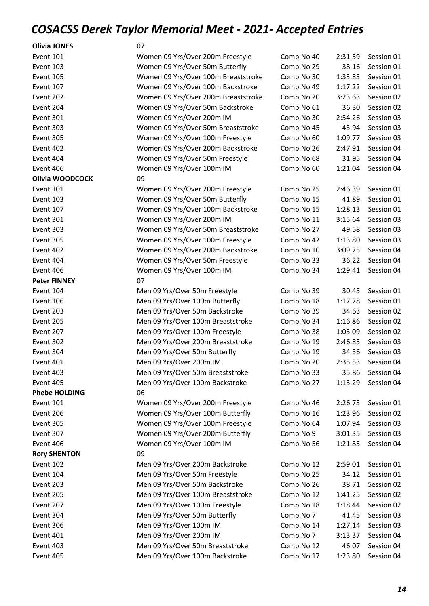#### Olivia JONES 07

| Event 101            | Women 09 Yrs/Over 200m Freestyle    | Comp.No 40 | 2:31.59 | Session 01 |
|----------------------|-------------------------------------|------------|---------|------------|
| Event 103            | Women 09 Yrs/Over 50m Butterfly     | Comp.No 29 | 38.16   | Session 01 |
| Event 105            | Women 09 Yrs/Over 100m Breaststroke | Comp.No 30 | 1:33.83 | Session 01 |
| Event 107            | Women 09 Yrs/Over 100m Backstroke   | Comp.No 49 | 1:17.22 | Session 01 |
| Event 202            | Women 09 Yrs/Over 200m Breaststroke | Comp.No 20 | 3:23.63 | Session 02 |
| Event 204            | Women 09 Yrs/Over 50m Backstroke    | Comp.No 61 | 36.30   | Session 02 |
| Event 301            | Women 09 Yrs/Over 200m IM           | Comp.No 30 | 2:54.26 | Session 03 |
| Event 303            | Women 09 Yrs/Over 50m Breaststroke  | Comp.No 45 | 43.94   | Session 03 |
| Event 305            | Women 09 Yrs/Over 100m Freestyle    | Comp.No 60 | 1:09.77 | Session 03 |
| Event 402            | Women 09 Yrs/Over 200m Backstroke   | Comp.No 26 | 2:47.91 | Session 04 |
| Event 404            | Women 09 Yrs/Over 50m Freestyle     | Comp.No 68 | 31.95   | Session 04 |
| Event 406            | Women 09 Yrs/Over 100m IM           | Comp.No 60 | 1:21.04 | Session 04 |
| Olivia WOODCOCK      | 09                                  |            |         |            |
| Event 101            | Women 09 Yrs/Over 200m Freestyle    | Comp.No 25 | 2:46.39 | Session 01 |
| Event 103            | Women 09 Yrs/Over 50m Butterfly     | Comp.No 15 | 41.89   | Session 01 |
| Event 107            | Women 09 Yrs/Over 100m Backstroke   | Comp.No 15 | 1:28.13 | Session 01 |
| Event 301            | Women 09 Yrs/Over 200m IM           | Comp.No 11 | 3:15.64 | Session 03 |
| Event 303            | Women 09 Yrs/Over 50m Breaststroke  | Comp.No 27 | 49.58   | Session 03 |
| Event 305            | Women 09 Yrs/Over 100m Freestyle    | Comp.No 42 | 1:13.80 | Session 03 |
| Event 402            | Women 09 Yrs/Over 200m Backstroke   | Comp.No 10 | 3:09.75 | Session 04 |
| Event 404            | Women 09 Yrs/Over 50m Freestyle     | Comp.No 33 | 36.22   | Session 04 |
| Event 406            | Women 09 Yrs/Over 100m IM           | Comp.No 34 | 1:29.41 | Session 04 |
| <b>Peter FINNEY</b>  | 07                                  |            |         |            |
| Event 104            | Men 09 Yrs/Over 50m Freestyle       | Comp.No 39 | 30.45   | Session 01 |
| Event 106            | Men 09 Yrs/Over 100m Butterfly      | Comp.No 18 | 1:17.78 | Session 01 |
| Event 203            | Men 09 Yrs/Over 50m Backstroke      | Comp.No 39 | 34.63   | Session 02 |
| Event 205            | Men 09 Yrs/Over 100m Breaststroke   | Comp.No 34 | 1:16.86 | Session 02 |
| Event 207            | Men 09 Yrs/Over 100m Freestyle      | Comp.No 38 | 1:05.09 | Session 02 |
| Event 302            | Men 09 Yrs/Over 200m Breaststroke   | Comp.No 19 | 2:46.85 | Session 03 |
| Event 304            | Men 09 Yrs/Over 50m Butterfly       | Comp.No 19 | 34.36   | Session 03 |
| Event 401            | Men 09 Yrs/Over 200m IM             | Comp.No 20 | 2:35.53 | Session 04 |
| Event 403            | Men 09 Yrs/Over 50m Breaststroke    | Comp.No 33 | 35.86   | Session 04 |
| Event 405            | Men 09 Yrs/Over 100m Backstroke     | Comp.No 27 | 1:15.29 | Session 04 |
| <b>Phebe HOLDING</b> | 06                                  |            |         |            |
| Event 101            | Women 09 Yrs/Over 200m Freestyle    | Comp.No 46 | 2:26.73 | Session 01 |
| Event 206            | Women 09 Yrs/Over 100m Butterfly    | Comp.No 16 | 1:23.96 | Session 02 |
| Event 305            | Women 09 Yrs/Over 100m Freestyle    | Comp.No 64 | 1:07.94 | Session 03 |
| Event 307            | Women 09 Yrs/Over 200m Butterfly    | Comp.No 9  | 3:01.35 | Session 03 |
| Event 406            | Women 09 Yrs/Over 100m IM           | Comp.No 56 | 1:21.85 | Session 04 |
| <b>Rory SHENTON</b>  | 09                                  |            |         |            |
| Event 102            | Men 09 Yrs/Over 200m Backstroke     | Comp.No 12 | 2:59.01 | Session 01 |
| Event 104            | Men 09 Yrs/Over 50m Freestyle       | Comp.No 25 | 34.12   | Session 01 |
| Event 203            | Men 09 Yrs/Over 50m Backstroke      | Comp.No 26 | 38.71   | Session 02 |
| Event 205            | Men 09 Yrs/Over 100m Breaststroke   | Comp.No 12 | 1:41.25 | Session 02 |
| Event 207            | Men 09 Yrs/Over 100m Freestyle      | Comp.No 18 | 1:18.44 | Session 02 |
| Event 304            | Men 09 Yrs/Over 50m Butterfly       | Comp.No 7  | 41.45   | Session 03 |
| Event 306            | Men 09 Yrs/Over 100m IM             | Comp.No 14 | 1:27.14 | Session 03 |
| Event 401            | Men 09 Yrs/Over 200m IM             | Comp.No 7  | 3:13.37 | Session 04 |
| Event 403            | Men 09 Yrs/Over 50m Breaststroke    | Comp.No 12 | 46.07   | Session 04 |
| Event 405            | Men 09 Yrs/Over 100m Backstroke     | Comp.No 17 | 1:23.80 | Session 04 |
|                      |                                     |            |         |            |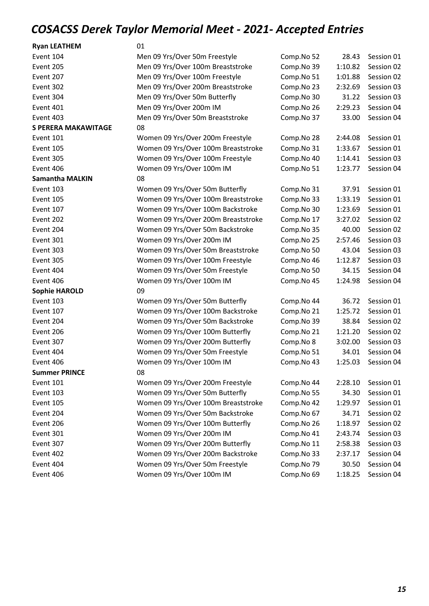Event 404 **Women 09 Yrs/Over 50m Freestyle** Comp. Event 406 Momen 09 Yrs/Over 100m IM Comp.

| Event 104                  | Men 09 Yrs/Over 50m Freestyle       | Comp.No 52 | 28.43   | Session 01 |
|----------------------------|-------------------------------------|------------|---------|------------|
| Event 205                  | Men 09 Yrs/Over 100m Breaststroke   | Comp.No 39 | 1:10.82 | Session 02 |
| Event 207                  | Men 09 Yrs/Over 100m Freestyle      | Comp.No 51 | 1:01.88 | Session 02 |
| Event 302                  | Men 09 Yrs/Over 200m Breaststroke   | Comp.No 23 | 2:32.69 | Session 03 |
| Event 304                  | Men 09 Yrs/Over 50m Butterfly       | Comp.No 30 | 31.22   | Session 03 |
| Event 401                  | Men 09 Yrs/Over 200m IM             | Comp.No 26 | 2:29.23 | Session 04 |
| Event 403                  | Men 09 Yrs/Over 50m Breaststroke    | Comp.No 37 | 33.00   | Session 04 |
| <b>S PERERA MAKAWITAGE</b> | 08                                  |            |         |            |
| Event 101                  | Women 09 Yrs/Over 200m Freestyle    | Comp.No 28 | 2:44.08 | Session 01 |
| Event 105                  | Women 09 Yrs/Over 100m Breaststroke | Comp.No 31 | 1:33.67 | Session 01 |
| Event 305                  | Women 09 Yrs/Over 100m Freestyle    | Comp.No 40 | 1:14.41 | Session 03 |
| Event 406                  | Women 09 Yrs/Over 100m IM           | Comp.No 51 | 1:23.77 | Session 04 |
| <b>Samantha MALKIN</b>     | 08                                  |            |         |            |
| Event 103                  | Women 09 Yrs/Over 50m Butterfly     | Comp.No 31 | 37.91   | Session 01 |
| Event 105                  | Women 09 Yrs/Over 100m Breaststroke | Comp.No 33 | 1:33.19 | Session 01 |
| Event 107                  | Women 09 Yrs/Over 100m Backstroke   | Comp.No 30 | 1:23.69 | Session 01 |
| Event 202                  | Women 09 Yrs/Over 200m Breaststroke | Comp.No 17 | 3:27.02 | Session 02 |
| Event 204                  | Women 09 Yrs/Over 50m Backstroke    | Comp.No 35 | 40.00   | Session 02 |
| Event 301                  | Women 09 Yrs/Over 200m IM           | Comp.No 25 | 2:57.46 | Session 03 |
| Event 303                  | Women 09 Yrs/Over 50m Breaststroke  | Comp.No 50 | 43.04   | Session 03 |
| Event 305                  | Women 09 Yrs/Over 100m Freestyle    | Comp.No 46 | 1:12.87 | Session 03 |
| Event 404                  | Women 09 Yrs/Over 50m Freestyle     | Comp.No 50 | 34.15   | Session 04 |
| Event 406                  | Women 09 Yrs/Over 100m IM           | Comp.No 45 | 1:24.98 | Session 04 |
| <b>Sophie HAROLD</b>       | 09                                  |            |         |            |
| Event 103                  | Women 09 Yrs/Over 50m Butterfly     | Comp.No 44 | 36.72   | Session 01 |
| Event 107                  | Women 09 Yrs/Over 100m Backstroke   | Comp.No 21 | 1:25.72 | Session 01 |
| Event 204                  | Women 09 Yrs/Over 50m Backstroke    | Comp.No 39 | 38.84   | Session 02 |
| Event 206                  | Women 09 Yrs/Over 100m Butterfly    | Comp.No 21 | 1:21.20 | Session 02 |
| Event 307                  | Women 09 Yrs/Over 200m Butterfly    | Comp.No 8  | 3:02.00 | Session 03 |
| Event 404                  | Women 09 Yrs/Over 50m Freestyle     | Comp.No 51 | 34.01   | Session 04 |
| Event 406                  | Women 09 Yrs/Over 100m IM           | Comp.No 43 | 1:25.03 | Session 04 |
| <b>Summer PRINCE</b>       | 08                                  |            |         |            |
| Event 101                  | Women 09 Yrs/Over 200m Freestyle    | Comp.No 44 | 2:28.10 | Session 01 |
| Event 103                  | Women 09 Yrs/Over 50m Butterfly     | Comp.No 55 | 34.30   | Session 01 |
| Event 105                  | Women 09 Yrs/Over 100m Breaststroke | Comp.No 42 | 1:29.97 | Session 01 |
| Event 204                  | Women 09 Yrs/Over 50m Backstroke    | Comp.No 67 | 34.71   | Session 02 |
| Event 206                  | Women 09 Yrs/Over 100m Butterfly    | Comp.No 26 | 1:18.97 | Session 02 |
| Event 301                  | Women 09 Yrs/Over 200m IM           | Comp.No 41 | 2:43.74 | Session 03 |
| Event 307                  | Women 09 Yrs/Over 200m Butterfly    | Comp.No 11 | 2:58.38 | Session 03 |
| Event 402                  | Women 09 Yrs/Over 200m Backstroke   | Comp.No 33 | 2:37.17 | Session 04 |

| omp.No 52 | 28.43   | Session 01 |
|-----------|---------|------------|
| omp.No 39 | 1:10.82 | Session 02 |
| omp.No 51 | 1:01.88 | Session 02 |
| omp.No 23 | 2:32.69 | Session 03 |
| omp.No 30 | 31.22   | Session 03 |
| omp.No 26 | 2:29.23 | Session 04 |
| omp.No 37 | 33.00   | Session 04 |
|           |         |            |
| omp.No 28 | 2:44.08 | Session 01 |
| omp.No 31 | 1:33.67 | Session 01 |
| omp.No 40 | 1:14.41 | Session 03 |
| omp.No 51 | 1:23.77 | Session 04 |
| omp.No 31 | 37.91   | Session 01 |
| omp.No 33 | 1:33.19 | Session 01 |
| omp.No 30 | 1:23.69 | Session 01 |
| omp.No 17 | 3:27.02 | Session 02 |
| omp.No 35 | 40.00   | Session 02 |
| omp.No 25 | 2:57.46 | Session 03 |
| omp.No 50 | 43.04   | Session 03 |
| omp.No 46 | 1:12.87 | Session 03 |
| omp.No 50 | 34.15   | Session 04 |
| omp.No 45 | 1:24.98 | Session 04 |
| omp.No 44 | 36.72   | Session 01 |
| omp.No 21 | 1:25.72 | Session 01 |
| omp.No 39 | 38.84   | Session 02 |
| omp.No 21 | 1:21.20 | Session 02 |
| omp.No 8  | 3:02.00 | Session 03 |
| omp.No 51 | 34.01   | Session 04 |
| omp.No 43 | 1:25.03 | Session 04 |
|           |         |            |
| omp.No 44 | 2:28.10 | Session 01 |
| omp.No 55 | 34.30   | Session 01 |
| omp.No 42 | 1:29.97 | Session 01 |
| omp.No 67 | 34.71   | Session 02 |
| omp.No 26 | 1:18.97 | Session 02 |
| omp.No 41 | 2:43.74 | Session 03 |
| omp.No 11 | 2:58.38 | Session 03 |
| omp.No 33 | 2:37.17 | Session 04 |
| omp.No 79 | 30.50   | Session 04 |
| omp.No 69 | 1:18.25 | Session 04 |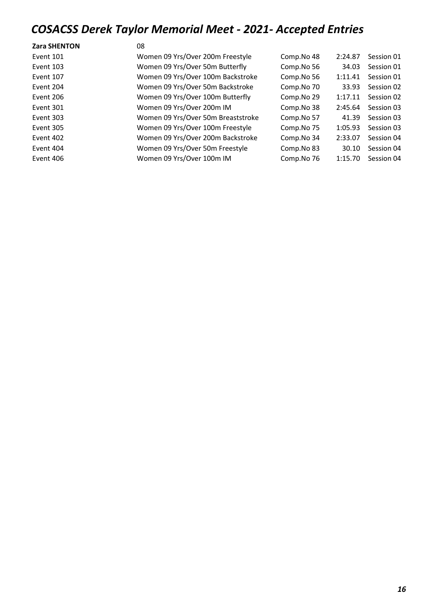| <b>Zara SHENTON</b> | 08                                 |            |         |            |
|---------------------|------------------------------------|------------|---------|------------|
| Event 101           | Women 09 Yrs/Over 200m Freestyle   | Comp.No 48 | 2:24.87 | Session 01 |
| Event 103           | Women 09 Yrs/Over 50m Butterfly    | Comp.No 56 | 34.03   | Session 01 |
| Event 107           | Women 09 Yrs/Over 100m Backstroke  | Comp.No 56 | 1:11.41 | Session 01 |
| Event 204           | Women 09 Yrs/Over 50m Backstroke   | Comp.No 70 | 33.93   | Session 02 |
| Event 206           | Women 09 Yrs/Over 100m Butterfly   | Comp.No 29 | 1:17.11 | Session 02 |
| Event 301           | Women 09 Yrs/Over 200m IM          | Comp.No 38 | 2:45.64 | Session 03 |
| Event 303           | Women 09 Yrs/Over 50m Breaststroke | Comp.No 57 | 41.39   | Session 03 |
| Event 305           | Women 09 Yrs/Over 100m Freestyle   | Comp.No 75 | 1:05.93 | Session 03 |
| Event 402           | Women 09 Yrs/Over 200m Backstroke  | Comp.No 34 | 2:33.07 | Session 04 |
| Event 404           | Women 09 Yrs/Over 50m Freestyle    | Comp.No 83 | 30.10   | Session 04 |
| Event 406           | Women 09 Yrs/Over 100m IM          | Comp.No 76 | 1:15.70 | Session 04 |
|                     |                                    |            |         |            |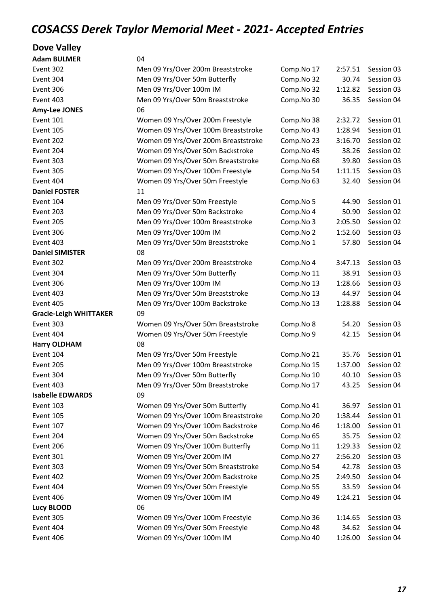#### Dove Valley

| Men 09 Yrs/Over 200m Breaststroke                            | Comp.No 17                                                                                                                                         | 2:57.51                  | Session 03               |
|--------------------------------------------------------------|----------------------------------------------------------------------------------------------------------------------------------------------------|--------------------------|--------------------------|
| Men 09 Yrs/Over 50m Butterfly                                | Comp.No 32                                                                                                                                         | 30.74                    | Session 03               |
| Men 09 Yrs/Over 100m IM                                      | Comp.No 32                                                                                                                                         | 1:12.82                  | Session 03               |
| Men 09 Yrs/Over 50m Breaststroke                             | Comp.No 30                                                                                                                                         | 36.35                    | Session 04               |
| 06                                                           |                                                                                                                                                    |                          |                          |
| Women 09 Yrs/Over 200m Freestyle                             | Comp.No 38                                                                                                                                         | 2:32.72                  | Session 01               |
| Women 09 Yrs/Over 100m Breaststroke                          | Comp.No 43                                                                                                                                         | 1:28.94                  | Session 01               |
| Women 09 Yrs/Over 200m Breaststroke                          | Comp.No 23                                                                                                                                         | 3:16.70                  | Session 02               |
| Women 09 Yrs/Over 50m Backstroke                             | Comp.No 45                                                                                                                                         | 38.26                    | Session 02               |
| Women 09 Yrs/Over 50m Breaststroke                           | Comp.No 68                                                                                                                                         | 39.80                    | Session 03               |
| Women 09 Yrs/Over 100m Freestyle                             | Comp.No 54                                                                                                                                         | 1:11.15                  | Session 03               |
| Women 09 Yrs/Over 50m Freestyle                              | Comp.No 63                                                                                                                                         | 32.40                    | Session 04               |
| 11                                                           |                                                                                                                                                    |                          |                          |
| Men 09 Yrs/Over 50m Freestyle                                | Comp.No 5                                                                                                                                          | 44.90                    | Session 01               |
| Men 09 Yrs/Over 50m Backstroke                               | Comp.No 4                                                                                                                                          | 50.90                    | Session 02               |
| Men 09 Yrs/Over 100m Breaststroke                            | Comp.No 3                                                                                                                                          | 2:05.50                  | Session 02               |
| Men 09 Yrs/Over 100m IM                                      | Comp.No 2                                                                                                                                          | 1:52.60                  | Session 03               |
| Men 09 Yrs/Over 50m Breaststroke                             | Comp.No 1                                                                                                                                          | 57.80                    | Session 04               |
| 08                                                           |                                                                                                                                                    |                          |                          |
| Men 09 Yrs/Over 200m Breaststroke                            | Comp.No 4                                                                                                                                          | 3:47.13                  | Session 03               |
| Men 09 Yrs/Over 50m Butterfly                                | Comp.No 11                                                                                                                                         | 38.91                    | Session 03               |
| Men 09 Yrs/Over 100m IM                                      | Comp.No 13                                                                                                                                         | 1:28.66                  | Session 03               |
| Men 09 Yrs/Over 50m Breaststroke                             | Comp.No 13                                                                                                                                         | 44.97                    | Session 04               |
| Men 09 Yrs/Over 100m Backstroke                              | Comp.No 13                                                                                                                                         | 1:28.88                  | Session 04               |
| 09                                                           |                                                                                                                                                    |                          |                          |
| Women 09 Yrs/Over 50m Breaststroke                           | Comp.No 8                                                                                                                                          | 54.20                    | Session 03               |
| Women 09 Yrs/Over 50m Freestyle                              | Comp.No 9                                                                                                                                          | 42.15                    | Session 04               |
| 08                                                           |                                                                                                                                                    |                          |                          |
| Men 09 Yrs/Over 50m Freestyle                                | Comp.No 21                                                                                                                                         | 35.76                    | Session 01               |
| Men 09 Yrs/Over 100m Breaststroke                            | Comp.No 15                                                                                                                                         | 1:37.00                  | Session 02               |
|                                                              | Comp.No 10                                                                                                                                         | 40.10                    | Session 03               |
| Men 09 Yrs/Over 50m Breaststroke                             | Comp.No 17                                                                                                                                         | 43.25                    | Session 04               |
| 09                                                           |                                                                                                                                                    |                          |                          |
|                                                              | Comp.No 41                                                                                                                                         | 36.97                    | Session 01               |
|                                                              |                                                                                                                                                    | 1:38.44                  | Session 01               |
|                                                              | Comp.No 46                                                                                                                                         | 1:18.00                  | Session 01               |
| Women 09 Yrs/Over 50m Backstroke                             | Comp.No 65                                                                                                                                         | 35.75                    | Session 02               |
| Women 09 Yrs/Over 100m Butterfly                             |                                                                                                                                                    | 1:29.33                  | Session 02               |
| Women 09 Yrs/Over 200m IM                                    | Comp.No 27                                                                                                                                         | 2:56.20                  | Session 03               |
| Women 09 Yrs/Over 50m Breaststroke                           | Comp.No 54                                                                                                                                         | 42.78                    | Session 03               |
| Women 09 Yrs/Over 200m Backstroke                            | Comp.No 25                                                                                                                                         | 2:49.50                  | Session 04               |
| Women 09 Yrs/Over 50m Freestyle                              | Comp.No 55                                                                                                                                         | 33.59                    | Session 04               |
| Women 09 Yrs/Over 100m IM                                    | Comp.No 49                                                                                                                                         | 1:24.21                  | Session 04               |
|                                                              |                                                                                                                                                    |                          |                          |
| 06                                                           |                                                                                                                                                    |                          |                          |
| Women 09 Yrs/Over 100m Freestyle                             | Comp.No 36                                                                                                                                         | 1:14.65                  | Session 03               |
| Women 09 Yrs/Over 50m Freestyle<br>Women 09 Yrs/Over 100m IM | Comp.No 48<br>Comp.No 40                                                                                                                           | 34.62<br>1:26.00         | Session 04<br>Session 04 |
|                                                              | 04<br>Men 09 Yrs/Over 50m Butterfly<br>Women 09 Yrs/Over 50m Butterfly<br>Women 09 Yrs/Over 100m Breaststroke<br>Women 09 Yrs/Over 100m Backstroke | Comp.No 20<br>Comp.No 11 |                          |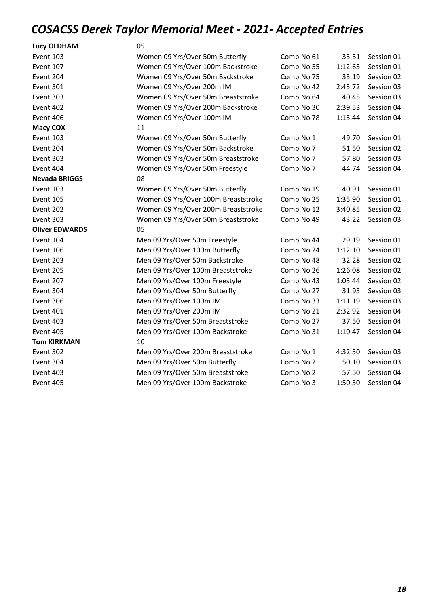| <b>Lucy OLDHAM</b>    | 05                                  |            |         |            |
|-----------------------|-------------------------------------|------------|---------|------------|
| Event 103             | Women 09 Yrs/Over 50m Butterfly     | Comp.No 61 | 33.31   | Session 01 |
| Event 107             | Women 09 Yrs/Over 100m Backstroke   | Comp.No 55 | 1:12.63 | Session 01 |
| Event 204             | Women 09 Yrs/Over 50m Backstroke    | Comp.No 75 | 33.19   | Session 02 |
| Event 301             | Women 09 Yrs/Over 200m IM           | Comp.No 42 | 2:43.72 | Session 03 |
| Event 303             | Women 09 Yrs/Over 50m Breaststroke  | Comp.No 64 | 40.45   | Session 03 |
| Event 402             | Women 09 Yrs/Over 200m Backstroke   | Comp.No 30 | 2:39.53 | Session 04 |
| Event 406             | Women 09 Yrs/Over 100m IM           | Comp.No 78 | 1:15.44 | Session 04 |
| <b>Macy COX</b>       | 11                                  |            |         |            |
| Event 103             | Women 09 Yrs/Over 50m Butterfly     | Comp.No 1  | 49.70   | Session 01 |
| Event 204             | Women 09 Yrs/Over 50m Backstroke    | Comp.No 7  | 51.50   | Session 02 |
| Event 303             | Women 09 Yrs/Over 50m Breaststroke  | Comp.No 7  | 57.80   | Session 03 |
| Event 404             | Women 09 Yrs/Over 50m Freestyle     | Comp.No 7  | 44.74   | Session 04 |
| <b>Nevada BRIGGS</b>  | 08                                  |            |         |            |
| Event 103             | Women 09 Yrs/Over 50m Butterfly     | Comp.No 19 | 40.91   | Session 01 |
| Event 105             | Women 09 Yrs/Over 100m Breaststroke | Comp.No 25 | 1:35.90 | Session 01 |
| Event 202             | Women 09 Yrs/Over 200m Breaststroke | Comp.No 12 | 3:40.85 | Session 02 |
| Event 303             | Women 09 Yrs/Over 50m Breaststroke  | Comp.No 49 | 43.22   | Session 03 |
| <b>Oliver EDWARDS</b> | 05                                  |            |         |            |
| Event 104             | Men 09 Yrs/Over 50m Freestyle       | Comp.No 44 | 29.19   | Session 01 |
| Event 106             | Men 09 Yrs/Over 100m Butterfly      | Comp.No 24 | 1:12.10 | Session 01 |
| Event 203             | Men 09 Yrs/Over 50m Backstroke      | Comp.No 48 | 32.28   | Session 02 |
| Event 205             | Men 09 Yrs/Over 100m Breaststroke   | Comp.No 26 | 1:26.08 | Session 02 |
| Event 207             | Men 09 Yrs/Over 100m Freestyle      | Comp.No 43 | 1:03.44 | Session 02 |
| Event 304             | Men 09 Yrs/Over 50m Butterfly       | Comp.No 27 | 31.93   | Session 03 |
| Event 306             | Men 09 Yrs/Over 100m IM             | Comp.No 33 | 1:11.19 | Session 03 |
| Event 401             | Men 09 Yrs/Over 200m IM             | Comp.No 21 | 2:32.92 | Session 04 |
| Event 403             | Men 09 Yrs/Over 50m Breaststroke    | Comp.No 27 | 37.50   | Session 04 |
| Event 405             | Men 09 Yrs/Over 100m Backstroke     | Comp.No 31 | 1:10.47 | Session 04 |
| <b>Tom KIRKMAN</b>    | 10                                  |            |         |            |
| Event 302             | Men 09 Yrs/Over 200m Breaststroke   | Comp.No 1  | 4:32.50 | Session 03 |
| Event 304             | Men 09 Yrs/Over 50m Butterfly       | Comp.No 2  | 50.10   | Session 03 |
| Event 403             | Men 09 Yrs/Over 50m Breaststroke    | Comp.No 2  | 57.50   | Session 04 |
| Event 405             | Men 09 Yrs/Over 100m Backstroke     | Comp.No 3  | 1:50.50 | Session 04 |
|                       |                                     |            |         |            |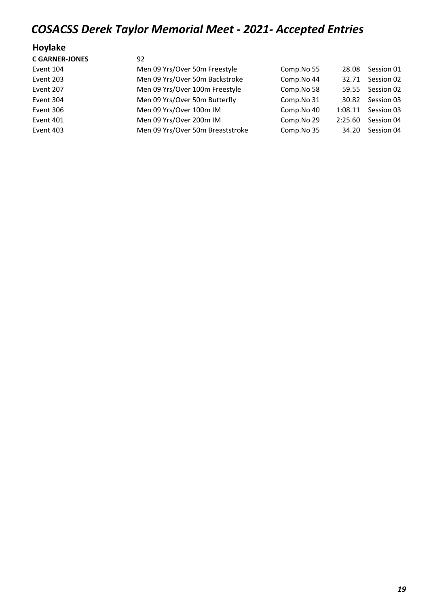#### Hoylake

| <b>C GARNER-JONES</b> | 92                               |            |         |            |
|-----------------------|----------------------------------|------------|---------|------------|
| Event 104             | Men 09 Yrs/Over 50m Freestyle    | Comp.No 55 | 28.08   | Session 01 |
| Event 203             | Men 09 Yrs/Over 50m Backstroke   | Comp.No 44 | 32.71   | Session 02 |
| Event 207             | Men 09 Yrs/Over 100m Freestyle   | Comp.No 58 | 59.55   | Session 02 |
| Event 304             | Men 09 Yrs/Over 50m Butterfly    | Comp.No 31 | 30.82   | Session 03 |
| Event 306             | Men 09 Yrs/Over 100m IM          | Comp.No 40 | 1:08.11 | Session 03 |
| Event 401             | Men 09 Yrs/Over 200m IM          | Comp.No 29 | 2:25.60 | Session 04 |
| Event 403             | Men 09 Yrs/Over 50m Breaststroke | Comp.No 35 | 34.20   | Session 04 |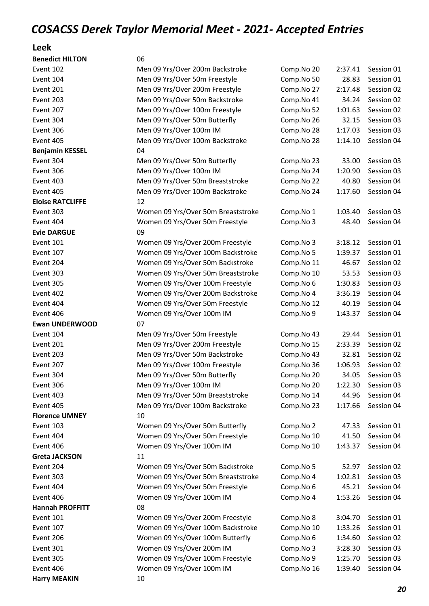#### Leek

| <b>Benedict HILTON</b>  | 06                                 |            |         |            |
|-------------------------|------------------------------------|------------|---------|------------|
| Event 102               | Men 09 Yrs/Over 200m Backstroke    | Comp.No 20 | 2:37.41 | Session 01 |
| Event 104               | Men 09 Yrs/Over 50m Freestyle      | Comp.No 50 | 28.83   | Session 01 |
| Event 201               | Men 09 Yrs/Over 200m Freestyle     | Comp.No 27 | 2:17.48 | Session 02 |
| Event 203               | Men 09 Yrs/Over 50m Backstroke     | Comp.No 41 | 34.24   | Session 02 |
| Event 207               | Men 09 Yrs/Over 100m Freestyle     | Comp.No 52 | 1:01.63 | Session 02 |
| Event 304               | Men 09 Yrs/Over 50m Butterfly      | Comp.No 26 | 32.15   | Session 03 |
| Event 306               | Men 09 Yrs/Over 100m IM            | Comp.No 28 | 1:17.03 | Session 03 |
| Event 405               | Men 09 Yrs/Over 100m Backstroke    | Comp.No 28 | 1:14.10 | Session 04 |
| <b>Benjamin KESSEL</b>  | 04                                 |            |         |            |
| Event 304               | Men 09 Yrs/Over 50m Butterfly      | Comp.No 23 | 33.00   | Session 03 |
| Event 306               | Men 09 Yrs/Over 100m IM            | Comp.No 24 | 1:20.90 | Session 03 |
| Event 403               | Men 09 Yrs/Over 50m Breaststroke   | Comp.No 22 | 40.80   | Session 04 |
| Event 405               | Men 09 Yrs/Over 100m Backstroke    | Comp.No 24 | 1:17.60 | Session 04 |
| <b>Eloise RATCLIFFE</b> | 12                                 |            |         |            |
| Event 303               | Women 09 Yrs/Over 50m Breaststroke | Comp.No 1  | 1:03.40 | Session 03 |
| Event 404               | Women 09 Yrs/Over 50m Freestyle    | Comp.No 3  | 48.40   | Session 04 |
| <b>Evie DARGUE</b>      | 09                                 |            |         |            |
| Event 101               | Women 09 Yrs/Over 200m Freestyle   | Comp.No 3  | 3:18.12 | Session 01 |
| Event 107               | Women 09 Yrs/Over 100m Backstroke  | Comp.No 5  | 1:39.37 | Session 01 |
| Event 204               | Women 09 Yrs/Over 50m Backstroke   | Comp.No 11 | 46.67   | Session 02 |
| Event 303               | Women 09 Yrs/Over 50m Breaststroke | Comp.No 10 | 53.53   | Session 03 |
| Event 305               | Women 09 Yrs/Over 100m Freestyle   | Comp.No 6  | 1:30.83 | Session 03 |
| Event 402               | Women 09 Yrs/Over 200m Backstroke  | Comp.No 4  | 3:36.19 | Session 04 |
| Event 404               | Women 09 Yrs/Over 50m Freestyle    | Comp.No 12 | 40.19   | Session 04 |
| Event 406               | Women 09 Yrs/Over 100m IM          | Comp.No 9  | 1:43.37 | Session 04 |
| <b>Ewan UNDERWOOD</b>   | 07                                 |            |         |            |
| Event 104               | Men 09 Yrs/Over 50m Freestyle      | Comp.No 43 | 29.44   | Session 01 |
| Event 201               | Men 09 Yrs/Over 200m Freestyle     | Comp.No 15 | 2:33.39 | Session 02 |
| Event 203               | Men 09 Yrs/Over 50m Backstroke     | Comp.No 43 | 32.81   | Session 02 |
| Event 207               | Men 09 Yrs/Over 100m Freestyle     | Comp.No 36 | 1:06.93 | Session 02 |
| Event 304               | Men 09 Yrs/Over 50m Butterfly      | Comp.No 20 | 34.05   | Session 03 |
| Event 306               | Men 09 Yrs/Over 100m IM            | Comp.No 20 | 1:22.30 | Session 03 |
| Event 403               | Men 09 Yrs/Over 50m Breaststroke   | Comp.No 14 | 44.96   | Session 04 |
| Event 405               | Men 09 Yrs/Over 100m Backstroke    | Comp.No 23 | 1:17.66 | Session 04 |
| <b>Florence UMNEY</b>   | 10                                 |            |         |            |
| Event 103               | Women 09 Yrs/Over 50m Butterfly    | Comp.No 2  | 47.33   | Session 01 |
| Event 404               | Women 09 Yrs/Over 50m Freestyle    | Comp.No 10 | 41.50   | Session 04 |
| Event 406               | Women 09 Yrs/Over 100m IM          | Comp.No 10 | 1:43.37 | Session 04 |
| <b>Greta JACKSON</b>    | 11                                 |            |         |            |
| Event 204               | Women 09 Yrs/Over 50m Backstroke   | Comp.No 5  | 52.97   | Session 02 |
| Event 303               | Women 09 Yrs/Over 50m Breaststroke | Comp.No 4  | 1:02.81 | Session 03 |
| Event 404               | Women 09 Yrs/Over 50m Freestyle    | Comp.No 6  | 45.21   | Session 04 |
| Event 406               | Women 09 Yrs/Over 100m IM          | Comp.No 4  | 1:53.26 | Session 04 |
| <b>Hannah PROFFITT</b>  | 08                                 |            |         |            |
| Event 101               | Women 09 Yrs/Over 200m Freestyle   | Comp.No 8  | 3:04.70 | Session 01 |
| Event 107               | Women 09 Yrs/Over 100m Backstroke  | Comp.No 10 | 1:33.26 | Session 01 |
| Event 206               | Women 09 Yrs/Over 100m Butterfly   | Comp.No 6  | 1:34.60 | Session 02 |
| Event 301               | Women 09 Yrs/Over 200m IM          | Comp.No 3  | 3:28.30 | Session 03 |
| Event 305               | Women 09 Yrs/Over 100m Freestyle   | Comp.No 9  | 1:25.70 | Session 03 |
| Event 406               | Women 09 Yrs/Over 100m IM          | Comp.No 16 | 1:39.40 | Session 04 |
|                         | 10                                 |            |         |            |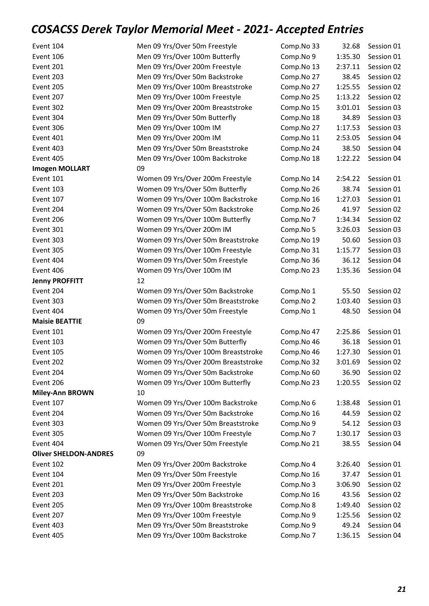| Event 104                    | Men 09 Yrs/Over 50m Freestyle       | Comp.No 33 | 32.68   | Session 01 |
|------------------------------|-------------------------------------|------------|---------|------------|
| Event 106                    | Men 09 Yrs/Over 100m Butterfly      | Comp.No 9  | 1:35.30 | Session 01 |
| Event 201                    | Men 09 Yrs/Over 200m Freestyle      | Comp.No 13 | 2:37.11 | Session 02 |
| Event 203                    | Men 09 Yrs/Over 50m Backstroke      | Comp.No 27 | 38.45   | Session 02 |
| Event 205                    | Men 09 Yrs/Over 100m Breaststroke   | Comp.No 27 | 1:25.55 | Session 02 |
| Event 207                    | Men 09 Yrs/Over 100m Freestyle      | Comp.No 25 | 1:13.22 | Session 02 |
| Event 302                    | Men 09 Yrs/Over 200m Breaststroke   | Comp.No 15 | 3:01.01 | Session 03 |
| Event 304                    | Men 09 Yrs/Over 50m Butterfly       | Comp.No 18 | 34.89   | Session 03 |
| Event 306                    | Men 09 Yrs/Over 100m IM             | Comp.No 27 | 1:17.53 | Session 03 |
| Event 401                    | Men 09 Yrs/Over 200m IM             | Comp.No 11 | 2:53.05 | Session 04 |
| Event 403                    | Men 09 Yrs/Over 50m Breaststroke    | Comp.No 24 | 38.50   | Session 04 |
| Event 405                    | Men 09 Yrs/Over 100m Backstroke     | Comp.No 18 | 1:22.22 | Session 04 |
| <b>Imogen MOLLART</b>        | 09                                  |            |         |            |
| Event 101                    | Women 09 Yrs/Over 200m Freestyle    | Comp.No 14 | 2:54.22 | Session 01 |
| Event 103                    | Women 09 Yrs/Over 50m Butterfly     | Comp.No 26 | 38.74   | Session 01 |
| Event 107                    | Women 09 Yrs/Over 100m Backstroke   | Comp.No 16 | 1:27.03 | Session 01 |
| Event 204                    | Women 09 Yrs/Over 50m Backstroke    | Comp.No 26 | 41.97   | Session 02 |
| Event 206                    | Women 09 Yrs/Over 100m Butterfly    | Comp.No 7  | 1:34.34 | Session 02 |
| Event 301                    | Women 09 Yrs/Over 200m IM           | Comp.No 5  | 3:26.03 | Session 03 |
| Event 303                    | Women 09 Yrs/Over 50m Breaststroke  | Comp.No 19 | 50.60   | Session 03 |
| Event 305                    | Women 09 Yrs/Over 100m Freestyle    | Comp.No 31 | 1:15.77 | Session 03 |
| Event 404                    | Women 09 Yrs/Over 50m Freestyle     | Comp.No 36 | 36.12   | Session 04 |
| Event 406                    | Women 09 Yrs/Over 100m IM           | Comp.No 23 | 1:35.36 | Session 04 |
| <b>Jenny PROFFITT</b>        | 12                                  |            |         |            |
| Event 204                    | Women 09 Yrs/Over 50m Backstroke    | Comp.No 1  | 55.50   | Session 02 |
| Event 303                    | Women 09 Yrs/Over 50m Breaststroke  | Comp.No 2  | 1:03.40 | Session 03 |
| Event 404                    | Women 09 Yrs/Over 50m Freestyle     | Comp.No 1  | 48.50   | Session 04 |
| <b>Maisie BEATTIE</b>        | 09                                  |            |         |            |
| Event 101                    | Women 09 Yrs/Over 200m Freestyle    | Comp.No 47 | 2:25.86 | Session 01 |
| Event 103                    | Women 09 Yrs/Over 50m Butterfly     | Comp.No 46 | 36.18   | Session 01 |
| Event 105                    | Women 09 Yrs/Over 100m Breaststroke | Comp.No 46 | 1:27.30 | Session 01 |
| Event 202                    | Women 09 Yrs/Over 200m Breaststroke | Comp.No 32 | 3:01.69 | Session 02 |
| Event 204                    | Women 09 Yrs/Over 50m Backstroke    | Comp.No 60 | 36.90   | Session 02 |
| Event 206                    | Women 09 Yrs/Over 100m Butterfly    | Comp.No 23 | 1:20.55 | Session 02 |
| <b>Miley-Ann BROWN</b>       | 10                                  |            |         |            |
| Event 107                    | Women 09 Yrs/Over 100m Backstroke   | Comp.No 6  | 1:38.48 | Session 01 |
| Event 204                    | Women 09 Yrs/Over 50m Backstroke    | Comp.No 16 | 44.59   | Session 02 |
| Event 303                    | Women 09 Yrs/Over 50m Breaststroke  | Comp.No 9  | 54.12   | Session 03 |
| Event 305                    | Women 09 Yrs/Over 100m Freestyle    | Comp.No 7  | 1:30.17 | Session 03 |
| Event 404                    | Women 09 Yrs/Over 50m Freestyle     | Comp.No 21 | 38.55   | Session 04 |
| <b>Oliver SHELDON-ANDRES</b> | 09                                  |            |         |            |
| Event 102                    | Men 09 Yrs/Over 200m Backstroke     | Comp.No 4  | 3:26.40 | Session 01 |
| Event 104                    | Men 09 Yrs/Over 50m Freestyle       | Comp.No 16 | 37.47   | Session 01 |
| Event 201                    | Men 09 Yrs/Over 200m Freestyle      | Comp.No 3  | 3:06.90 | Session 02 |
| Event 203                    | Men 09 Yrs/Over 50m Backstroke      | Comp.No 16 | 43.56   | Session 02 |
| Event 205                    | Men 09 Yrs/Over 100m Breaststroke   | Comp.No 8  | 1:49.40 | Session 02 |
| Event 207                    | Men 09 Yrs/Over 100m Freestyle      | Comp.No 9  | 1:25.56 | Session 02 |
| Event 403                    | Men 09 Yrs/Over 50m Breaststroke    | Comp.No 9  | 49.24   | Session 04 |
| Event 405                    | Men 09 Yrs/Over 100m Backstroke     | Comp.No 7  | 1:36.15 | Session 04 |
|                              |                                     |            |         |            |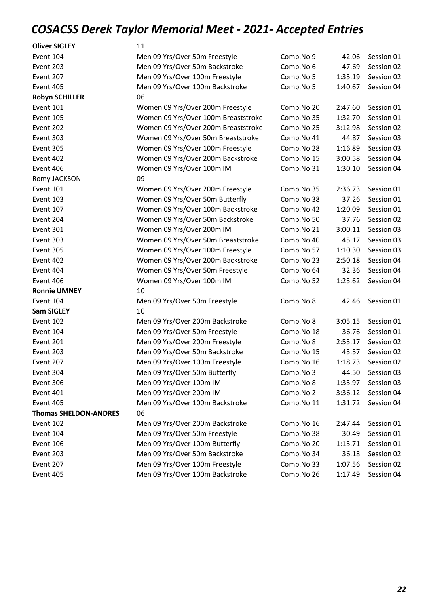| <b>Oliver SIGLEY</b>         | 11                                  |            |         |            |
|------------------------------|-------------------------------------|------------|---------|------------|
| Event 104                    | Men 09 Yrs/Over 50m Freestyle       | Comp.No 9  | 42.06   | Session 01 |
| Event 203                    | Men 09 Yrs/Over 50m Backstroke      | Comp.No 6  | 47.69   | Session 02 |
| Event 207                    | Men 09 Yrs/Over 100m Freestyle      | Comp.No 5  | 1:35.19 | Session 02 |
| Event 405                    | Men 09 Yrs/Over 100m Backstroke     | Comp.No 5  | 1:40.67 | Session 04 |
| <b>Robyn SCHILLER</b>        | 06                                  |            |         |            |
| Event 101                    | Women 09 Yrs/Over 200m Freestyle    | Comp.No 20 | 2:47.60 | Session 01 |
| Event 105                    | Women 09 Yrs/Over 100m Breaststroke | Comp.No 35 | 1:32.70 | Session 01 |
| Event 202                    | Women 09 Yrs/Over 200m Breaststroke | Comp.No 25 | 3:12.98 | Session 02 |
| Event 303                    | Women 09 Yrs/Over 50m Breaststroke  | Comp.No 41 | 44.87   | Session 03 |
| Event 305                    | Women 09 Yrs/Over 100m Freestyle    | Comp.No 28 | 1:16.89 | Session 03 |
| Event 402                    | Women 09 Yrs/Over 200m Backstroke   | Comp.No 15 | 3:00.58 | Session 04 |
| Event 406                    | Women 09 Yrs/Over 100m IM           | Comp.No 31 | 1:30.10 | Session 04 |
| Romy JACKSON                 | 09                                  |            |         |            |
| Event 101                    | Women 09 Yrs/Over 200m Freestyle    | Comp.No 35 | 2:36.73 | Session 01 |
| Event 103                    | Women 09 Yrs/Over 50m Butterfly     | Comp.No 38 | 37.26   | Session 01 |
| Event 107                    | Women 09 Yrs/Over 100m Backstroke   | Comp.No 42 | 1:20.09 | Session 01 |
| Event 204                    | Women 09 Yrs/Over 50m Backstroke    | Comp.No 50 | 37.76   | Session 02 |
| Event 301                    | Women 09 Yrs/Over 200m IM           | Comp.No 21 | 3:00.11 | Session 03 |
| Event 303                    | Women 09 Yrs/Over 50m Breaststroke  | Comp.No 40 | 45.17   | Session 03 |
| Event 305                    | Women 09 Yrs/Over 100m Freestyle    | Comp.No 57 | 1:10.30 | Session 03 |
| Event 402                    | Women 09 Yrs/Over 200m Backstroke   | Comp.No 23 | 2:50.18 | Session 04 |
| Event 404                    | Women 09 Yrs/Over 50m Freestyle     | Comp.No 64 | 32.36   | Session 04 |
| Event 406                    | Women 09 Yrs/Over 100m IM           | Comp.No 52 | 1:23.62 | Session 04 |
| <b>Ronnie UMNEY</b>          | 10                                  |            |         |            |
| Event 104                    | Men 09 Yrs/Over 50m Freestyle       | Comp.No 8  | 42.46   | Session 01 |
| <b>Sam SIGLEY</b>            | 10                                  |            |         |            |
| Event 102                    | Men 09 Yrs/Over 200m Backstroke     | Comp.No 8  | 3:05.15 | Session 01 |
| Event 104                    | Men 09 Yrs/Over 50m Freestyle       | Comp.No 18 | 36.76   | Session 01 |
| Event 201                    | Men 09 Yrs/Over 200m Freestyle      | Comp.No 8  | 2:53.17 | Session 02 |
| Event 203                    | Men 09 Yrs/Over 50m Backstroke      | Comp.No 15 | 43.57   | Session 02 |
| Event 207                    | Men 09 Yrs/Over 100m Freestyle      | Comp.No 16 | 1:18.73 | Session 02 |
| Event 304                    | Men 09 Yrs/Over 50m Butterfly       | Comp.No 3  | 44.50   | Session 03 |
| Event 306                    | Men 09 Yrs/Over 100m IM             | Comp.No 8  | 1:35.97 | Session 03 |
| Event 401                    | Men 09 Yrs/Over 200m IM             | Comp.No 2  | 3:36.12 | Session 04 |
| Event 405                    | Men 09 Yrs/Over 100m Backstroke     | Comp.No 11 | 1:31.72 | Session 04 |
| <b>Thomas SHELDON-ANDRES</b> | 06                                  |            |         |            |
| Event 102                    | Men 09 Yrs/Over 200m Backstroke     | Comp.No 16 | 2:47.44 | Session 01 |
| Event 104                    | Men 09 Yrs/Over 50m Freestyle       | Comp.No 38 | 30.49   | Session 01 |
| Event 106                    | Men 09 Yrs/Over 100m Butterfly      | Comp.No 20 | 1:15.71 | Session 01 |
| Event 203                    | Men 09 Yrs/Over 50m Backstroke      | Comp.No 34 | 36.18   | Session 02 |
| Event 207                    | Men 09 Yrs/Over 100m Freestyle      | Comp.No 33 | 1:07.56 | Session 02 |
| Event 405                    | Men 09 Yrs/Over 100m Backstroke     | Comp.No 26 | 1:17.49 | Session 04 |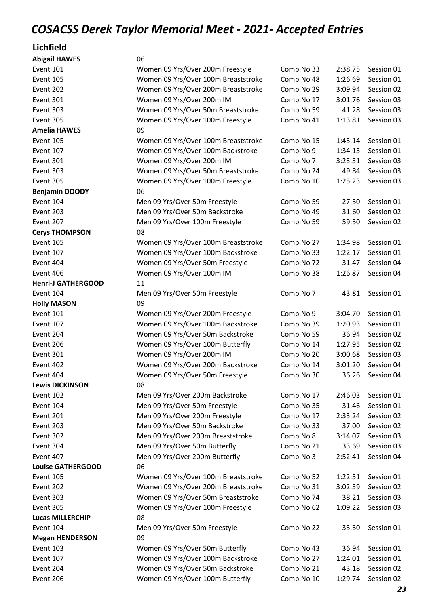# Lichfield<br>Abisoil HAV

| <b>Abigail HAWES</b>      | 06                                  |            |         |            |
|---------------------------|-------------------------------------|------------|---------|------------|
| Event 101                 | Women 09 Yrs/Over 200m Freestyle    | Comp.No 33 | 2:38.75 | Session 01 |
| Event 105                 | Women 09 Yrs/Over 100m Breaststroke | Comp.No 48 | 1:26.69 | Session 01 |
| Event 202                 | Women 09 Yrs/Over 200m Breaststroke | Comp.No 29 | 3:09.94 | Session 02 |
| Event 301                 | Women 09 Yrs/Over 200m IM           | Comp.No 17 | 3:01.76 | Session 03 |
| Event 303                 | Women 09 Yrs/Over 50m Breaststroke  | Comp.No 59 | 41.28   | Session 03 |
| Event 305                 | Women 09 Yrs/Over 100m Freestyle    | Comp.No 41 | 1:13.81 | Session 03 |
| <b>Amelia HAWES</b>       | 09                                  |            |         |            |
| Event 105                 | Women 09 Yrs/Over 100m Breaststroke | Comp.No 15 | 1:45.14 | Session 01 |
| Event 107                 | Women 09 Yrs/Over 100m Backstroke   | Comp.No 9  | 1:34.13 | Session 01 |
| Event 301                 | Women 09 Yrs/Over 200m IM           | Comp.No 7  | 3:23.31 | Session 03 |
| Event 303                 | Women 09 Yrs/Over 50m Breaststroke  | Comp.No 24 | 49.84   | Session 03 |
| Event 305                 | Women 09 Yrs/Over 100m Freestyle    | Comp.No 10 | 1:25.23 | Session 03 |
| <b>Benjamin DOODY</b>     | 06                                  |            |         |            |
| Event 104                 | Men 09 Yrs/Over 50m Freestyle       | Comp.No 59 | 27.50   | Session 01 |
| Event 203                 | Men 09 Yrs/Over 50m Backstroke      | Comp.No 49 | 31.60   | Session 02 |
| Event 207                 | Men 09 Yrs/Over 100m Freestyle      | Comp.No 59 | 59.50   | Session 02 |
| <b>Cerys THOMPSON</b>     | 08                                  |            |         |            |
| Event 105                 | Women 09 Yrs/Over 100m Breaststroke | Comp.No 27 | 1:34.98 | Session 01 |
| Event 107                 | Women 09 Yrs/Over 100m Backstroke   | Comp.No 33 | 1:22.17 | Session 01 |
| Event 404                 | Women 09 Yrs/Over 50m Freestyle     | Comp.No 72 | 31.47   | Session 04 |
| Event 406                 | Women 09 Yrs/Over 100m IM           | Comp.No 38 | 1:26.87 | Session 04 |
| <b>Henri-J GATHERGOOD</b> | 11                                  |            |         |            |
| Event 104                 | Men 09 Yrs/Over 50m Freestyle       | Comp.No 7  | 43.81   | Session 01 |
| <b>Holly MASON</b>        | 09                                  |            |         |            |
| Event 101                 | Women 09 Yrs/Over 200m Freestyle    | Comp.No 9  | 3:04.70 | Session 01 |
| Event 107                 | Women 09 Yrs/Over 100m Backstroke   | Comp.No 39 | 1:20.93 | Session 01 |
| Event 204                 | Women 09 Yrs/Over 50m Backstroke    | Comp.No 59 | 36.94   | Session 02 |
| Event 206                 | Women 09 Yrs/Over 100m Butterfly    | Comp.No 14 | 1:27.95 | Session 02 |
| Event 301                 | Women 09 Yrs/Over 200m IM           | Comp.No 20 | 3:00.68 | Session 03 |
| Event 402                 | Women 09 Yrs/Over 200m Backstroke   | Comp.No 14 | 3:01.20 | Session 04 |
| Event 404                 | Women 09 Yrs/Over 50m Freestyle     | Comp.No 30 | 36.26   | Session 04 |
| <b>Lewis DICKINSON</b>    | 08                                  |            |         |            |
| Event 102                 | Men 09 Yrs/Over 200m Backstroke     | Comp.No 17 | 2:46.03 | Session 01 |
| Event 104                 | Men 09 Yrs/Over 50m Freestyle       | Comp.No 35 | 31.46   | Session 01 |
| Event 201                 | Men 09 Yrs/Over 200m Freestyle      | Comp.No 17 | 2:33.24 | Session 02 |
| Event 203                 | Men 09 Yrs/Over 50m Backstroke      | Comp.No 33 | 37.00   | Session 02 |
| Event 302                 | Men 09 Yrs/Over 200m Breaststroke   | Comp.No 8  | 3:14.07 | Session 03 |
| Event 304                 | Men 09 Yrs/Over 50m Butterfly       | Comp.No 21 | 33.69   | Session 03 |
| Event 407                 | Men 09 Yrs/Over 200m Butterfly      | Comp.No 3  | 2:52.41 | Session 04 |
| <b>Louise GATHERGOOD</b>  | 06                                  |            |         |            |
| Event 105                 | Women 09 Yrs/Over 100m Breaststroke | Comp.No 52 | 1:22.51 | Session 01 |
| Event 202                 | Women 09 Yrs/Over 200m Breaststroke | Comp.No 31 | 3:02.39 | Session 02 |
| Event 303                 | Women 09 Yrs/Over 50m Breaststroke  | Comp.No 74 | 38.21   | Session 03 |
| Event 305                 | Women 09 Yrs/Over 100m Freestyle    | Comp.No 62 | 1:09.22 | Session 03 |
| <b>Lucas MILLERCHIP</b>   | 08                                  |            |         |            |
| Event 104                 | Men 09 Yrs/Over 50m Freestyle       | Comp.No 22 | 35.50   | Session 01 |
| <b>Megan HENDERSON</b>    | 09                                  |            |         |            |
| Event 103                 | Women 09 Yrs/Over 50m Butterfly     | Comp.No 43 | 36.94   | Session 01 |
| Event 107                 | Women 09 Yrs/Over 100m Backstroke   | Comp.No 27 | 1:24.01 | Session 01 |
| Event 204                 | Women 09 Yrs/Over 50m Backstroke    | Comp.No 21 | 43.18   | Session 02 |
| Event 206                 | Women 09 Yrs/Over 100m Butterfly    | Comp.No 10 | 1:29.74 | Session 02 |
|                           |                                     |            |         |            |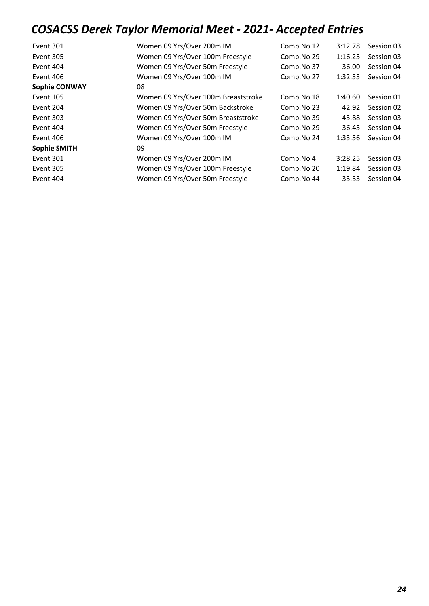| Event 301            | Women 09 Yrs/Over 200m IM           | Comp.No 12 | 3:12.78 | Session 03 |
|----------------------|-------------------------------------|------------|---------|------------|
| Event 305            | Women 09 Yrs/Over 100m Freestyle    | Comp.No 29 | 1:16.25 | Session 03 |
| Event 404            | Women 09 Yrs/Over 50m Freestyle     | Comp.No 37 | 36.00   | Session 04 |
| Event 406            | Women 09 Yrs/Over 100m IM           | Comp.No 27 | 1:32.33 | Session 04 |
| <b>Sophie CONWAY</b> | 08                                  |            |         |            |
| Event 105            | Women 09 Yrs/Over 100m Breaststroke | Comp.No 18 | 1:40.60 | Session 01 |
| Event 204            | Women 09 Yrs/Over 50m Backstroke    | Comp.No 23 | 42.92   | Session 02 |
| Event 303            | Women 09 Yrs/Over 50m Breaststroke  | Comp.No 39 | 45.88   | Session 03 |
| Event 404            | Women 09 Yrs/Over 50m Freestyle     | Comp.No 29 | 36.45   | Session 04 |
| Event 406            | Women 09 Yrs/Over 100m IM           | Comp.No 24 | 1:33.56 | Session 04 |
| <b>Sophie SMITH</b>  | 09                                  |            |         |            |
| Event 301            | Women 09 Yrs/Over 200m IM           | Comp.No 4  | 3:28.25 | Session 03 |
| Event 305            | Women 09 Yrs/Over 100m Freestyle    | Comp.No 20 | 1:19.84 | Session 03 |
| Event 404            | Women 09 Yrs/Over 50m Freestyle     | Comp.No 44 | 35.33   | Session 04 |
|                      |                                     |            |         |            |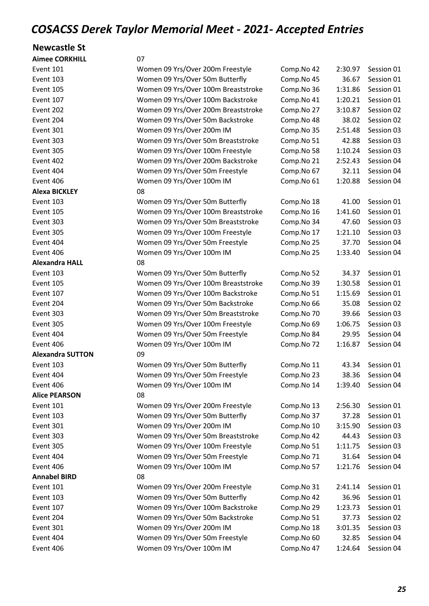#### Newcastle St

| <b>Aimee CORKHILL</b>   | 07                                  |            |         |            |
|-------------------------|-------------------------------------|------------|---------|------------|
| Event 101               | Women 09 Yrs/Over 200m Freestyle    | Comp.No 42 | 2:30.97 | Session 01 |
| Event 103               | Women 09 Yrs/Over 50m Butterfly     | Comp.No 45 | 36.67   | Session 01 |
| Event 105               | Women 09 Yrs/Over 100m Breaststroke | Comp.No 36 | 1:31.86 | Session 01 |
| Event 107               | Women 09 Yrs/Over 100m Backstroke   | Comp.No 41 | 1:20.21 | Session 01 |
| Event 202               | Women 09 Yrs/Over 200m Breaststroke | Comp.No 27 | 3:10.87 | Session 02 |
| Event 204               | Women 09 Yrs/Over 50m Backstroke    | Comp.No 48 | 38.02   | Session 02 |
| Event 301               | Women 09 Yrs/Over 200m IM           | Comp.No 35 | 2:51.48 | Session 03 |
| Event 303               | Women 09 Yrs/Over 50m Breaststroke  | Comp.No 51 | 42.88   | Session 03 |
| Event 305               | Women 09 Yrs/Over 100m Freestyle    | Comp.No 58 | 1:10.24 | Session 03 |
| Event 402               | Women 09 Yrs/Over 200m Backstroke   | Comp.No 21 | 2:52.43 | Session 04 |
| Event 404               | Women 09 Yrs/Over 50m Freestyle     | Comp.No 67 | 32.11   | Session 04 |
| Event 406               | Women 09 Yrs/Over 100m IM           | Comp.No 61 | 1:20.88 | Session 04 |
| <b>Alexa BICKLEY</b>    | 08                                  |            |         |            |
| Event 103               | Women 09 Yrs/Over 50m Butterfly     | Comp.No 18 | 41.00   | Session 01 |
| Event 105               | Women 09 Yrs/Over 100m Breaststroke | Comp.No 16 | 1:41.60 | Session 01 |
| Event 303               | Women 09 Yrs/Over 50m Breaststroke  | Comp.No 34 | 47.60   | Session 03 |
| Event 305               | Women 09 Yrs/Over 100m Freestyle    | Comp.No 17 | 1:21.10 | Session 03 |
| Event 404               | Women 09 Yrs/Over 50m Freestyle     | Comp.No 25 | 37.70   | Session 04 |
| Event 406               | Women 09 Yrs/Over 100m IM           | Comp.No 25 | 1:33.40 | Session 04 |
| <b>Alexandra HALL</b>   | 08                                  |            |         |            |
| Event 103               | Women 09 Yrs/Over 50m Butterfly     | Comp.No 52 | 34.37   | Session 01 |
| Event 105               | Women 09 Yrs/Over 100m Breaststroke | Comp.No 39 | 1:30.58 | Session 01 |
| Event 107               | Women 09 Yrs/Over 100m Backstroke   | Comp.No 51 | 1:15.69 | Session 01 |
| Event 204               | Women 09 Yrs/Over 50m Backstroke    | Comp.No 66 | 35.08   | Session 02 |
| Event 303               | Women 09 Yrs/Over 50m Breaststroke  | Comp.No 70 | 39.66   | Session 03 |
| Event 305               | Women 09 Yrs/Over 100m Freestyle    | Comp.No 69 | 1:06.75 | Session 03 |
| Event 404               | Women 09 Yrs/Over 50m Freestyle     | Comp.No 84 | 29.95   | Session 04 |
| Event 406               | Women 09 Yrs/Over 100m IM           | Comp.No 72 | 1:16.87 | Session 04 |
| <b>Alexandra SUTTON</b> | 09                                  |            |         |            |
| Event 103               | Women 09 Yrs/Over 50m Butterfly     | Comp.No 11 | 43.34   | Session 01 |
| Event 404               | Women 09 Yrs/Over 50m Freestyle     | Comp.No 23 | 38.36   | Session 04 |
| Event 406               | Women 09 Yrs/Over 100m IM           | Comp.No 14 | 1:39.40 | Session 04 |
| <b>Alice PEARSON</b>    | 08                                  |            |         |            |
| Event 101               | Women 09 Yrs/Over 200m Freestyle    | Comp.No 13 | 2:56.30 | Session 01 |
| Event 103               | Women 09 Yrs/Over 50m Butterfly     | Comp.No 37 | 37.28   | Session 01 |
| Event 301               | Women 09 Yrs/Over 200m IM           | Comp.No 10 | 3:15.90 | Session 03 |
| Event 303               | Women 09 Yrs/Over 50m Breaststroke  | Comp.No 42 | 44.43   | Session 03 |
| Event 305               | Women 09 Yrs/Over 100m Freestyle    | Comp.No 51 | 1:11.75 | Session 03 |
| Event 404               | Women 09 Yrs/Over 50m Freestyle     | Comp.No 71 | 31.64   | Session 04 |
| Event 406               | Women 09 Yrs/Over 100m IM           | Comp.No 57 | 1:21.76 | Session 04 |
| <b>Annabel BIRD</b>     | 08                                  |            |         |            |
| Event 101               | Women 09 Yrs/Over 200m Freestyle    | Comp.No 31 | 2:41.14 | Session 01 |
| Event 103               | Women 09 Yrs/Over 50m Butterfly     | Comp.No 42 | 36.96   | Session 01 |
| Event 107               | Women 09 Yrs/Over 100m Backstroke   | Comp.No 29 | 1:23.73 | Session 01 |
| Event 204               | Women 09 Yrs/Over 50m Backstroke    | Comp.No 51 | 37.73   | Session 02 |
| Event 301               | Women 09 Yrs/Over 200m IM           | Comp.No 18 | 3:01.35 | Session 03 |
| Event 404               | Women 09 Yrs/Over 50m Freestyle     | Comp.No 60 | 32.85   | Session 04 |
| Event 406               | Women 09 Yrs/Over 100m IM           | Comp.No 47 | 1:24.64 | Session 04 |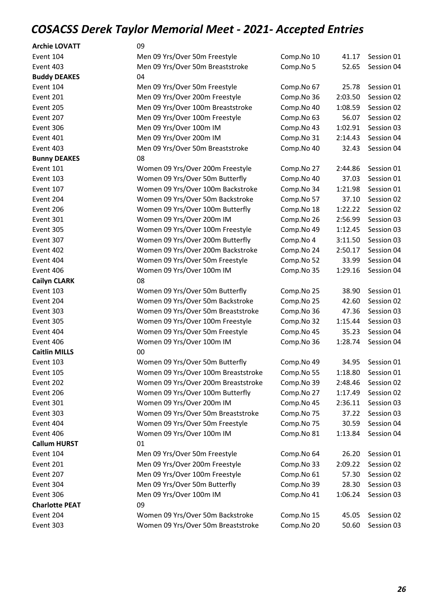| <b>Archie LOVATT</b>  | 09                                  |            |         |            |
|-----------------------|-------------------------------------|------------|---------|------------|
| Event 104             | Men 09 Yrs/Over 50m Freestyle       | Comp.No 10 | 41.17   | Session 01 |
| Event 403             | Men 09 Yrs/Over 50m Breaststroke    | Comp.No 5  | 52.65   | Session 04 |
| <b>Buddy DEAKES</b>   | 04                                  |            |         |            |
| Event 104             | Men 09 Yrs/Over 50m Freestyle       | Comp.No 67 | 25.78   | Session 01 |
| Event 201             | Men 09 Yrs/Over 200m Freestyle      | Comp.No 36 | 2:03.50 | Session 02 |
| Event 205             | Men 09 Yrs/Over 100m Breaststroke   | Comp.No 40 | 1:08.59 | Session 02 |
| Event 207             | Men 09 Yrs/Over 100m Freestyle      | Comp.No 63 | 56.07   | Session 02 |
| Event 306             | Men 09 Yrs/Over 100m IM             | Comp.No 43 | 1:02.91 | Session 03 |
| Event 401             | Men 09 Yrs/Over 200m IM             | Comp.No 31 | 2:14.43 | Session 04 |
| Event 403             | Men 09 Yrs/Over 50m Breaststroke    | Comp.No 40 | 32.43   | Session 04 |
| <b>Bunny DEAKES</b>   | 08                                  |            |         |            |
| Event 101             | Women 09 Yrs/Over 200m Freestyle    | Comp.No 27 | 2:44.86 | Session 01 |
| Event 103             | Women 09 Yrs/Over 50m Butterfly     | Comp.No 40 | 37.03   | Session 01 |
| Event 107             | Women 09 Yrs/Over 100m Backstroke   | Comp.No 34 | 1:21.98 | Session 01 |
| Event 204             | Women 09 Yrs/Over 50m Backstroke    | Comp.No 57 | 37.10   | Session 02 |
| Event 206             | Women 09 Yrs/Over 100m Butterfly    | Comp.No 18 | 1:22.22 | Session 02 |
| Event 301             | Women 09 Yrs/Over 200m IM           | Comp.No 26 | 2:56.99 | Session 03 |
| Event 305             | Women 09 Yrs/Over 100m Freestyle    | Comp.No 49 | 1:12.45 | Session 03 |
| Event 307             | Women 09 Yrs/Over 200m Butterfly    | Comp.No 4  | 3:11.50 | Session 03 |
| Event 402             | Women 09 Yrs/Over 200m Backstroke   | Comp.No 24 | 2:50.17 | Session 04 |
| Event 404             | Women 09 Yrs/Over 50m Freestyle     | Comp.No 52 | 33.99   | Session 04 |
| Event 406             | Women 09 Yrs/Over 100m IM           | Comp.No 35 | 1:29.16 | Session 04 |
| <b>Cailyn CLARK</b>   | 08                                  |            |         |            |
| Event 103             | Women 09 Yrs/Over 50m Butterfly     | Comp.No 25 | 38.90   | Session 01 |
| Event 204             | Women 09 Yrs/Over 50m Backstroke    | Comp.No 25 | 42.60   | Session 02 |
| Event 303             | Women 09 Yrs/Over 50m Breaststroke  | Comp.No 36 | 47.36   | Session 03 |
| Event 305             | Women 09 Yrs/Over 100m Freestyle    | Comp.No 32 | 1:15.44 | Session 03 |
| Event 404             | Women 09 Yrs/Over 50m Freestyle     | Comp.No 45 | 35.23   | Session 04 |
| Event 406             | Women 09 Yrs/Over 100m IM           | Comp.No 36 | 1:28.74 | Session 04 |
| <b>Caitlin MILLS</b>  | 00                                  |            |         |            |
| Event 103             | Women 09 Yrs/Over 50m Butterfly     | Comp.No 49 | 34.95   | Session 01 |
| Event 105             | Women 09 Yrs/Over 100m Breaststroke | Comp.No 55 | 1:18.80 | Session 01 |
| Event 202             | Women 09 Yrs/Over 200m Breaststroke | Comp.No 39 | 2:48.46 | Session 02 |
| Event 206             | Women 09 Yrs/Over 100m Butterfly    | Comp.No 27 | 1:17.49 | Session 02 |
| Event 301             | Women 09 Yrs/Over 200m IM           | Comp.No 45 | 2:36.11 | Session 03 |
| Event 303             | Women 09 Yrs/Over 50m Breaststroke  | Comp.No 75 | 37.22   | Session 03 |
| Event 404             | Women 09 Yrs/Over 50m Freestyle     | Comp.No 75 | 30.59   | Session 04 |
| Event 406             | Women 09 Yrs/Over 100m IM           | Comp.No 81 | 1:13.84 | Session 04 |
| <b>Callum HURST</b>   | 01                                  |            |         |            |
| Event 104             | Men 09 Yrs/Over 50m Freestyle       | Comp.No 64 | 26.20   | Session 01 |
| Event 201             | Men 09 Yrs/Over 200m Freestyle      | Comp.No 33 | 2:09.22 | Session 02 |
| Event 207             | Men 09 Yrs/Over 100m Freestyle      | Comp.No 61 | 57.30   | Session 02 |
| Event 304             | Men 09 Yrs/Over 50m Butterfly       | Comp.No 39 | 28.30   | Session 03 |
| Event 306             | Men 09 Yrs/Over 100m IM             | Comp.No 41 | 1:06.24 | Session 03 |
| <b>Charlotte PEAT</b> | 09                                  |            |         |            |
| Event 204             | Women 09 Yrs/Over 50m Backstroke    | Comp.No 15 | 45.05   | Session 02 |
| Event 303             | Women 09 Yrs/Over 50m Breaststroke  | Comp.No 20 | 50.60   | Session 03 |
|                       |                                     |            |         |            |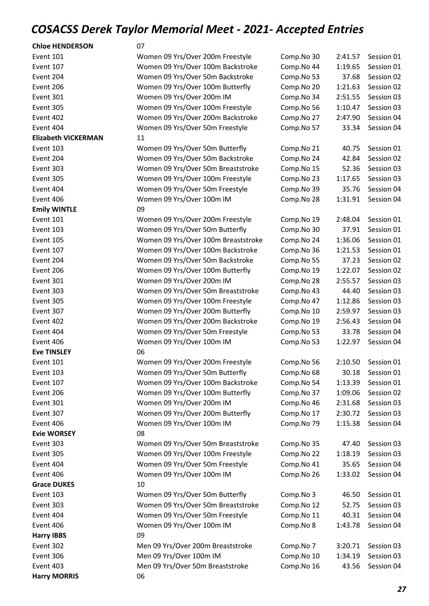| <b>Chloe HENDERSON</b>     | 07                                  |            |         |                    |
|----------------------------|-------------------------------------|------------|---------|--------------------|
| Event 101                  | Women 09 Yrs/Over 200m Freestyle    | Comp.No 30 | 2:41.57 | Session 01         |
| Event 107                  | Women 09 Yrs/Over 100m Backstroke   | Comp.No 44 | 1:19.65 | Session 01         |
| Event 204                  | Women 09 Yrs/Over 50m Backstroke    | Comp.No 53 | 37.68   | Session 02         |
| Event 206                  | Women 09 Yrs/Over 100m Butterfly    | Comp.No 20 | 1:21.63 | Session 02         |
| Event 301                  | Women 09 Yrs/Over 200m IM           | Comp.No 34 | 2:51.55 | Session 03         |
| Event 305                  | Women 09 Yrs/Over 100m Freestyle    | Comp.No 56 | 1:10.47 | Session 03         |
| Event 402                  | Women 09 Yrs/Over 200m Backstroke   | Comp.No 27 | 2:47.90 | Session 04         |
| Event 404                  | Women 09 Yrs/Over 50m Freestyle     | Comp.No 57 | 33.34   | Session 04         |
| <b>Elizabeth VICKERMAN</b> | 11                                  |            |         |                    |
| Event 103                  | Women 09 Yrs/Over 50m Butterfly     | Comp.No 21 | 40.75   | Session 01         |
| Event 204                  | Women 09 Yrs/Over 50m Backstroke    | Comp.No 24 | 42.84   | Session 02         |
| Event 303                  | Women 09 Yrs/Over 50m Breaststroke  | Comp.No 15 | 52.36   | Session 03         |
| Event 305                  | Women 09 Yrs/Over 100m Freestyle    | Comp.No 23 | 1:17.65 | Session 03         |
| Event 404                  | Women 09 Yrs/Over 50m Freestyle     | Comp.No 39 | 35.76   | Session 04         |
| Event 406                  | Women 09 Yrs/Over 100m IM           | Comp.No 28 | 1:31.91 | Session 04         |
| <b>Emily WINTLE</b>        | 09                                  |            |         |                    |
| Event 101                  | Women 09 Yrs/Over 200m Freestyle    | Comp.No 19 | 2:48.04 | Session 01         |
| Event 103                  | Women 09 Yrs/Over 50m Butterfly     | Comp.No 30 | 37.91   | Session 01         |
| Event 105                  | Women 09 Yrs/Over 100m Breaststroke | Comp.No 24 | 1:36.06 | Session 01         |
| Event 107                  | Women 09 Yrs/Over 100m Backstroke   | Comp.No 36 | 1:21.53 | Session 01         |
| Event 204                  | Women 09 Yrs/Over 50m Backstroke    | Comp.No 55 | 37.23   | Session 02         |
| Event 206                  | Women 09 Yrs/Over 100m Butterfly    | Comp.No 19 | 1:22.07 | Session 02         |
| Event 301                  | Women 09 Yrs/Over 200m IM           | Comp.No 28 | 2:55.57 | Session 03         |
| Event 303                  | Women 09 Yrs/Over 50m Breaststroke  | Comp.No 43 | 44.40   | Session 03         |
| Event 305                  | Women 09 Yrs/Over 100m Freestyle    | Comp.No 47 | 1:12.86 | Session 03         |
| Event 307                  | Women 09 Yrs/Over 200m Butterfly    | Comp.No 10 | 2:59.97 | Session 03         |
| Event 402                  | Women 09 Yrs/Over 200m Backstroke   | Comp.No 19 | 2:56.43 | Session 04         |
| Event 404                  | Women 09 Yrs/Over 50m Freestyle     | Comp.No 53 | 33.78   | Session 04         |
| Event 406                  | Women 09 Yrs/Over 100m IM           | Comp.No 53 | 1:22.97 | Session 04         |
| <b>Eve TINSLEY</b>         | 06                                  |            |         |                    |
| Event 101                  | Women 09 Yrs/Over 200m Freestyle    | Comp.No 56 |         | 2:10.50 Session 01 |
| Event 103                  | Women 09 Yrs/Over 50m Butterfly     | Comp.No 68 | 30.18   | Session 01         |
| Event 107                  | Women 09 Yrs/Over 100m Backstroke   | Comp.No 54 | 1:13.39 | Session 01         |
| Event 206                  | Women 09 Yrs/Over 100m Butterfly    | Comp.No 37 | 1:09.06 | Session 02         |
| Event 301                  | Women 09 Yrs/Over 200m IM           | Comp.No 46 | 2:31.68 | Session 03         |
| Event 307                  | Women 09 Yrs/Over 200m Butterfly    | Comp.No 17 | 2:30.72 | Session 03         |
| Event 406                  | Women 09 Yrs/Over 100m IM           | Comp.No 79 | 1:15.38 | Session 04         |
| <b>Evie WORSEY</b>         | 08                                  |            |         |                    |
| Event 303                  | Women 09 Yrs/Over 50m Breaststroke  | Comp.No 35 | 47.40   | Session 03         |
| Event 305                  | Women 09 Yrs/Over 100m Freestyle    | Comp.No 22 | 1:18.19 | Session 03         |
| Event 404                  | Women 09 Yrs/Over 50m Freestyle     | Comp.No 41 | 35.65   | Session 04         |
| Event 406                  | Women 09 Yrs/Over 100m IM           | Comp.No 26 | 1:33.02 | Session 04         |
| <b>Grace DUKES</b>         | 10                                  |            |         |                    |
| Event 103                  | Women 09 Yrs/Over 50m Butterfly     | Comp.No 3  | 46.50   | Session 01         |
| Event 303                  | Women 09 Yrs/Over 50m Breaststroke  | Comp.No 12 | 52.75   | Session 03         |
| Event 404                  | Women 09 Yrs/Over 50m Freestyle     | Comp.No 11 | 40.31   | Session 04         |
| Event 406                  | Women 09 Yrs/Over 100m IM           | Comp.No 8  | 1:43.78 | Session 04         |
| <b>Harry IBBS</b>          | 09                                  |            |         |                    |
| Event 302                  | Men 09 Yrs/Over 200m Breaststroke   | Comp.No 7  | 3:20.71 | Session 03         |
| Event 306                  | Men 09 Yrs/Over 100m IM             | Comp.No 10 | 1:34.19 | Session 03         |
| Event 403                  | Men 09 Yrs/Over 50m Breaststroke    | Comp.No 16 | 43.56   | Session 04         |
| <b>Harry MORRIS</b>        | 06                                  |            |         |                    |
|                            |                                     |            |         |                    |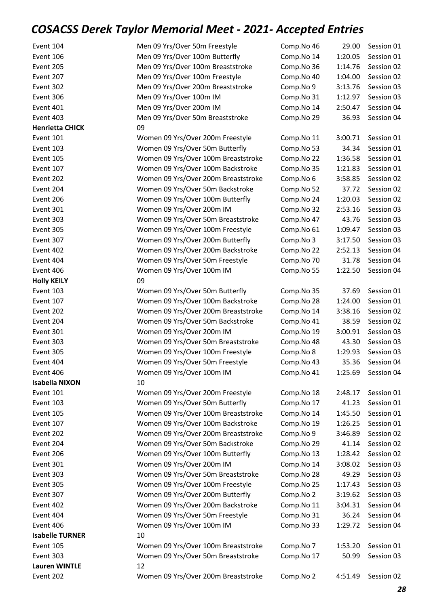| Event 104              | Men 09 Yrs/Over 50m Freestyle       | Comp.No 46 | 29.00   | Session 01 |
|------------------------|-------------------------------------|------------|---------|------------|
| Event 106              | Men 09 Yrs/Over 100m Butterfly      | Comp.No 14 | 1:20.05 | Session 01 |
| Event 205              | Men 09 Yrs/Over 100m Breaststroke   | Comp.No 36 | 1:14.76 | Session 02 |
| Event 207              | Men 09 Yrs/Over 100m Freestyle      | Comp.No 40 | 1:04.00 | Session 02 |
| Event 302              | Men 09 Yrs/Over 200m Breaststroke   | Comp.No 9  | 3:13.76 | Session 03 |
| Event 306              | Men 09 Yrs/Over 100m IM             | Comp.No 31 | 1:12.97 | Session 03 |
| Event 401              | Men 09 Yrs/Over 200m IM             | Comp.No 14 | 2:50.47 | Session 04 |
| Event 403              | Men 09 Yrs/Over 50m Breaststroke    | Comp.No 29 | 36.93   | Session 04 |
| <b>Henrietta CHICK</b> | 09                                  |            |         |            |
| Event 101              | Women 09 Yrs/Over 200m Freestyle    | Comp.No 11 | 3:00.71 | Session 01 |
| Event 103              | Women 09 Yrs/Over 50m Butterfly     | Comp.No 53 | 34.34   | Session 01 |
| Event 105              | Women 09 Yrs/Over 100m Breaststroke | Comp.No 22 | 1:36.58 | Session 01 |
| Event 107              | Women 09 Yrs/Over 100m Backstroke   | Comp.No 35 | 1:21.83 | Session 01 |
| Event 202              | Women 09 Yrs/Over 200m Breaststroke | Comp.No 6  | 3:58.85 | Session 02 |
| Event 204              | Women 09 Yrs/Over 50m Backstroke    | Comp.No 52 | 37.72   | Session 02 |
| Event 206              | Women 09 Yrs/Over 100m Butterfly    | Comp.No 24 | 1:20.03 | Session 02 |
| Event 301              | Women 09 Yrs/Over 200m IM           | Comp.No 32 | 2:53.16 | Session 03 |
| Event 303              | Women 09 Yrs/Over 50m Breaststroke  | Comp.No 47 | 43.76   | Session 03 |
| Event 305              | Women 09 Yrs/Over 100m Freestyle    | Comp.No 61 | 1:09.47 | Session 03 |
| Event 307              | Women 09 Yrs/Over 200m Butterfly    | Comp.No 3  | 3:17.50 | Session 03 |
| Event 402              | Women 09 Yrs/Over 200m Backstroke   | Comp.No 22 | 2:52.13 | Session 04 |
| Event 404              | Women 09 Yrs/Over 50m Freestyle     | Comp.No 70 | 31.78   | Session 04 |
| Event 406              | Women 09 Yrs/Over 100m IM           | Comp.No 55 | 1:22.50 | Session 04 |
| <b>Holly KEILY</b>     | 09                                  |            |         |            |
| Event 103              | Women 09 Yrs/Over 50m Butterfly     | Comp.No 35 | 37.69   | Session 01 |
| Event 107              | Women 09 Yrs/Over 100m Backstroke   | Comp.No 28 | 1:24.00 | Session 01 |
| Event 202              | Women 09 Yrs/Over 200m Breaststroke | Comp.No 14 | 3:38.16 | Session 02 |
| Event 204              | Women 09 Yrs/Over 50m Backstroke    | Comp.No 41 | 38.59   | Session 02 |
| Event 301              | Women 09 Yrs/Over 200m IM           | Comp.No 19 | 3:00.91 | Session 03 |
| Event 303              | Women 09 Yrs/Over 50m Breaststroke  | Comp.No 48 | 43.30   | Session 03 |
| Event 305              | Women 09 Yrs/Over 100m Freestyle    | Comp.No 8  | 1:29.93 | Session 03 |
| Event 404              | Women 09 Yrs/Over 50m Freestyle     | Comp.No 43 | 35.36   | Session 04 |
| Event 406              | Women 09 Yrs/Over 100m IM           | Comp.No 41 | 1:25.69 | Session 04 |
| <b>Isabella NIXON</b>  | 10                                  |            |         |            |
| Event 101              | Women 09 Yrs/Over 200m Freestyle    | Comp.No 18 | 2:48.17 | Session 01 |
| Event 103              | Women 09 Yrs/Over 50m Butterfly     | Comp.No 17 | 41.23   | Session 01 |
| <b>Event 105</b>       | Women 09 Yrs/Over 100m Breaststroke | Comp.No 14 | 1:45.50 | Session 01 |
| Event 107              | Women 09 Yrs/Over 100m Backstroke   | Comp.No 19 | 1:26.25 | Session 01 |
| Event 202              | Women 09 Yrs/Over 200m Breaststroke | Comp.No 9  | 3:46.89 | Session 02 |
| Event 204              | Women 09 Yrs/Over 50m Backstroke    | Comp.No 29 | 41.14   | Session 02 |
| Event 206              | Women 09 Yrs/Over 100m Butterfly    | Comp.No 13 | 1:28.42 | Session 02 |
| Event 301              | Women 09 Yrs/Over 200m IM           | Comp.No 14 | 3:08.02 | Session 03 |
| Event 303              | Women 09 Yrs/Over 50m Breaststroke  | Comp.No 28 | 49.29   | Session 03 |
| Event 305              | Women 09 Yrs/Over 100m Freestyle    | Comp.No 25 | 1:17.43 | Session 03 |
| Event 307              | Women 09 Yrs/Over 200m Butterfly    | Comp.No 2  | 3:19.62 | Session 03 |
| Event 402              | Women 09 Yrs/Over 200m Backstroke   | Comp.No 11 | 3:04.31 | Session 04 |
| Event 404              | Women 09 Yrs/Over 50m Freestyle     | Comp.No 31 | 36.24   | Session 04 |
| Event 406              | Women 09 Yrs/Over 100m IM           | Comp.No 33 | 1:29.72 | Session 04 |
| <b>Isabelle TURNER</b> | 10                                  |            |         |            |
| Event 105              | Women 09 Yrs/Over 100m Breaststroke | Comp.No 7  | 1:53.20 | Session 01 |
| Event 303              | Women 09 Yrs/Over 50m Breaststroke  | Comp.No 17 | 50.99   | Session 03 |
| <b>Lauren WINTLE</b>   | 12                                  |            |         |            |
| Event 202              | Women 09 Yrs/Over 200m Breaststroke | Comp.No 2  | 4:51.49 | Session 02 |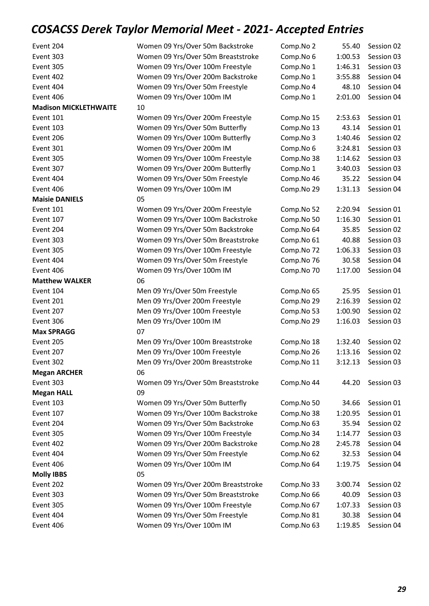| Event 204                    | Women 09 Yrs/Over 50m Backstroke    | Comp.No 2  | 55.40   | Session 02         |
|------------------------------|-------------------------------------|------------|---------|--------------------|
| Event 303                    | Women 09 Yrs/Over 50m Breaststroke  | Comp.No 6  | 1:00.53 | Session 03         |
| Event 305                    | Women 09 Yrs/Over 100m Freestyle    | Comp.No 1  | 1:46.31 | Session 03         |
| Event 402                    | Women 09 Yrs/Over 200m Backstroke   | Comp.No 1  | 3:55.88 | Session 04         |
| Event 404                    | Women 09 Yrs/Over 50m Freestyle     | Comp.No 4  | 48.10   | Session 04         |
| Event 406                    | Women 09 Yrs/Over 100m IM           | Comp.No 1  | 2:01.00 | Session 04         |
| <b>Madison MICKLETHWAITE</b> | 10                                  |            |         |                    |
| Event 101                    | Women 09 Yrs/Over 200m Freestyle    | Comp.No 15 | 2:53.63 | Session 01         |
| Event 103                    | Women 09 Yrs/Over 50m Butterfly     | Comp.No 13 | 43.14   | Session 01         |
| Event 206                    | Women 09 Yrs/Over 100m Butterfly    | Comp.No 3  | 1:40.46 | Session 02         |
| Event 301                    | Women 09 Yrs/Over 200m IM           | Comp.No 6  | 3:24.81 | Session 03         |
| Event 305                    | Women 09 Yrs/Over 100m Freestyle    | Comp.No 38 | 1:14.62 | Session 03         |
| Event 307                    | Women 09 Yrs/Over 200m Butterfly    | Comp.No 1  | 3:40.03 | Session 03         |
| Event 404                    | Women 09 Yrs/Over 50m Freestyle     | Comp.No 46 | 35.22   | Session 04         |
| Event 406                    | Women 09 Yrs/Over 100m IM           | Comp.No 29 | 1:31.13 | Session 04         |
| <b>Maisie DANIELS</b>        | 05                                  |            |         |                    |
| Event 101                    | Women 09 Yrs/Over 200m Freestyle    | Comp.No 52 | 2:20.94 | Session 01         |
| Event 107                    | Women 09 Yrs/Over 100m Backstroke   | Comp.No 50 | 1:16.30 | Session 01         |
| Event 204                    | Women 09 Yrs/Over 50m Backstroke    | Comp.No 64 | 35.85   | Session 02         |
| Event 303                    | Women 09 Yrs/Over 50m Breaststroke  | Comp.No 61 | 40.88   | Session 03         |
| Event 305                    | Women 09 Yrs/Over 100m Freestyle    | Comp.No 72 | 1:06.33 | Session 03         |
| Event 404                    | Women 09 Yrs/Over 50m Freestyle     | Comp.No 76 | 30.58   | Session 04         |
| Event 406                    | Women 09 Yrs/Over 100m IM           | Comp.No 70 | 1:17.00 | Session 04         |
| <b>Matthew WALKER</b>        | 06                                  |            |         |                    |
| Event 104                    | Men 09 Yrs/Over 50m Freestyle       | Comp.No 65 | 25.95   | Session 01         |
| Event 201                    | Men 09 Yrs/Over 200m Freestyle      | Comp.No 29 | 2:16.39 | Session 02         |
| Event 207                    | Men 09 Yrs/Over 100m Freestyle      | Comp.No 53 | 1:00.90 | Session 02         |
| Event 306                    | Men 09 Yrs/Over 100m IM             | Comp.No 29 | 1:16.03 | Session 03         |
| <b>Max SPRAGG</b>            | 07                                  |            |         |                    |
| Event 205                    | Men 09 Yrs/Over 100m Breaststroke   | Comp.No 18 | 1:32.40 | Session 02         |
| Event 207                    | Men 09 Yrs/Over 100m Freestyle      | Comp.No 26 | 1:13.16 | Session 02         |
| Event 302                    | Men 09 Yrs/Over 200m Breaststroke   | Comp.No 11 |         | 3:12.13 Session 03 |
| <b>Megan ARCHER</b>          | 06                                  |            |         |                    |
| Event 303                    | Women 09 Yrs/Over 50m Breaststroke  | Comp.No 44 | 44.20   | Session 03         |
| <b>Megan HALL</b>            | 09                                  |            |         |                    |
| Event 103                    | Women 09 Yrs/Over 50m Butterfly     | Comp.No 50 | 34.66   | Session 01         |
| Event 107                    | Women 09 Yrs/Over 100m Backstroke   | Comp.No 38 | 1:20.95 | Session 01         |
| Event 204                    | Women 09 Yrs/Over 50m Backstroke    | Comp.No 63 | 35.94   | Session 02         |
| Event 305                    | Women 09 Yrs/Over 100m Freestyle    | Comp.No 34 | 1:14.77 | Session 03         |
| Event 402                    | Women 09 Yrs/Over 200m Backstroke   | Comp.No 28 | 2:45.78 | Session 04         |
| Event 404                    | Women 09 Yrs/Over 50m Freestyle     | Comp.No 62 | 32.53   | Session 04         |
| Event 406                    | Women 09 Yrs/Over 100m IM           | Comp.No 64 | 1:19.75 | Session 04         |
| <b>Molly IBBS</b>            | 05                                  |            |         |                    |
| Event 202                    | Women 09 Yrs/Over 200m Breaststroke | Comp.No 33 | 3:00.74 | Session 02         |
| Event 303                    | Women 09 Yrs/Over 50m Breaststroke  | Comp.No 66 | 40.09   | Session 03         |
| Event 305                    | Women 09 Yrs/Over 100m Freestyle    | Comp.No 67 | 1:07.33 | Session 03         |
| Event 404                    | Women 09 Yrs/Over 50m Freestyle     | Comp.No 81 | 30.38   | Session 04         |
| Event 406                    | Women 09 Yrs/Over 100m IM           | Comp.No 63 | 1:19.85 | Session 04         |
|                              |                                     |            |         |                    |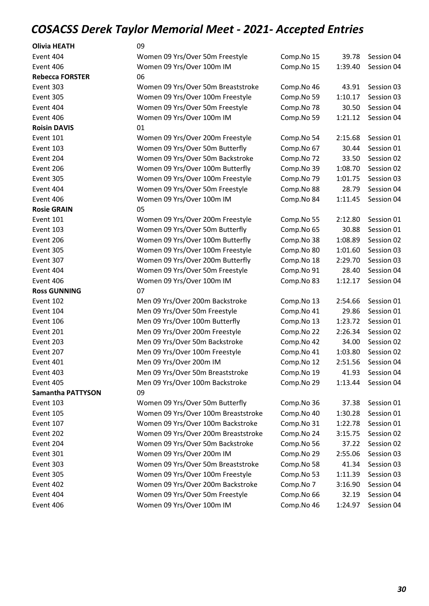| <b>Olivia HEATH</b>      | 09                                  |            |         |            |
|--------------------------|-------------------------------------|------------|---------|------------|
| Event 404                | Women 09 Yrs/Over 50m Freestyle     | Comp.No 15 | 39.78   | Session 04 |
| Event 406                | Women 09 Yrs/Over 100m IM           | Comp.No 15 | 1:39.40 | Session 04 |
| <b>Rebecca FORSTER</b>   | 06                                  |            |         |            |
| Event 303                | Women 09 Yrs/Over 50m Breaststroke  | Comp.No 46 | 43.91   | Session 03 |
| Event 305                | Women 09 Yrs/Over 100m Freestyle    | Comp.No 59 | 1:10.17 | Session 03 |
| Event 404                | Women 09 Yrs/Over 50m Freestyle     | Comp.No 78 | 30.50   | Session 04 |
| Event 406                | Women 09 Yrs/Over 100m IM           | Comp.No 59 | 1:21.12 | Session 04 |
| <b>Roisin DAVIS</b>      | 01                                  |            |         |            |
| Event 101                | Women 09 Yrs/Over 200m Freestyle    | Comp.No 54 | 2:15.68 | Session 01 |
| Event 103                | Women 09 Yrs/Over 50m Butterfly     | Comp.No 67 | 30.44   | Session 01 |
| Event 204                | Women 09 Yrs/Over 50m Backstroke    | Comp.No 72 | 33.50   | Session 02 |
| Event 206                | Women 09 Yrs/Over 100m Butterfly    | Comp.No 39 | 1:08.70 | Session 02 |
| Event 305                | Women 09 Yrs/Over 100m Freestyle    | Comp.No 79 | 1:01.75 | Session 03 |
| Event 404                | Women 09 Yrs/Over 50m Freestyle     | Comp.No 88 | 28.79   | Session 04 |
| Event 406                | Women 09 Yrs/Over 100m IM           | Comp.No 84 | 1:11.45 | Session 04 |
| <b>Rosie GRAIN</b>       | 05                                  |            |         |            |
| Event 101                | Women 09 Yrs/Over 200m Freestyle    | Comp.No 55 | 2:12.80 | Session 01 |
| Event 103                | Women 09 Yrs/Over 50m Butterfly     | Comp.No 65 | 30.88   | Session 01 |
| Event 206                | Women 09 Yrs/Over 100m Butterfly    | Comp.No 38 | 1:08.89 | Session 02 |
| Event 305                | Women 09 Yrs/Over 100m Freestyle    | Comp.No 80 | 1:01.60 | Session 03 |
| Event 307                | Women 09 Yrs/Over 200m Butterfly    | Comp.No 18 | 2:29.70 | Session 03 |
| Event 404                | Women 09 Yrs/Over 50m Freestyle     | Comp.No 91 | 28.40   | Session 04 |
| Event 406                | Women 09 Yrs/Over 100m IM           | Comp.No 83 | 1:12.17 | Session 04 |
| <b>Ross GUNNING</b>      | 07                                  |            |         |            |
| Event 102                | Men 09 Yrs/Over 200m Backstroke     | Comp.No 13 | 2:54.66 | Session 01 |
| Event 104                | Men 09 Yrs/Over 50m Freestyle       | Comp.No 41 | 29.86   | Session 01 |
| Event 106                | Men 09 Yrs/Over 100m Butterfly      | Comp.No 13 | 1:23.72 | Session 01 |
| Event 201                | Men 09 Yrs/Over 200m Freestyle      | Comp.No 22 | 2:26.34 | Session 02 |
| Event 203                | Men 09 Yrs/Over 50m Backstroke      | Comp.No 42 | 34.00   | Session 02 |
| Event 207                | Men 09 Yrs/Over 100m Freestyle      | Comp.No 41 | 1:03.80 | Session 02 |
| Event 401                | Men 09 Yrs/Over 200m IM             | Comp.No 12 | 2:51.56 | Session 04 |
| Event 403                | Men 09 Yrs/Over 50m Breaststroke    | Comp.No 19 | 41.93   | Session 04 |
| Event 405                | Men 09 Yrs/Over 100m Backstroke     | Comp.No 29 | 1:13.44 | Session 04 |
| <b>Samantha PATTYSON</b> | 09                                  |            |         |            |
| Event 103                | Women 09 Yrs/Over 50m Butterfly     | Comp.No 36 | 37.38   | Session 01 |
| Event 105                | Women 09 Yrs/Over 100m Breaststroke | Comp.No 40 | 1:30.28 | Session 01 |
| Event 107                | Women 09 Yrs/Over 100m Backstroke   | Comp.No 31 | 1:22.78 | Session 01 |
| Event 202                | Women 09 Yrs/Over 200m Breaststroke | Comp.No 24 | 3:15.75 | Session 02 |
| Event 204                | Women 09 Yrs/Over 50m Backstroke    | Comp.No 56 | 37.22   | Session 02 |
| Event 301                | Women 09 Yrs/Over 200m IM           | Comp.No 29 | 2:55.06 | Session 03 |
| Event 303                | Women 09 Yrs/Over 50m Breaststroke  | Comp.No 58 | 41.34   | Session 03 |
| Event 305                | Women 09 Yrs/Over 100m Freestyle    | Comp.No 53 | 1:11.39 | Session 03 |
| Event 402                | Women 09 Yrs/Over 200m Backstroke   | Comp.No 7  | 3:16.90 | Session 04 |
| Event 404                | Women 09 Yrs/Over 50m Freestyle     | Comp.No 66 | 32.19   | Session 04 |
| Event 406                | Women 09 Yrs/Over 100m IM           | Comp.No 46 | 1:24.97 | Session 04 |
|                          |                                     |            |         |            |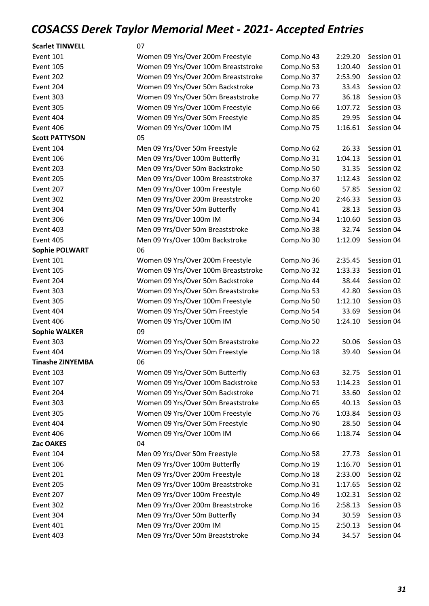| <b>Scarlet TINWELL</b> | 07                                  |            |         |            |
|------------------------|-------------------------------------|------------|---------|------------|
| Event 101              | Women 09 Yrs/Over 200m Freestyle    | Comp.No 43 | 2:29.20 | Session 01 |
| Event 105              | Women 09 Yrs/Over 100m Breaststroke | Comp.No 53 | 1:20.40 | Session 01 |
| Event 202              | Women 09 Yrs/Over 200m Breaststroke | Comp.No 37 | 2:53.90 | Session 02 |
| Event 204              | Women 09 Yrs/Over 50m Backstroke    | Comp.No 73 | 33.43   | Session 02 |
| Event 303              | Women 09 Yrs/Over 50m Breaststroke  | Comp.No 77 | 36.18   | Session 03 |
| Event 305              | Women 09 Yrs/Over 100m Freestyle    | Comp.No 66 | 1:07.72 | Session 03 |
| Event 404              | Women 09 Yrs/Over 50m Freestyle     | Comp.No 85 | 29.95   | Session 04 |
| Event 406              | Women 09 Yrs/Over 100m IM           | Comp.No 75 | 1:16.61 | Session 04 |
| <b>Scott PATTYSON</b>  | 05                                  |            |         |            |
| Event 104              | Men 09 Yrs/Over 50m Freestyle       | Comp.No 62 | 26.33   | Session 01 |
| Event 106              | Men 09 Yrs/Over 100m Butterfly      | Comp.No 31 | 1:04.13 | Session 01 |
| Event 203              | Men 09 Yrs/Over 50m Backstroke      | Comp.No 50 | 31.35   | Session 02 |
| Event 205              | Men 09 Yrs/Over 100m Breaststroke   | Comp.No 37 | 1:12.43 | Session 02 |
| Event 207              | Men 09 Yrs/Over 100m Freestyle      | Comp.No 60 | 57.85   | Session 02 |
| Event 302              | Men 09 Yrs/Over 200m Breaststroke   | Comp.No 20 | 2:46.33 | Session 03 |
| Event 304              | Men 09 Yrs/Over 50m Butterfly       | Comp.No 41 | 28.13   | Session 03 |
| Event 306              | Men 09 Yrs/Over 100m IM             | Comp.No 34 | 1:10.60 | Session 03 |
| Event 403              | Men 09 Yrs/Over 50m Breaststroke    | Comp.No 38 | 32.74   | Session 04 |
| Event 405              | Men 09 Yrs/Over 100m Backstroke     | Comp.No 30 | 1:12.09 | Session 04 |
| <b>Sophie POLWART</b>  | 06                                  |            |         |            |
| Event 101              | Women 09 Yrs/Over 200m Freestyle    | Comp.No 36 | 2:35.45 | Session 01 |
| Event 105              | Women 09 Yrs/Over 100m Breaststroke | Comp.No 32 | 1:33.33 | Session 01 |
| Event 204              | Women 09 Yrs/Over 50m Backstroke    | Comp.No 44 | 38.44   | Session 02 |
| Event 303              | Women 09 Yrs/Over 50m Breaststroke  | Comp.No 53 | 42.80   | Session 03 |
| Event 305              | Women 09 Yrs/Over 100m Freestyle    | Comp.No 50 | 1:12.10 | Session 03 |
| Event 404              | Women 09 Yrs/Over 50m Freestyle     | Comp.No 54 | 33.69   | Session 04 |
| Event 406              | Women 09 Yrs/Over 100m IM           | Comp.No 50 | 1:24.10 | Session 04 |
| <b>Sophie WALKER</b>   | 09                                  |            |         |            |
| Event 303              | Women 09 Yrs/Over 50m Breaststroke  | Comp.No 22 | 50.06   | Session 03 |
| Event 404              | Women 09 Yrs/Over 50m Freestyle     | Comp.No 18 | 39.40   | Session 04 |
| Tinashe ZINYEMBA       | 06                                  |            |         |            |
| Event 103              | Women 09 Yrs/Over 50m Butterfly     | Comp.No 63 | 32.75   | Session 01 |
| Event 107              | Women 09 Yrs/Over 100m Backstroke   | Comp.No 53 | 1:14.23 | Session 01 |
| Event 204              | Women 09 Yrs/Over 50m Backstroke    | Comp.No 71 | 33.60   | Session 02 |
| Event 303              | Women 09 Yrs/Over 50m Breaststroke  | Comp.No 65 | 40.13   | Session 03 |
| Event 305              | Women 09 Yrs/Over 100m Freestyle    | Comp.No 76 | 1:03.84 | Session 03 |
| Event 404              | Women 09 Yrs/Over 50m Freestyle     | Comp.No 90 | 28.50   | Session 04 |
| Event 406              | Women 09 Yrs/Over 100m IM           | Comp.No 66 | 1:18.74 | Session 04 |
| Zac OAKES              | 04                                  |            |         |            |
| Event 104              | Men 09 Yrs/Over 50m Freestyle       | Comp.No 58 | 27.73   | Session 01 |
| Event 106              | Men 09 Yrs/Over 100m Butterfly      | Comp.No 19 | 1:16.70 | Session 01 |
| Event 201              | Men 09 Yrs/Over 200m Freestyle      | Comp.No 18 | 2:33.00 | Session 02 |
| Event 205              | Men 09 Yrs/Over 100m Breaststroke   | Comp.No 31 | 1:17.65 | Session 02 |
| Event 207              | Men 09 Yrs/Over 100m Freestyle      | Comp.No 49 | 1:02.31 | Session 02 |
| Event 302              | Men 09 Yrs/Over 200m Breaststroke   | Comp.No 16 | 2:58.13 | Session 03 |
| Event 304              | Men 09 Yrs/Over 50m Butterfly       | Comp.No 34 | 30.59   | Session 03 |
| Event 401              | Men 09 Yrs/Over 200m IM             | Comp.No 15 | 2:50.13 | Session 04 |
| Event 403              | Men 09 Yrs/Over 50m Breaststroke    | Comp.No 34 | 34.57   | Session 04 |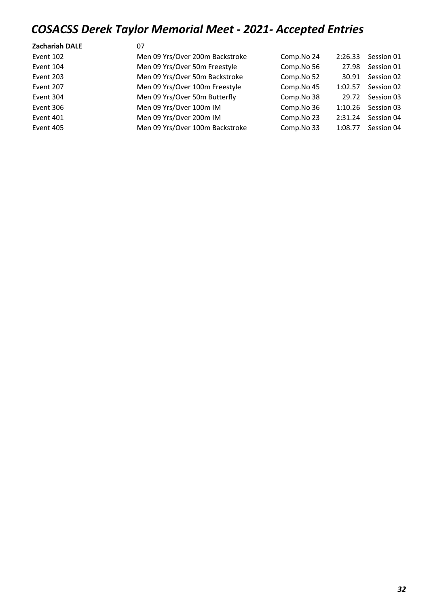| <b>Zachariah DALE</b> | 07                              |            |         |            |
|-----------------------|---------------------------------|------------|---------|------------|
| Event 102             | Men 09 Yrs/Over 200m Backstroke | Comp.No 24 | 2:26.33 | Session 01 |
| Event 104             | Men 09 Yrs/Over 50m Freestyle   | Comp.No 56 | 27.98   | Session 01 |
| Event 203             | Men 09 Yrs/Over 50m Backstroke  | Comp.No 52 | 30.91   | Session 02 |
| Event 207             | Men 09 Yrs/Over 100m Freestyle  | Comp.No 45 | 1:02.57 | Session 02 |
| Event 304             | Men 09 Yrs/Over 50m Butterfly   | Comp.No 38 | 29.72   | Session 03 |
| Event 306             | Men 09 Yrs/Over 100m IM         | Comp.No 36 | 1:10.26 | Session 03 |
| Event 401             | Men 09 Yrs/Over 200m IM         | Comp.No 23 | 2:31.24 | Session 04 |
| Event 405             | Men 09 Yrs/Over 100m Backstroke | Comp.No 33 | 1:08.77 | Session 04 |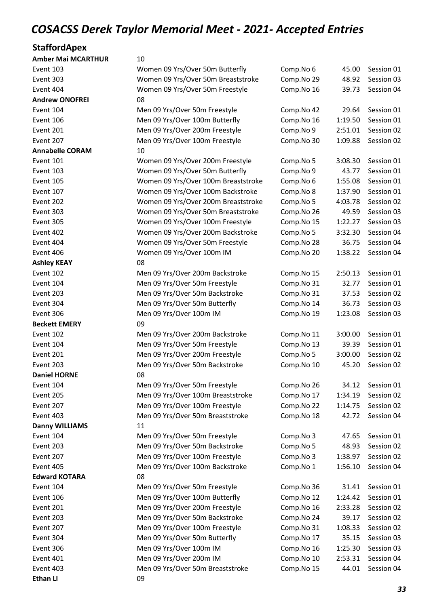#### **StaffordApex**

| <b>Amber Mai MCARTHUR</b> | 10                                  |            |         |            |
|---------------------------|-------------------------------------|------------|---------|------------|
| Event 103                 | Women 09 Yrs/Over 50m Butterfly     | Comp.No 6  | 45.00   | Session 01 |
| Event 303                 | Women 09 Yrs/Over 50m Breaststroke  | Comp.No 29 | 48.92   | Session 03 |
| Event 404                 | Women 09 Yrs/Over 50m Freestyle     | Comp.No 16 | 39.73   | Session 04 |
| <b>Andrew ONOFREI</b>     | 08                                  |            |         |            |
| Event 104                 | Men 09 Yrs/Over 50m Freestyle       | Comp.No 42 | 29.64   | Session 01 |
| Event 106                 | Men 09 Yrs/Over 100m Butterfly      | Comp.No 16 | 1:19.50 | Session 01 |
| Event 201                 | Men 09 Yrs/Over 200m Freestyle      | Comp.No 9  | 2:51.01 | Session 02 |
| Event 207                 | Men 09 Yrs/Over 100m Freestyle      | Comp.No 30 | 1:09.88 | Session 02 |
| <b>Annabelle CORAM</b>    | 10                                  |            |         |            |
| Event 101                 | Women 09 Yrs/Over 200m Freestyle    | Comp.No 5  | 3:08.30 | Session 01 |
| Event 103                 | Women 09 Yrs/Over 50m Butterfly     | Comp.No 9  | 43.77   | Session 01 |
| Event 105                 | Women 09 Yrs/Over 100m Breaststroke | Comp.No 6  | 1:55.08 | Session 01 |
| Event 107                 | Women 09 Yrs/Over 100m Backstroke   | Comp.No 8  | 1:37.90 | Session 01 |
| Event 202                 | Women 09 Yrs/Over 200m Breaststroke | Comp.No 5  | 4:03.78 | Session 02 |
| Event 303                 | Women 09 Yrs/Over 50m Breaststroke  | Comp.No 26 | 49.59   | Session 03 |
| Event 305                 | Women 09 Yrs/Over 100m Freestyle    | Comp.No 15 | 1:22.27 | Session 03 |
| Event 402                 | Women 09 Yrs/Over 200m Backstroke   | Comp.No 5  | 3:32.30 | Session 04 |
| Event 404                 | Women 09 Yrs/Over 50m Freestyle     | Comp.No 28 | 36.75   | Session 04 |
| Event 406                 | Women 09 Yrs/Over 100m IM           | Comp.No 20 | 1:38.22 | Session 04 |
| <b>Ashley KEAY</b>        | 08                                  |            |         |            |
| Event 102                 | Men 09 Yrs/Over 200m Backstroke     | Comp.No 15 | 2:50.13 | Session 01 |
| Event 104                 | Men 09 Yrs/Over 50m Freestyle       | Comp.No 31 | 32.77   | Session 01 |
| Event 203                 | Men 09 Yrs/Over 50m Backstroke      | Comp.No 31 | 37.53   | Session 02 |
| Event 304                 | Men 09 Yrs/Over 50m Butterfly       | Comp.No 14 | 36.73   | Session 03 |
| Event 306                 | Men 09 Yrs/Over 100m IM             | Comp.No 19 | 1:23.08 | Session 03 |
| <b>Beckett EMERY</b>      | 09                                  |            |         |            |
| Event 102                 | Men 09 Yrs/Over 200m Backstroke     | Comp.No 11 | 3:00.00 | Session 01 |
| Event 104                 | Men 09 Yrs/Over 50m Freestyle       | Comp.No 13 | 39.39   | Session 01 |
| Event 201                 | Men 09 Yrs/Over 200m Freestyle      | Comp.No 5  | 3:00.00 | Session 02 |
| Event 203                 | Men 09 Yrs/Over 50m Backstroke      | Comp.No 10 | 45.20   | Session 02 |
| <b>Daniel HORNE</b>       | 08                                  |            |         |            |
| Event 104                 | Men 09 Yrs/Over 50m Freestyle       | Comp.No 26 | 34.12   | Session 01 |
| Event 205                 | Men 09 Yrs/Over 100m Breaststroke   | Comp.No 17 | 1:34.19 | Session 02 |
| Event 207                 | Men 09 Yrs/Over 100m Freestyle      | Comp.No 22 | 1:14.75 | Session 02 |
| Event 403                 | Men 09 Yrs/Over 50m Breaststroke    | Comp.No 18 | 42.72   | Session 04 |
| <b>Danny WILLIAMS</b>     | 11                                  |            |         |            |
| Event 104                 | Men 09 Yrs/Over 50m Freestyle       | Comp.No 3  | 47.65   | Session 01 |
| Event 203                 | Men 09 Yrs/Over 50m Backstroke      | Comp.No 5  | 48.93   | Session 02 |
| Event 207                 | Men 09 Yrs/Over 100m Freestyle      | Comp.No 3  | 1:38.97 | Session 02 |
| Event 405                 | Men 09 Yrs/Over 100m Backstroke     | Comp.No 1  | 1:56.10 | Session 04 |
| <b>Edward KOTARA</b>      | 08                                  |            |         |            |
| Event 104                 | Men 09 Yrs/Over 50m Freestyle       | Comp.No 36 | 31.41   | Session 01 |
| Event 106                 | Men 09 Yrs/Over 100m Butterfly      | Comp.No 12 | 1:24.42 | Session 01 |
| Event 201                 | Men 09 Yrs/Over 200m Freestyle      | Comp.No 16 | 2:33.28 | Session 02 |
| Event 203                 | Men 09 Yrs/Over 50m Backstroke      | Comp.No 24 | 39.17   | Session 02 |
| Event 207                 | Men 09 Yrs/Over 100m Freestyle      | Comp.No 31 | 1:08.33 | Session 02 |
| Event 304                 | Men 09 Yrs/Over 50m Butterfly       | Comp.No 17 | 35.15   | Session 03 |
| Event 306                 | Men 09 Yrs/Over 100m IM             | Comp.No 16 | 1:25.30 | Session 03 |
| Event 401                 | Men 09 Yrs/Over 200m IM             | Comp.No 10 | 2:53.31 | Session 04 |
| Event 403                 | Men 09 Yrs/Over 50m Breaststroke    | Comp.No 15 | 44.01   | Session 04 |
| <b>Ethan LI</b>           | 09                                  |            |         |            |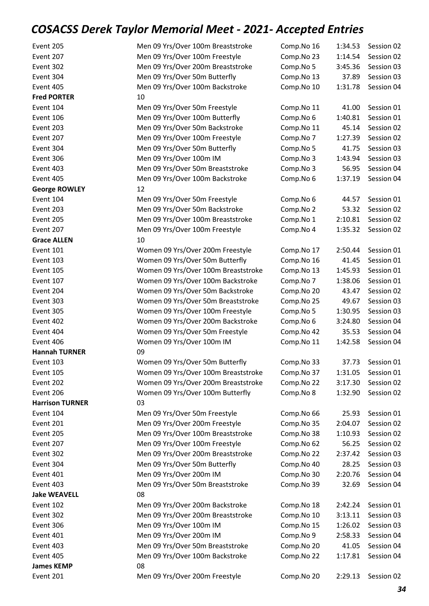| Event 205              | Men 09 Yrs/Over 100m Breaststroke   | Comp.No 16 | 1:34.53 | Session 02 |
|------------------------|-------------------------------------|------------|---------|------------|
| Event 207              | Men 09 Yrs/Over 100m Freestyle      | Comp.No 23 | 1:14.54 | Session 02 |
| Event 302              | Men 09 Yrs/Over 200m Breaststroke   | Comp.No 5  | 3:45.36 | Session 03 |
| Event 304              | Men 09 Yrs/Over 50m Butterfly       | Comp.No 13 | 37.89   | Session 03 |
| Event 405              | Men 09 Yrs/Over 100m Backstroke     | Comp.No 10 | 1:31.78 | Session 04 |
| <b>Fred PORTER</b>     | 10                                  |            |         |            |
| Event 104              | Men 09 Yrs/Over 50m Freestyle       | Comp.No 11 | 41.00   | Session 01 |
| Event 106              | Men 09 Yrs/Over 100m Butterfly      | Comp.No 6  | 1:40.81 | Session 01 |
| Event 203              | Men 09 Yrs/Over 50m Backstroke      | Comp.No 11 | 45.14   | Session 02 |
| Event 207              | Men 09 Yrs/Over 100m Freestyle      | Comp.No 7  | 1:27.39 | Session 02 |
| Event 304              | Men 09 Yrs/Over 50m Butterfly       | Comp.No 5  | 41.75   | Session 03 |
| Event 306              | Men 09 Yrs/Over 100m IM             | Comp.No 3  | 1:43.94 | Session 03 |
| Event 403              | Men 09 Yrs/Over 50m Breaststroke    | Comp.No 3  | 56.95   | Session 04 |
| Event 405              | Men 09 Yrs/Over 100m Backstroke     | Comp.No 6  | 1:37.19 | Session 04 |
| <b>George ROWLEY</b>   | 12                                  |            |         |            |
| Event 104              | Men 09 Yrs/Over 50m Freestyle       | Comp.No 6  | 44.57   | Session 01 |
| Event 203              | Men 09 Yrs/Over 50m Backstroke      | Comp.No 2  | 53.32   | Session 02 |
| Event 205              | Men 09 Yrs/Over 100m Breaststroke   | Comp.No 1  | 2:10.81 | Session 02 |
| Event 207              | Men 09 Yrs/Over 100m Freestyle      | Comp.No 4  | 1:35.32 | Session 02 |
| <b>Grace ALLEN</b>     | 10                                  |            |         |            |
| Event 101              | Women 09 Yrs/Over 200m Freestyle    | Comp.No 17 | 2:50.44 | Session 01 |
| Event 103              | Women 09 Yrs/Over 50m Butterfly     | Comp.No 16 | 41.45   | Session 01 |
| <b>Event 105</b>       | Women 09 Yrs/Over 100m Breaststroke | Comp.No 13 | 1:45.93 | Session 01 |
| Event 107              | Women 09 Yrs/Over 100m Backstroke   | Comp.No 7  | 1:38.06 | Session 01 |
| Event 204              | Women 09 Yrs/Over 50m Backstroke    | Comp.No 20 | 43.47   | Session 02 |
| Event 303              | Women 09 Yrs/Over 50m Breaststroke  | Comp.No 25 | 49.67   | Session 03 |
| Event 305              | Women 09 Yrs/Over 100m Freestyle    | Comp.No 5  | 1:30.95 | Session 03 |
| Event 402              | Women 09 Yrs/Over 200m Backstroke   | Comp.No 6  | 3:24.80 | Session 04 |
| Event 404              | Women 09 Yrs/Over 50m Freestyle     | Comp.No 42 | 35.53   | Session 04 |
| Event 406              | Women 09 Yrs/Over 100m IM           | Comp.No 11 | 1:42.58 | Session 04 |
| <b>Hannah TURNER</b>   | 09                                  |            |         |            |
| Event 103              | Women 09 Yrs/Over 50m Butterfly     | Comp.No 33 | 37.73   | Session 01 |
| Event 105              | Women 09 Yrs/Over 100m Breaststroke | Comp.No 37 | 1:31.05 | Session 01 |
| Event 202              | Women 09 Yrs/Over 200m Breaststroke | Comp.No 22 | 3:17.30 | Session 02 |
| Event 206              | Women 09 Yrs/Over 100m Butterfly    | Comp.No 8  | 1:32.90 | Session 02 |
| <b>Harrison TURNER</b> | 03                                  |            |         |            |
| Event 104              | Men 09 Yrs/Over 50m Freestyle       | Comp.No 66 | 25.93   | Session 01 |
| Event 201              | Men 09 Yrs/Over 200m Freestyle      | Comp.No 35 | 2:04.07 | Session 02 |
| Event 205              | Men 09 Yrs/Over 100m Breaststroke   | Comp.No 38 | 1:10.93 | Session 02 |
| Event 207              | Men 09 Yrs/Over 100m Freestyle      | Comp.No 62 | 56.25   | Session 02 |
| Event 302              | Men 09 Yrs/Over 200m Breaststroke   | Comp.No 22 | 2:37.42 | Session 03 |
|                        |                                     |            |         |            |
| Event 304<br>Event 401 | Men 09 Yrs/Over 50m Butterfly       | Comp.No 40 | 28.25   | Session 03 |
|                        | Men 09 Yrs/Over 200m IM             | Comp.No 30 | 2:20.76 | Session 04 |
| Event 403              | Men 09 Yrs/Over 50m Breaststroke    | Comp.No 39 | 32.69   | Session 04 |
| <b>Jake WEAVELL</b>    | 08                                  |            |         |            |
| Event 102              | Men 09 Yrs/Over 200m Backstroke     | Comp.No 18 | 2:42.24 | Session 01 |
| Event 302              | Men 09 Yrs/Over 200m Breaststroke   | Comp.No 10 | 3:13.11 | Session 03 |
| Event 306              | Men 09 Yrs/Over 100m IM             | Comp.No 15 | 1:26.02 | Session 03 |
| Event 401              | Men 09 Yrs/Over 200m IM             | Comp.No 9  | 2:58.33 | Session 04 |
| Event 403              | Men 09 Yrs/Over 50m Breaststroke    | Comp.No 20 | 41.05   | Session 04 |
| Event 405              | Men 09 Yrs/Over 100m Backstroke     | Comp.No 22 | 1:17.81 | Session 04 |
| <b>James KEMP</b>      | 08                                  |            |         |            |
| Event 201              | Men 09 Yrs/Over 200m Freestyle      | Comp.No 20 | 2:29.13 | Session 02 |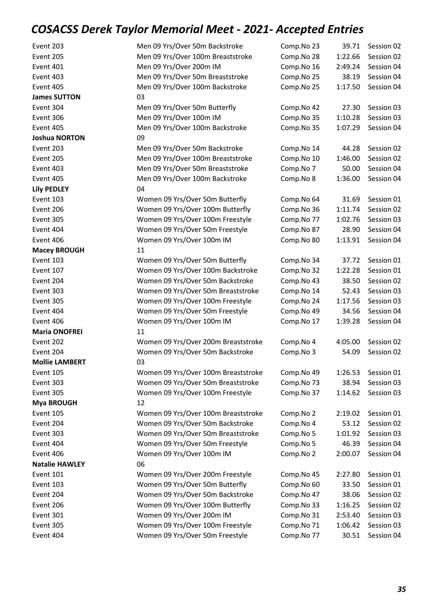| Event 203             | Men 09 Yrs/Over 50m Backstroke      | Comp.No 23 | 39.71   | Session 02 |
|-----------------------|-------------------------------------|------------|---------|------------|
| Event 205             | Men 09 Yrs/Over 100m Breaststroke   | Comp.No 28 | 1:22.66 | Session 02 |
| Event 401             | Men 09 Yrs/Over 200m IM             | Comp.No 16 | 2:49.24 | Session 04 |
| Event 403             | Men 09 Yrs/Over 50m Breaststroke    | Comp.No 25 | 38.19   | Session 04 |
| Event 405             | Men 09 Yrs/Over 100m Backstroke     | Comp.No 25 | 1:17.50 | Session 04 |
| <b>James SUTTON</b>   | 03                                  |            |         |            |
| Event 304             | Men 09 Yrs/Over 50m Butterfly       | Comp.No 42 | 27.30   | Session 03 |
| Event 306             | Men 09 Yrs/Over 100m IM             | Comp.No 35 | 1:10.28 | Session 03 |
| Event 405             | Men 09 Yrs/Over 100m Backstroke     | Comp.No 35 | 1:07.29 | Session 04 |
| <b>Joshua NORTON</b>  | 09                                  |            |         |            |
| Event 203             | Men 09 Yrs/Over 50m Backstroke      | Comp.No 14 | 44.28   | Session 02 |
| Event 205             | Men 09 Yrs/Over 100m Breaststroke   | Comp.No 10 | 1:46.00 | Session 02 |
| Event 403             | Men 09 Yrs/Over 50m Breaststroke    | Comp.No 7  | 50.00   | Session 04 |
| Event 405             | Men 09 Yrs/Over 100m Backstroke     | Comp.No 8  | 1:36.00 | Session 04 |
| <b>Lily PEDLEY</b>    | 04                                  |            |         |            |
| Event 103             | Women 09 Yrs/Over 50m Butterfly     | Comp.No 64 | 31.69   | Session 01 |
| Event 206             | Women 09 Yrs/Over 100m Butterfly    | Comp.No 36 | 1:11.74 | Session 02 |
| Event 305             | Women 09 Yrs/Over 100m Freestyle    | Comp.No 77 | 1:02.76 | Session 03 |
| Event 404             | Women 09 Yrs/Over 50m Freestyle     | Comp.No 87 | 28.90   | Session 04 |
| Event 406             | Women 09 Yrs/Over 100m IM           | Comp.No 80 | 1:13.91 | Session 04 |
| <b>Macey BROUGH</b>   | 11                                  |            |         |            |
| Event 103             | Women 09 Yrs/Over 50m Butterfly     | Comp.No 34 | 37.72   | Session 01 |
| Event 107             | Women 09 Yrs/Over 100m Backstroke   | Comp.No 32 | 1:22.28 | Session 01 |
| Event 204             | Women 09 Yrs/Over 50m Backstroke    | Comp.No 43 | 38.50   | Session 02 |
| Event 303             | Women 09 Yrs/Over 50m Breaststroke  | Comp.No 14 | 52.43   | Session 03 |
| Event 305             | Women 09 Yrs/Over 100m Freestyle    | Comp.No 24 | 1:17.56 | Session 03 |
| Event 404             | Women 09 Yrs/Over 50m Freestyle     | Comp.No 49 | 34.56   | Session 04 |
| Event 406             | Women 09 Yrs/Over 100m IM           | Comp.No 17 | 1:39.28 | Session 04 |
| <b>Maria ONOFREI</b>  | 11                                  |            |         |            |
| Event 202             | Women 09 Yrs/Over 200m Breaststroke | Comp.No 4  | 4:05.00 | Session 02 |
| Event 204             | Women 09 Yrs/Over 50m Backstroke    | Comp.No 3  | 54.09   | Session 02 |
| <b>Mollie LAMBERT</b> | 03                                  |            |         |            |
| Event 105             | Women 09 Yrs/Over 100m Breaststroke | Comp.No 49 | 1:26.53 | Session 01 |
| Event 303             | Women 09 Yrs/Over 50m Breaststroke  | Comp.No 73 | 38.94   | Session 03 |
| Event 305             | Women 09 Yrs/Over 100m Freestyle    | Comp.No 37 | 1:14.62 | Session 03 |
| <b>Mya BROUGH</b>     | 12                                  |            |         |            |
| Event 105             | Women 09 Yrs/Over 100m Breaststroke | Comp.No 2  | 2:19.02 | Session 01 |
| Event 204             | Women 09 Yrs/Over 50m Backstroke    | Comp.No 4  | 53.12   | Session 02 |
| Event 303             | Women 09 Yrs/Over 50m Breaststroke  | Comp.No 5  | 1:01.92 | Session 03 |
| Event 404             | Women 09 Yrs/Over 50m Freestyle     | Comp.No 5  | 46.39   | Session 04 |
| Event 406             | Women 09 Yrs/Over 100m IM           | Comp.No 2  | 2:00.07 | Session 04 |
| <b>Natalie HAWLEY</b> | 06                                  |            |         |            |
| Event 101             | Women 09 Yrs/Over 200m Freestyle    | Comp.No 45 | 2:27.80 | Session 01 |
| Event 103             | Women 09 Yrs/Over 50m Butterfly     | Comp.No 60 | 33.50   | Session 01 |
| Event 204             | Women 09 Yrs/Over 50m Backstroke    | Comp.No 47 | 38.06   | Session 02 |
| Event 206             | Women 09 Yrs/Over 100m Butterfly    | Comp.No 33 | 1:16.25 | Session 02 |
| Event 301             | Women 09 Yrs/Over 200m IM           | Comp.No 31 | 2:53.40 | Session 03 |
| Event 305             | Women 09 Yrs/Over 100m Freestyle    | Comp.No 71 | 1:06.42 | Session 03 |
| Event 404             | Women 09 Yrs/Over 50m Freestyle     | Comp.No 77 | 30.51   | Session 04 |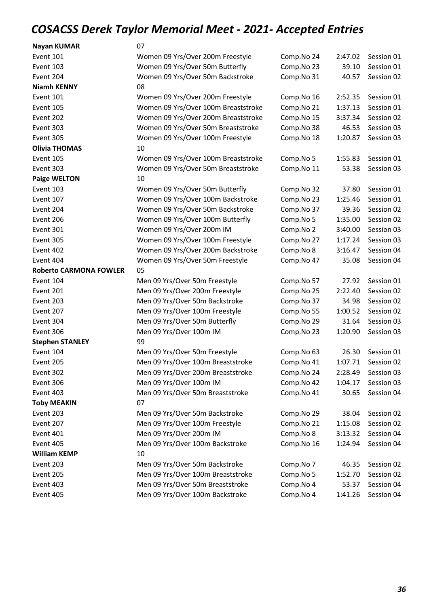| <b>Nayan KUMAR</b>            | 07                                  |            |         |            |
|-------------------------------|-------------------------------------|------------|---------|------------|
| Event 101                     | Women 09 Yrs/Over 200m Freestyle    | Comp.No 24 | 2:47.02 | Session 01 |
| Event 103                     | Women 09 Yrs/Over 50m Butterfly     | Comp.No 23 | 39.10   | Session 01 |
| Event 204                     | Women 09 Yrs/Over 50m Backstroke    | Comp.No 31 | 40.57   | Session 02 |
| <b>Niamh KENNY</b>            | 08                                  |            |         |            |
| Event 101                     | Women 09 Yrs/Over 200m Freestyle    | Comp.No 16 | 2:52.35 | Session 01 |
| Event 105                     | Women 09 Yrs/Over 100m Breaststroke | Comp.No 21 | 1:37.13 | Session 01 |
| Event 202                     | Women 09 Yrs/Over 200m Breaststroke | Comp.No 15 | 3:37.34 | Session 02 |
| Event 303                     | Women 09 Yrs/Over 50m Breaststroke  | Comp.No 38 | 46.53   | Session 03 |
| Event 305                     | Women 09 Yrs/Over 100m Freestyle    | Comp.No 18 | 1:20.87 | Session 03 |
| <b>Olivia THOMAS</b>          | 10                                  |            |         |            |
| Event 105                     | Women 09 Yrs/Over 100m Breaststroke | Comp.No 5  | 1:55.83 | Session 01 |
| Event 303                     | Women 09 Yrs/Over 50m Breaststroke  | Comp.No 11 | 53.38   | Session 03 |
| <b>Paige WELTON</b>           | 10                                  |            |         |            |
| Event 103                     | Women 09 Yrs/Over 50m Butterfly     | Comp.No 32 | 37.80   | Session 01 |
| Event 107                     | Women 09 Yrs/Over 100m Backstroke   | Comp.No 23 | 1:25.46 | Session 01 |
| Event 204                     | Women 09 Yrs/Over 50m Backstroke    | Comp.No 37 | 39.36   | Session 02 |
| Event 206                     | Women 09 Yrs/Over 100m Butterfly    | Comp.No 5  | 1:35.00 | Session 02 |
| Event 301                     | Women 09 Yrs/Over 200m IM           | Comp.No 2  | 3:40.00 | Session 03 |
| Event 305                     | Women 09 Yrs/Over 100m Freestyle    | Comp.No 27 | 1:17.24 | Session 03 |
| Event 402                     | Women 09 Yrs/Over 200m Backstroke   | Comp.No 8  | 3:16.47 | Session 04 |
| Event 404                     | Women 09 Yrs/Over 50m Freestyle     | Comp.No 47 | 35.08   | Session 04 |
| <b>Roberto CARMONA FOWLER</b> | 05                                  |            |         |            |
| Event 104                     | Men 09 Yrs/Over 50m Freestyle       | Comp.No 57 | 27.92   | Session 01 |
| Event 201                     | Men 09 Yrs/Over 200m Freestyle      | Comp.No 25 | 2:22.40 | Session 02 |
| Event 203                     | Men 09 Yrs/Over 50m Backstroke      | Comp.No 37 | 34.98   | Session 02 |
| Event 207                     | Men 09 Yrs/Over 100m Freestyle      | Comp.No 55 | 1:00.52 | Session 02 |
| Event 304                     | Men 09 Yrs/Over 50m Butterfly       | Comp.No 29 | 31.64   | Session 03 |
| Event 306                     | Men 09 Yrs/Over 100m IM             | Comp.No 23 | 1:20.90 | Session 03 |
| <b>Stephen STANLEY</b>        | 99                                  |            |         |            |
| Event 104                     | Men 09 Yrs/Over 50m Freestyle       | Comp.No 63 | 26.30   | Session 01 |
| Event 205                     | Men 09 Yrs/Over 100m Breaststroke   | Comp.No 41 | 1:07.71 | Session 02 |
| Event 302                     | Men 09 Yrs/Over 200m Breaststroke   | Comp.No 24 | 2:28.49 | Session 03 |
| Event 306                     | Men 09 Yrs/Over 100m IM             | Comp.No 42 | 1:04.17 | Session 03 |
| Event 403                     | Men 09 Yrs/Over 50m Breaststroke    | Comp.No 41 | 30.65   | Session 04 |
| <b>Toby MEAKIN</b>            | 07                                  |            |         |            |
| Event 203                     | Men 09 Yrs/Over 50m Backstroke      | Comp.No 29 | 38.04   | Session 02 |
| Event 207                     | Men 09 Yrs/Over 100m Freestyle      | Comp.No 21 | 1:15.08 | Session 02 |
| Event 401                     | Men 09 Yrs/Over 200m IM             | Comp.No 8  | 3:13.32 | Session 04 |
| Event 405                     | Men 09 Yrs/Over 100m Backstroke     | Comp.No 16 | 1:24.94 | Session 04 |
| <b>William KEMP</b>           | 10                                  |            |         |            |
| Event 203                     | Men 09 Yrs/Over 50m Backstroke      | Comp.No 7  | 46.35   | Session 02 |
| Event 205                     | Men 09 Yrs/Over 100m Breaststroke   | Comp.No 5  | 1:52.70 | Session 02 |
| Event 403                     | Men 09 Yrs/Over 50m Breaststroke    | Comp.No 4  | 53.37   | Session 04 |
| Event 405                     | Men 09 Yrs/Over 100m Backstroke     | Comp.No 4  | 1:41.26 | Session 04 |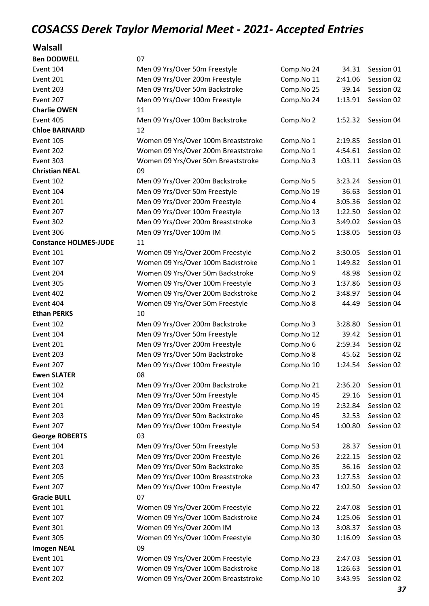#### Walsall

| <b>Ben DODWELL</b>           | 07                                  |            |         |            |
|------------------------------|-------------------------------------|------------|---------|------------|
| Event 104                    | Men 09 Yrs/Over 50m Freestyle       | Comp.No 24 | 34.31   | Session 01 |
| Event 201                    | Men 09 Yrs/Over 200m Freestyle      | Comp.No 11 | 2:41.06 | Session 02 |
| Event 203                    | Men 09 Yrs/Over 50m Backstroke      | Comp.No 25 | 39.14   | Session 02 |
| Event 207                    | Men 09 Yrs/Over 100m Freestyle      | Comp.No 24 | 1:13.91 | Session 02 |
| <b>Charlie OWEN</b>          | 11                                  |            |         |            |
| Event 405                    | Men 09 Yrs/Over 100m Backstroke     | Comp.No 2  | 1:52.32 | Session 04 |
| <b>Chloe BARNARD</b>         | 12                                  |            |         |            |
| Event 105                    | Women 09 Yrs/Over 100m Breaststroke | Comp.No 1  | 2:19.85 | Session 01 |
| Event 202                    | Women 09 Yrs/Over 200m Breaststroke | Comp.No 1  | 4:54.61 | Session 02 |
| Event 303                    | Women 09 Yrs/Over 50m Breaststroke  | Comp.No 3  | 1:03.11 | Session 03 |
| <b>Christian NEAL</b>        | 09                                  |            |         |            |
| Event 102                    | Men 09 Yrs/Over 200m Backstroke     | Comp.No 5  | 3:23.24 | Session 01 |
| Event 104                    | Men 09 Yrs/Over 50m Freestyle       | Comp.No 19 | 36.63   | Session 01 |
| Event 201                    | Men 09 Yrs/Over 200m Freestyle      | Comp.No 4  | 3:05.36 | Session 02 |
| Event 207                    | Men 09 Yrs/Over 100m Freestyle      | Comp.No 13 | 1:22.50 | Session 02 |
| Event 302                    | Men 09 Yrs/Over 200m Breaststroke   | Comp.No 3  | 3:49.02 | Session 03 |
| Event 306                    | Men 09 Yrs/Over 100m IM             | Comp.No 5  | 1:38.05 | Session 03 |
| <b>Constance HOLMES-JUDE</b> | 11                                  |            |         |            |
| Event 101                    | Women 09 Yrs/Over 200m Freestyle    | Comp.No 2  | 3:30.05 | Session 01 |
| Event 107                    | Women 09 Yrs/Over 100m Backstroke   | Comp.No 1  | 1:49.82 | Session 01 |
| Event 204                    | Women 09 Yrs/Over 50m Backstroke    | Comp.No 9  | 48.98   | Session 02 |
| Event 305                    | Women 09 Yrs/Over 100m Freestyle    | Comp.No 3  | 1:37.86 | Session 03 |
| Event 402                    | Women 09 Yrs/Over 200m Backstroke   | Comp.No 2  | 3:48.97 | Session 04 |
| Event 404                    | Women 09 Yrs/Over 50m Freestyle     | Comp.No 8  | 44.49   | Session 04 |
| <b>Ethan PERKS</b>           | 10                                  |            |         |            |
| Event 102                    | Men 09 Yrs/Over 200m Backstroke     | Comp.No 3  | 3:28.80 | Session 01 |
| Event 104                    | Men 09 Yrs/Over 50m Freestyle       | Comp.No 12 | 39.42   | Session 01 |
| Event 201                    | Men 09 Yrs/Over 200m Freestyle      | Comp.No 6  | 2:59.34 | Session 02 |
| Event 203                    | Men 09 Yrs/Over 50m Backstroke      | Comp.No 8  | 45.62   | Session 02 |
| Event 207                    | Men 09 Yrs/Over 100m Freestyle      | Comp.No 10 | 1:24.54 | Session 02 |
| <b>Ewen SLATER</b>           | 08                                  |            |         |            |
| Event 102                    | Men 09 Yrs/Over 200m Backstroke     | Comp.No 21 | 2:36.20 | Session 01 |
| Event 104                    | Men 09 Yrs/Over 50m Freestyle       | Comp.No 45 | 29.16   | Session 01 |
| Event 201                    | Men 09 Yrs/Over 200m Freestyle      | Comp.No 19 | 2:32.84 | Session 02 |
| Event 203                    | Men 09 Yrs/Over 50m Backstroke      | Comp.No 45 | 32.53   | Session 02 |
| Event 207                    | Men 09 Yrs/Over 100m Freestyle      | Comp.No 54 | 1:00.80 | Session 02 |
| <b>George ROBERTS</b>        | 03                                  |            |         |            |
| Event 104                    | Men 09 Yrs/Over 50m Freestyle       | Comp.No 53 | 28.37   | Session 01 |
| Event 201                    | Men 09 Yrs/Over 200m Freestyle      | Comp.No 26 | 2:22.15 | Session 02 |
| Event 203                    | Men 09 Yrs/Over 50m Backstroke      | Comp.No 35 | 36.16   | Session 02 |
| Event 205                    | Men 09 Yrs/Over 100m Breaststroke   | Comp.No 23 | 1:27.53 | Session 02 |
| Event 207                    | Men 09 Yrs/Over 100m Freestyle      | Comp.No 47 | 1:02.50 | Session 02 |
| <b>Gracie BULL</b>           | 07                                  |            |         |            |
| Event 101                    | Women 09 Yrs/Over 200m Freestyle    | Comp.No 22 | 2:47.08 | Session 01 |
| Event 107                    | Women 09 Yrs/Over 100m Backstroke   | Comp.No 24 | 1:25.06 | Session 01 |
| Event 301                    | Women 09 Yrs/Over 200m IM           | Comp.No 13 | 3:08.37 | Session 03 |
| Event 305                    | Women 09 Yrs/Over 100m Freestyle    | Comp.No 30 | 1:16.09 | Session 03 |
| <b>Imogen NEAL</b>           | 09                                  |            |         |            |
| Event 101                    | Women 09 Yrs/Over 200m Freestyle    | Comp.No 23 | 2:47.03 | Session 01 |
| Event 107                    | Women 09 Yrs/Over 100m Backstroke   | Comp.No 18 | 1:26.63 | Session 01 |
| Event 202                    | Women 09 Yrs/Over 200m Breaststroke | Comp.No 10 | 3:43.95 | Session 02 |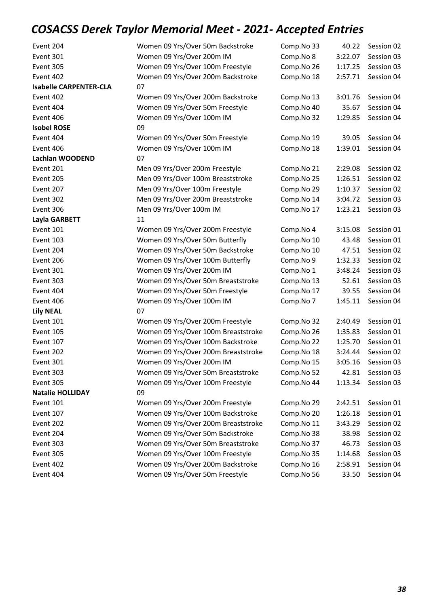| Event 204                     | Women 09 Yrs/Over 50m Backstroke    | Comp.No 33 | 40.22   | Session 02         |
|-------------------------------|-------------------------------------|------------|---------|--------------------|
| Event 301                     | Women 09 Yrs/Over 200m IM           | Comp.No 8  | 3:22.07 | Session 03         |
| Event 305                     | Women 09 Yrs/Over 100m Freestyle    | Comp.No 26 | 1:17.25 | Session 03         |
| Event 402                     | Women 09 Yrs/Over 200m Backstroke   | Comp.No 18 | 2:57.71 | Session 04         |
| <b>Isabelle CARPENTER-CLA</b> | 07                                  |            |         |                    |
| Event 402                     | Women 09 Yrs/Over 200m Backstroke   | Comp.No 13 | 3:01.76 | Session 04         |
| Event 404                     | Women 09 Yrs/Over 50m Freestyle     | Comp.No 40 | 35.67   | Session 04         |
| Event 406                     | Women 09 Yrs/Over 100m IM           | Comp.No 32 | 1:29.85 | Session 04         |
| <b>Isobel ROSE</b>            | 09                                  |            |         |                    |
| Event 404                     | Women 09 Yrs/Over 50m Freestyle     | Comp.No 19 | 39.05   | Session 04         |
| Event 406                     | Women 09 Yrs/Over 100m IM           | Comp.No 18 | 1:39.01 | Session 04         |
| Lachlan WOODEND               | 07                                  |            |         |                    |
| Event 201                     | Men 09 Yrs/Over 200m Freestyle      | Comp.No 21 | 2:29.08 | Session 02         |
| Event 205                     | Men 09 Yrs/Over 100m Breaststroke   | Comp.No 25 | 1:26.51 | Session 02         |
| Event 207                     | Men 09 Yrs/Over 100m Freestyle      | Comp.No 29 | 1:10.37 | Session 02         |
| Event 302                     | Men 09 Yrs/Over 200m Breaststroke   | Comp.No 14 | 3:04.72 | Session 03         |
| Event 306                     | Men 09 Yrs/Over 100m IM             | Comp.No 17 | 1:23.21 | Session 03         |
| Layla GARBETT                 | 11                                  |            |         |                    |
| Event 101                     | Women 09 Yrs/Over 200m Freestyle    | Comp.No 4  | 3:15.08 | Session 01         |
| Event 103                     | Women 09 Yrs/Over 50m Butterfly     | Comp.No 10 | 43.48   | Session 01         |
| Event 204                     | Women 09 Yrs/Over 50m Backstroke    | Comp.No 10 | 47.51   | Session 02         |
| Event 206                     | Women 09 Yrs/Over 100m Butterfly    | Comp.No 9  | 1:32.33 | Session 02         |
| Event 301                     | Women 09 Yrs/Over 200m IM           | Comp.No 1  | 3:48.24 | Session 03         |
| Event 303                     | Women 09 Yrs/Over 50m Breaststroke  | Comp.No 13 | 52.61   | Session 03         |
| Event 404                     | Women 09 Yrs/Over 50m Freestyle     | Comp.No 17 | 39.55   | Session 04         |
| Event 406                     | Women 09 Yrs/Over 100m IM           | Comp.No 7  | 1:45.11 | Session 04         |
| <b>Lily NEAL</b>              | 07                                  |            |         |                    |
| Event 101                     | Women 09 Yrs/Over 200m Freestyle    | Comp.No 32 | 2:40.49 | Session 01         |
| Event 105                     | Women 09 Yrs/Over 100m Breaststroke | Comp.No 26 | 1:35.83 | Session 01         |
| Event 107                     | Women 09 Yrs/Over 100m Backstroke   | Comp.No 22 | 1:25.70 | Session 01         |
| Event 202                     | Women 09 Yrs/Over 200m Breaststroke | Comp.No 18 | 3:24.44 | Session 02         |
| Event 301                     | Women 09 Yrs/Over 200m IM           | Comp.No 15 |         | 3:05.16 Session 03 |
| Event 303                     | Women 09 Yrs/Over 50m Breaststroke  | Comp.No 52 | 42.81   | Session 03         |
| Event 305                     | Women 09 Yrs/Over 100m Freestyle    | Comp.No 44 | 1:13.34 | Session 03         |
| <b>Natalie HOLLIDAY</b>       | 09                                  |            |         |                    |
| Event 101                     | Women 09 Yrs/Over 200m Freestyle    | Comp.No 29 | 2:42.51 | Session 01         |
| Event 107                     | Women 09 Yrs/Over 100m Backstroke   | Comp.No 20 | 1:26.18 | Session 01         |
| Event 202                     | Women 09 Yrs/Over 200m Breaststroke | Comp.No 11 | 3:43.29 | Session 02         |
| Event 204                     | Women 09 Yrs/Over 50m Backstroke    | Comp.No 38 | 38.98   | Session 02         |
| Event 303                     | Women 09 Yrs/Over 50m Breaststroke  | Comp.No 37 | 46.73   | Session 03         |
| Event 305                     | Women 09 Yrs/Over 100m Freestyle    | Comp.No 35 | 1:14.68 | Session 03         |
| Event 402                     | Women 09 Yrs/Over 200m Backstroke   | Comp.No 16 | 2:58.91 | Session 04         |
| Event 404                     | Women 09 Yrs/Over 50m Freestyle     | Comp.No 56 | 33.50   | Session 04         |